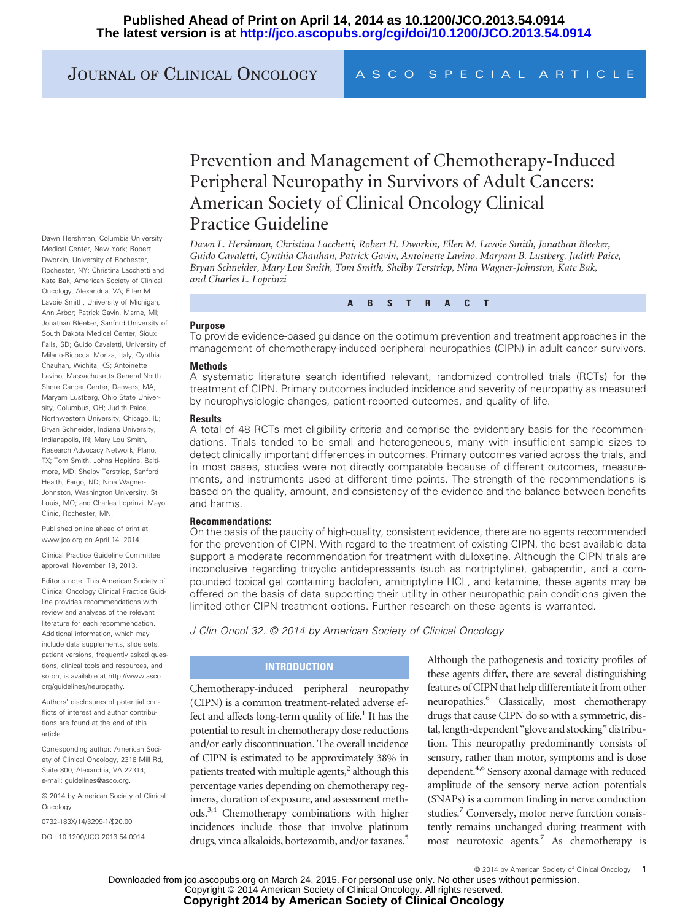# JOURNAL OF CLINICAL ONCOLOGY ASCO SPECIAL ARTICLE

Dawn Hershman, Columbia University Medical Center, New York; Robert Dworkin, University of Rochester, Rochester, NY; Christina Lacchetti and Kate Bak, American Society of Clinical Oncology, Alexandria, VA; Ellen M. Lavoie Smith, University of Michigan, Ann Arbor; Patrick Gavin, Marne, MI; Jonathan Bleeker, Sanford University of South Dakota Medical Center, Sioux Falls, SD; Guido Cavaletti, University of Milano-Bicocca, Monza, Italy; Cynthia Chauhan, Wichita, KS; Antoinette Lavino, Massachusetts General North Shore Cancer Center, Danvers, MA; Maryam Lustberg, Ohio State University, Columbus, OH; Judith Paice, Northwestern University, Chicago, IL; Bryan Schneider, Indiana University, Indianapolis, IN; Mary Lou Smith, Research Advocacy Network, Plano, TX; Tom Smith, Johns Hopkins, Baltimore, MD; Shelby Terstriep, Sanford Health, Fargo, ND; Nina Wagner-Johnston, Washington University, St Louis, MO; and Charles Loprinzi, Mayo Clinic, Rochester, MN.

Published online ahead of print at www.jco.org on April 14, 2014.

Clinical Practice Guideline Committee approval: November 19, 2013.

Editor's note: This American Society of Clinical Oncology Clinical Practice Guidline provides recommendations with review and analyses of the relevant literature for each recommendation. Additional information, which may include data supplements, slide sets, patient versions, frequently asked questions, clinical tools and resources, and so on, is available at [http://www.asco.](http://www.asco.org/guidelines/neuropathy) [org/guidelines/neuropathy.](http://www.asco.org/guidelines/neuropathy)

Authors' disclosures of potential conflicts of interest and author contributions are found at the end of this article.

Corresponding author: American Society of Clinical Oncology, 2318 Mill Rd, Suite 800, Alexandria, VA 22314; e-mail: guidelines@asco.org.

© 2014 by American Society of Clinical Oncology

0732-183X/14/3299-1/\$20.00

DOI: 10.1200/JCO.2013.54.0914

# Prevention and Management of Chemotherapy-Induced Peripheral Neuropathy in Survivors of Adult Cancers: American Society of Clinical Oncology Clinical Practice Guideline

*Dawn L. Hershman, Christina Lacchetti, Robert H. Dworkin, Ellen M. Lavoie Smith, Jonathan Bleeker, Guido Cavaletti, Cynthia Chauhan, Patrick Gavin, Antoinette Lavino, Maryam B. Lustberg, Judith Paice, Bryan Schneider, Mary Lou Smith, Tom Smith, Shelby Terstriep, Nina Wagner-Johnston, Kate Bak, and Charles L. Loprinzi*

**ABSTRACT**

### **Purpose**

To provide evidence-based guidance on the optimum prevention and treatment approaches in the management of chemotherapy-induced peripheral neuropathies (CIPN) in adult cancer survivors.

### **Methods**

A systematic literature search identified relevant, randomized controlled trials (RCTs) for the treatment of CIPN. Primary outcomes included incidence and severity of neuropathy as measured by neurophysiologic changes, patient-reported outcomes, and quality of life.

### **Results**

A total of 48 RCTs met eligibility criteria and comprise the evidentiary basis for the recommendations. Trials tended to be small and heterogeneous, many with insufficient sample sizes to detect clinically important differences in outcomes. Primary outcomes varied across the trials, and in most cases, studies were not directly comparable because of different outcomes, measurements, and instruments used at different time points. The strength of the recommendations is based on the quality, amount, and consistency of the evidence and the balance between benefits and harms.

### **Recommendations:**

On the basis of the paucity of high-quality, consistent evidence, there are no agents recommended for the prevention of CIPN. With regard to the treatment of existing CIPN, the best available data support a moderate recommendation for treatment with duloxetine. Although the CIPN trials are inconclusive regarding tricyclic antidepressants (such as nortriptyline), gabapentin, and a compounded topical gel containing baclofen, amitriptyline HCL, and ketamine, these agents may be offered on the basis of data supporting their utility in other neuropathic pain conditions given the limited other CIPN treatment options. Further research on these agents is warranted.

*J Clin Oncol 32. © 2014 by American Society of Clinical Oncology*

## **INTRODUCTION**

Chemotherapy-induced peripheral neuropathy (CIPN) is a common treatment-related adverse effect and affects long-term quality of life. $<sup>1</sup>$  It has the</sup> potential to result in chemotherapy dose reductions and/or early discontinuation. The overall incidence of CIPN is estimated to be approximately 38% in patients treated with multiple agents, $<sup>2</sup>$  although this</sup> percentage varies depending on chemotherapy regimens, duration of exposure, and assessment methods.3,4 Chemotherapy combinations with higher incidences include those that involve platinum drugs, vinca alkaloids, bortezomib, and/or taxanes.<sup>5</sup>

Although the pathogenesis and toxicity profiles of these agents differ, there are several distinguishing features of CIPN that help differentiate it from other neuropathies.<sup>6</sup> Classically, most chemotherapy drugs that cause CIPN do so with a symmetric, distal, length-dependent "glove and stocking" distribution. This neuropathy predominantly consists of sensory, rather than motor, symptoms and is dose dependent.4,6 Sensory axonal damage with reduced amplitude of the sensory nerve action potentials (SNAPs) is a common finding in nerve conduction studies.<sup>7</sup> Conversely, motor nerve function consistently remains unchanged during treatment with most neurotoxic agents.<sup>7</sup> As chemotherapy is

© 2014 by American Society of Clinical Oncology **1**

**Copyright 2014 by American Society of Clinical Oncology**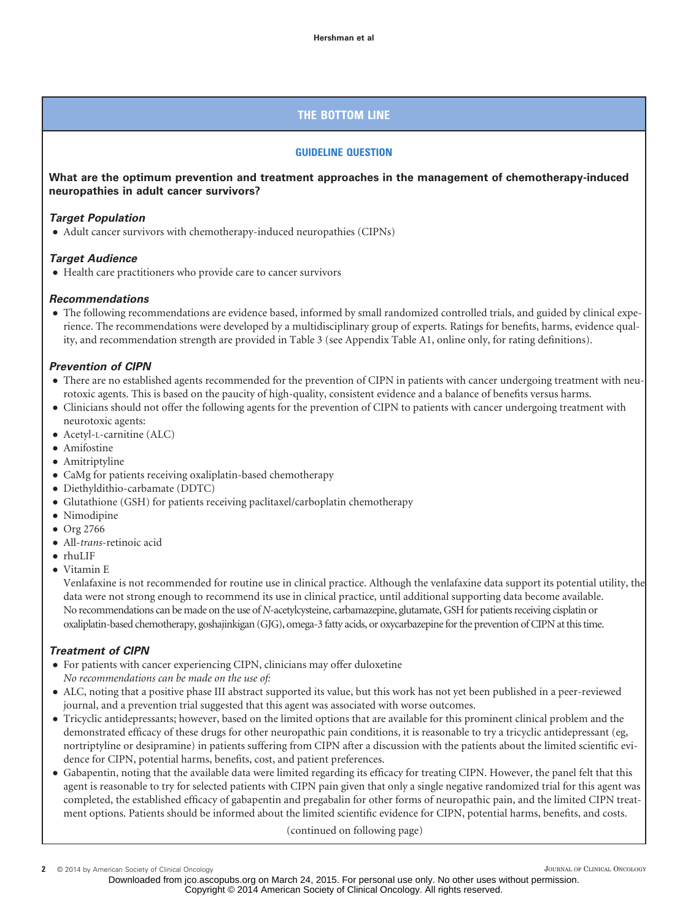# **THE BOTTOM LINE**

### **GUIDELINE QUESTION**

**What are the optimum prevention and treatment approaches in the management of chemotherapy-induced neuropathies in adult cancer survivors?**

# *Target Population*

● Adult cancer survivors with chemotherapy-induced neuropathies (CIPNs)

# *Target Audience*

● Health care practitioners who provide care to cancer survivors

# *Recommendations*

● The following recommendations are evidence based, informed by small randomized controlled trials, and guided by clinical experience. The recommendations were developed by a multidisciplinary group of experts. Ratings for benefits, harms, evidence quality, and recommendation strength are provided in Table 3 (see Appendix Table A1, online only, for rating definitions).

# *Prevention of CIPN*

- There are no established agents recommended for the prevention of CIPN in patients with cancer undergoing treatment with neurotoxic agents. This is based on the paucity of high-quality, consistent evidence and a balance of benefits versus harms.
- Clinicians should not offer the following agents for the prevention of CIPN to patients with cancer undergoing treatment with neurotoxic agents:
- Acetyl-L-carnitine (ALC)
- Amifostine
- Amitriptyline
- CaMg for patients receiving oxaliplatin-based chemotherapy
- Diethyldithio-carbamate (DDTC)
- Glutathione (GSH) for patients receiving paclitaxel/carboplatin chemotherapy
- Nimodipine
- Org 2766
- All-*trans*-retinoic acid
- rhuLIF
- Vitamin E

Venlafaxine is not recommended for routine use in clinical practice. Although the venlafaxine data support its potential utility, the data were not strong enough to recommend its use in clinical practice, until additional supporting data become available. No recommendations can be made on the use of *N*-acetylcysteine, carbamazepine, glutamate, GSH for patients receiving cisplatin or oxaliplatin-based chemotherapy, goshajinkigan (GJG), omega-3 fatty acids, or oxycarbazepine for the prevention of CIPN at this time.

# *Treatment of CIPN*

- For patients with cancer experiencing CIPN, clinicians may offer duloxetine *No recommendations can be made on the use of:*
- ALC, noting that a positive phase III abstract supported its value, but this work has not yet been published in a peer-reviewed journal, and a prevention trial suggested that this agent was associated with worse outcomes.
- Tricyclic antidepressants; however, based on the limited options that are available for this prominent clinical problem and the demonstrated efficacy of these drugs for other neuropathic pain conditions, it is reasonable to try a tricyclic antidepressant (eg, nortriptyline or desipramine) in patients suffering from CIPN after a discussion with the patients about the limited scientific evidence for CIPN, potential harms, benefits, cost, and patient preferences.
- Gabapentin, noting that the available data were limited regarding its efficacy for treating CIPN. However, the panel felt that this agent is reasonable to try for selected patients with CIPN pain given that only a single negative randomized trial for this agent was completed, the established efficacy of gabapentin and pregabalin for other forms of neuropathic pain, and the limited CIPN treatment options. Patients should be informed about the limited scientific evidence for CIPN, potential harms, benefits, and costs.

(continued on following page)

**<sup>2</sup>** © 2014 by American Society of Clinical Oncology **JOURNAL OF CLINICAL ONCOLOGY** JOURNAL OF CLINICAL ONCOLOGY

Downloaded from jco.ascopubs.org on March 24, 2015. For personal use only. No other uses without permission. Copyright © 2014 American Society of Clinical Oncology. All rights reserved.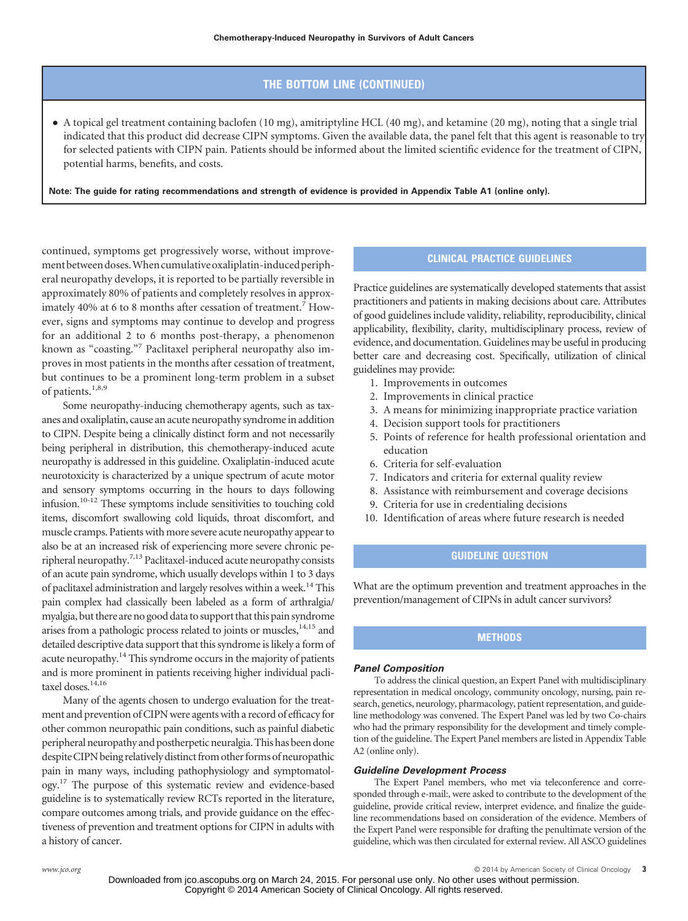# **THE BOTTOM LINE (CONTINUED)**

● A topical gel treatment containing baclofen (10 mg), amitriptyline HCL (40 mg), and ketamine (20 mg), noting that a single trial indicated that this product did decrease CIPN symptoms. Given the available data, the panel felt that this agent is reasonable to try for selected patients with CIPN pain. Patients should be informed about the limited scientific evidence for the treatment of CIPN, potential harms, benefits, and costs.

**Note: The guide for rating recommendations and strength of evidence is provided in Appendix Table A1 (online only).**

continued, symptoms get progressively worse, without improvement between doses. When cumulative oxaliplatin-induced peripheral neuropathy develops, it is reported to be partially reversible in approximately 80% of patients and completely resolves in approximately 40% at 6 to 8 months after cessation of treatment.<sup>7</sup> However, signs and symptoms may continue to develop and progress for an additional 2 to 6 months post-therapy, a phenomenon known as "coasting."7 Paclitaxel peripheral neuropathy also improves in most patients in the months after cessation of treatment, but continues to be a prominent long-term problem in a subset of patients.<sup>1,8,9</sup>

Some neuropathy-inducing chemotherapy agents, such as taxanes and oxaliplatin, cause an acute neuropathy syndrome in addition to CIPN. Despite being a clinically distinct form and not necessarily being peripheral in distribution, this chemotherapy-induced acute neuropathy is addressed in this guideline. Oxaliplatin-induced acute neurotoxicity is characterized by a unique spectrum of acute motor and sensory symptoms occurring in the hours to days following infusion.10-12 These symptoms include sensitivities to touching cold items, discomfort swallowing cold liquids, throat discomfort, and muscle cramps. Patients with more severe acute neuropathy appear to also be at an increased risk of experiencing more severe chronic peripheral neuropathy.7,13 Paclitaxel-induced acute neuropathy consists of an acute pain syndrome, which usually develops within 1 to 3 days of paclitaxel administration and largely resolves within a week.<sup>14</sup> This pain complex had classically been labeled as a form of arthralgia/ myalgia, but there are no good data to support that this pain syndrome arises from a pathologic process related to joints or muscles,<sup>14,15</sup> and detailed descriptive data support that this syndrome is likely a form of acute neuropathy. $14$  This syndrome occurs in the majority of patients and is more prominent in patients receiving higher individual paclitaxel doses.<sup>14,16</sup>

Many of the agents chosen to undergo evaluation for the treatment and prevention of CIPN were agents with a record of efficacy for other common neuropathic pain conditions, such as painful diabetic peripheral neuropathy and postherpetic neuralgia. This has been done despite CIPN being relatively distinct from other forms of neuropathic pain in many ways, including pathophysiology and symptomatology.<sup>17</sup> The purpose of this systematic review and evidence-based guideline is to systematically review RCTs reported in the literature, compare outcomes among trials, and provide guidance on the effectiveness of prevention and treatment options for CIPN in adults with a history of cancer.

### **CLINICAL PRACTICE GUIDELINES**

Practice guidelines are systematically developed statements that assist practitioners and patients in making decisions about care. Attributes of good guidelines include validity, reliability, reproducibility, clinical applicability, flexibility, clarity, multidisciplinary process, review of evidence, and documentation. Guidelines may be useful in producing better care and decreasing cost. Specifically, utilization of clinical guidelines may provide:

- 1. Improvements in outcomes
- 2. Improvements in clinical practice
- 3. A means for minimizing inappropriate practice variation
- 4. Decision support tools for practitioners
- 5. Points of reference for health professional orientation and education
- 6. Criteria for self-evaluation
- 7. Indicators and criteria for external quality review
- 8. Assistance with reimbursement and coverage decisions
- 9. Criteria for use in credentialing decisions
- 10. Identification of areas where future research is needed

# **GUIDELINE QUESTION**

What are the optimum prevention and treatment approaches in the prevention/management of CIPNs in adult cancer survivors?

# **METHODS**

#### *Panel Composition*

To address the clinical question, an Expert Panel with multidisciplinary representation in medical oncology, community oncology, nursing, pain research, genetics, neurology, pharmacology, patient representation, and guideline methodology was convened. The Expert Panel was led by two Co-chairs who had the primary responsibility for the development and timely completion of the guideline. The Expert Panel members are listed in Appendix Table A2 (online only).

#### *Guideline Development Process*

The Expert Panel members, who met via teleconference and corresponded through e-mail:, were asked to contribute to the development of the guideline, provide critical review, interpret evidence, and finalize the guideline recommendations based on consideration of the evidence. Members of the Expert Panel were responsible for drafting the penultimate version of the guideline, which was then circulated for external review. All ASCO guidelines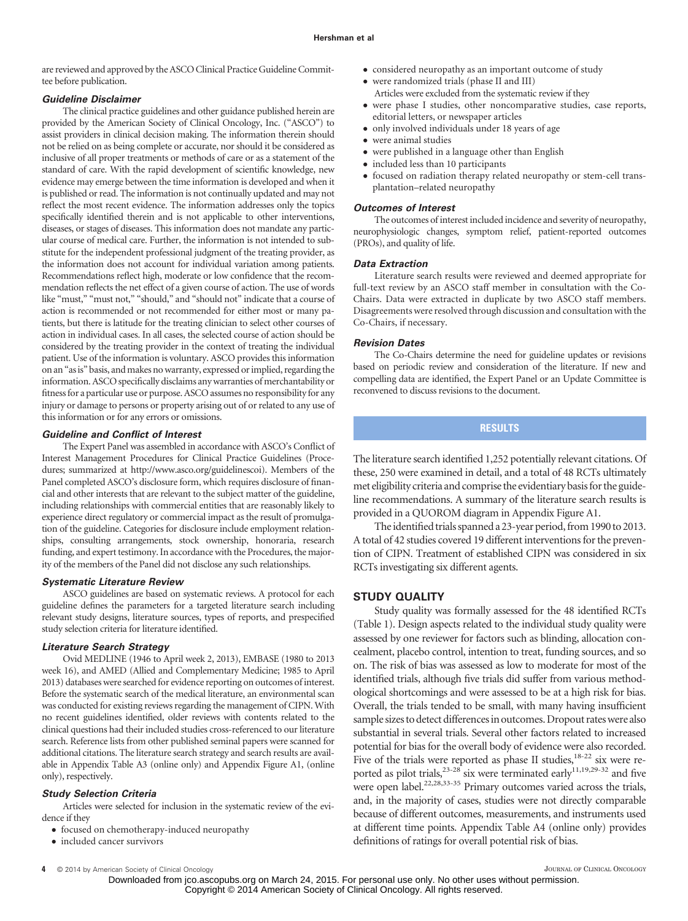are reviewed and approved by the ASCO Clinical Practice Guideline Committee before publication.

#### *Guideline Disclaimer*

The clinical practice guidelines and other guidance published herein are provided by the American Society of Clinical Oncology, Inc. ("ASCO") to assist providers in clinical decision making. The information therein should not be relied on as being complete or accurate, nor should it be considered as inclusive of all proper treatments or methods of care or as a statement of the standard of care. With the rapid development of scientific knowledge, new evidence may emerge between the time information is developed and when it is published or read. The information is not continually updated and may not reflect the most recent evidence. The information addresses only the topics specifically identified therein and is not applicable to other interventions, diseases, or stages of diseases. This information does not mandate any particular course of medical care. Further, the information is not intended to substitute for the independent professional judgment of the treating provider, as the information does not account for individual variation among patients. Recommendations reflect high, moderate or low confidence that the recommendation reflects the net effect of a given course of action. The use of words like "must," "must not," "should," and "should not" indicate that a course of action is recommended or not recommended for either most or many patients, but there is latitude for the treating clinician to select other courses of action in individual cases. In all cases, the selected course of action should be considered by the treating provider in the context of treating the individual patient. Use of the information is voluntary. ASCO provides this information on an "as is" basis, andmakes nowarranty, expressed or implied, regarding the information. ASCO specifically disclaims any warranties of merchantability or fitness for a particular use or purpose. ASCO assumes no responsibility for any injury or damage to persons or property arising out of or related to any use of this information or for any errors or omissions.

#### *Guideline and Conflict of Interest*

The Expert Panel was assembled in accordance with ASCO's Conflict of Interest Management Procedures for Clinical Practice Guidelines (Procedures; summarized at http:/[/www.asco.org/guidelinescoi\)](http://www.asco.org/guidelinescoi). Members of the Panel completed ASCO's disclosure form, which requires disclosure of financial and other interests that are relevant to the subject matter of the guideline, including relationships with commercial entities that are reasonably likely to experience direct regulatory or commercial impact as the result of promulgation of the guideline. Categories for disclosure include employment relationships, consulting arrangements, stock ownership, honoraria, research funding, and expert testimony. In accordance with the Procedures, the majority of the members of the Panel did not disclose any such relationships.

#### *Systematic Literature Review*

ASCO guidelines are based on systematic reviews. A protocol for each guideline defines the parameters for a targeted literature search including relevant study designs, literature sources, types of reports, and prespecified study selection criteria for literature identified.

#### *Literature Search Strategy*

Ovid MEDLINE (1946 to April week 2, 2013), EMBASE (1980 to 2013 week 16), and AMED (Allied and Complementary Medicine; 1985 to April 2013) databases were searched for evidence reporting on outcomes of interest. Before the systematic search of the medical literature, an environmental scan was conducted for existing reviews regarding the management of CIPN. With no recent guidelines identified, older reviews with contents related to the clinical questions had their included studies cross-referenced to our literature search. Reference lists from other published seminal papers were scanned for additional citations. The literature search strategy and search results are available in Appendix Table A3 (online only) and Appendix Figure A1, (online only), respectively.

#### *Study Selection Criteria*

Articles were selected for inclusion in the systematic review of the evidence if they

- focused on chemotherapy-induced neuropathy
- included cancer survivors
- considered neuropathy as an important outcome of study
- were randomized trials (phase II and III) Articles were excluded from the systematic review if they
- were phase I studies, other noncomparative studies, case reports, editorial letters, or newspaper articles
- only involved individuals under 18 years of age
- were animal studies
- were published in a language other than English
- included less than 10 participants
- focused on radiation therapy related neuropathy or stem-cell transplantation–related neuropathy

#### *Outcomes of Interest*

The outcomes of interest included incidence and severity of neuropathy, neurophysiologic changes, symptom relief, patient-reported outcomes (PROs), and quality of life.

#### *Data Extraction*

Literature search results were reviewed and deemed appropriate for full-text review by an ASCO staff member in consultation with the Co-Chairs. Data were extracted in duplicate by two ASCO staff members. Disagreements were resolved through discussion and consultation with the Co-Chairs, if necessary.

#### *Revision Dates*

The Co-Chairs determine the need for guideline updates or revisions based on periodic review and consideration of the literature. If new and compelling data are identified, the Expert Panel or an Update Committee is reconvened to discuss revisions to the document.

### **RESULTS**

The literature search identified 1,252 potentially relevant citations. Of these, 250 were examined in detail, and a total of 48 RCTs ultimately met eligibility criteria and comprise the evidentiary basisfor the guideline recommendations. A summary of the literature search results is provided in a QUOROM diagram in Appendix Figure A1.

The identified trials spanned a 23-year period, from 1990 to 2013. A total of 42 studies covered 19 different interventions for the prevention of CIPN. Treatment of established CIPN was considered in six RCTs investigating six different agents.

### **STUDY QUALITY**

Study quality was formally assessed for the 48 identified RCTs (Table 1). Design aspects related to the individual study quality were assessed by one reviewer for factors such as blinding, allocation concealment, placebo control, intention to treat, funding sources, and so on. The risk of bias was assessed as low to moderate for most of the identified trials, although five trials did suffer from various methodological shortcomings and were assessed to be at a high risk for bias. Overall, the trials tended to be small, with many having insufficient sample sizes to detect differences in outcomes. Dropout rates were also substantial in several trials. Several other factors related to increased potential for bias for the overall body of evidence were also recorded. Five of the trials were reported as phase II studies, $18-22$  six were reported as pilot trials,  $23-28$  six were terminated early<sup>11,19,29-32</sup> and five were open label.<sup>22,28,33-35</sup> Primary outcomes varied across the trials, and, in the majority of cases, studies were not directly comparable because of different outcomes, measurements, and instruments used at different time points. Appendix Table A4 (online only) provides definitions of ratings for overall potential risk of bias.

**4** © 2014 by American Society of Clinical Oncology JOURNAL OF CLINICAL ONCOLOGY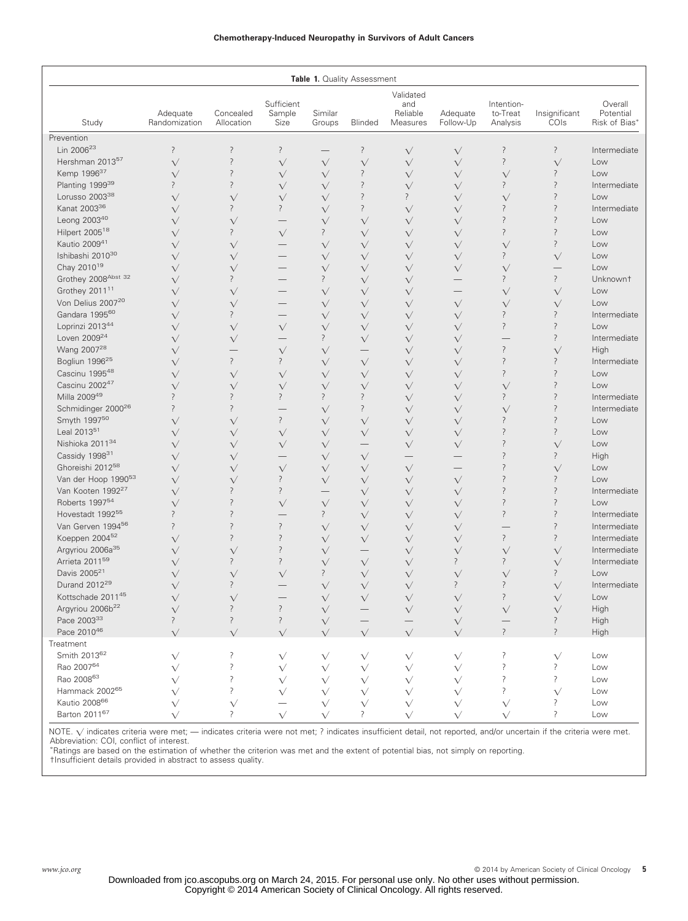|                                 |                           |                          |                |                   | Table 1. Quality Assessment |                          |                       |                          |                       |                            |
|---------------------------------|---------------------------|--------------------------|----------------|-------------------|-----------------------------|--------------------------|-----------------------|--------------------------|-----------------------|----------------------------|
|                                 |                           |                          | Sufficient     |                   |                             | Validated<br>and         |                       | Intention-               |                       | Overall                    |
| Study                           | Adequate<br>Randomization | Concealed<br>Allocation  | Sample<br>Size | Similar<br>Groups | <b>Blinded</b>              | Reliable<br>Measures     | Adequate<br>Follow-Up | to-Treat<br>Analysis     | Insignificant<br>COIs | Potential<br>Risk of Bias* |
| Prevention                      |                           |                          |                |                   |                             |                          |                       |                          |                       |                            |
| Lin 2006 <sup>23</sup>          | $\overline{?}$            | $\overline{?}$           | ?              |                   | $\overline{?}$              | $\sqrt{}$                | $\sqrt{}$             | ?                        | $\overline{?}$        | Intermediate               |
| Hershman 2013 <sup>57</sup>     | $\sqrt{}$                 | ?                        | $\sqrt{}$      | $\sqrt{}$         | $\sqrt{}$                   | $\sqrt{}$                | $\sqrt{}$             | $\overline{?}$           | $\sqrt{}$             | Low                        |
| Kemp 1996 <sup>37</sup>         | $\sqrt{}$                 | $\overline{?}$           | $\sqrt{}$      | $\sqrt{}$         | $\overline{?}$              | $\sqrt{}$                | $\sqrt{}$             | $\sqrt{}$                | $\overline{?}$        | Low                        |
| Planting 1999 <sup>39</sup>     | ?                         | ?                        | $\sqrt{}$      | $\sqrt{}$         | $\overline{?}$              | $\sqrt{}$                | $\sqrt{}$             | ?                        | $\overline{?}$        | Intermediate               |
| Lorusso 2003 <sup>38</sup>      | $\sqrt{}$                 | $\sqrt{}$                | $\sqrt{}$      | $\sqrt{}$         | $\overline{?}$              | $\overline{?}$           | $\sqrt{}$             | $\sqrt{}$                | $\overline{?}$        | Low                        |
| Kanat 2003 <sup>36</sup>        | $\sqrt{}$                 | ?                        | $\overline{?}$ | $\sqrt{}$         | ?                           | $\sqrt{}$                | $\sqrt{}$             | ?                        | $\overline{?}$        | Intermediate               |
| Leong 2003 <sup>40</sup>        | $\sqrt{}$                 | $\sqrt{}$                | —              | $\sqrt{}$         | $\sqrt{}$                   | $\sqrt{}$                | $\sqrt{}$             | $\overline{?}$           | $\overline{?}$        | Low                        |
| Hilpert 2005 <sup>18</sup>      | $\sqrt{}$                 | $\overline{?}$           | $\sqrt{}$      | $\overline{?}$    | $\sqrt{}$                   | $\sqrt{}$                | $\sqrt{}$             | $\overline{?}$           | $\overline{?}$        | Low                        |
| Kautio 200941                   | $\sqrt{}$                 | $\sqrt{}$                |                | $\sqrt{}$         | $\sqrt{}$                   | $\sqrt{}$                | $\sqrt{}$             | $\sqrt{}$                | $\overline{?}$        | Low                        |
| Ishibashi 2010 <sup>30</sup>    | $\sqrt{}$                 | $\sqrt{}$                |                | $\sqrt{}$         | $\sqrt{}$                   | $\sqrt{}$                | $\sqrt{}$             | ?                        | $\sqrt{}$             | Low                        |
| Chay 2010 <sup>19</sup>         | $\sqrt{}$                 | $\sqrt{}$                |                | $\sqrt{}$         | $\sqrt{}$                   | $\sqrt{}$                | $\sqrt{}$             | $\sqrt{}$                |                       | Low                        |
| Grothey 2008Abst 32             | $\sqrt{}$                 | ?                        |                | ?                 | $\sqrt{}$                   | $\sqrt{}$                |                       | $\overline{?}$           | $\overline{?}$        | Unknownt                   |
| Grothey 2011 <sup>11</sup>      | $\sqrt{}$                 | $\sqrt{}$                |                | $\sqrt{}$         | $\sqrt{}$                   | $\sqrt{}$                |                       | $\sqrt{}$                | $\sqrt{}$             | Low                        |
| Von Delius 200720               | $\sqrt{}$                 | $\sqrt{}$                |                | $\sqrt{}$         | $\sqrt{}$                   | $\sqrt{}$                | $\sqrt{}$             | $\sqrt{}$                | $\sqrt{}$             | Low                        |
| Gandara 1995 <sup>60</sup>      | $\sqrt{}$                 | ?                        |                | $\sqrt{}$         | $\sqrt{}$                   | $\sqrt{}$                | $\sqrt{}$             | $\overline{?}$           | $\overline{?}$        | Intermediate               |
| Loprinzi 201344                 | $\sqrt{}$                 | $\sqrt{}$                | $\sqrt{}$      | $\sqrt{}$         | $\sqrt{}$                   | $\sqrt{}$                | $\sqrt{}$             | $\overline{?}$           | $\overline{?}$        | Low                        |
| Loven 2009 <sup>24</sup>        | $\sqrt{}$                 | $\sqrt{}$                | -              | $\overline{?}$    | $\sqrt{}$                   | $\sqrt{}$                | $\sqrt{}$             |                          | $\overline{?}$        | Intermediate               |
| Wang 2007 <sup>28</sup>         | $\sqrt{}$                 |                          | $\sqrt{}$      | $\sqrt{}$         |                             | $\sqrt{}$                | $\sqrt{}$             | $\overline{?}$           | $\sqrt{}$             | High                       |
| Bogliun 1996 <sup>25</sup>      | $\sqrt{}$                 | $\overline{?}$           | ?              | $\sqrt{}$         | $\sqrt{}$                   | $\sqrt{}$                | $\sqrt{}$             | ?                        | $\overline{?}$        | Intermediate               |
| Cascinu 1995 <sup>48</sup>      | $\sqrt{}$                 | $\sqrt{}$                | $\sqrt{}$      | $\sqrt{}$         | $\sqrt{}$                   | $\sqrt{}$                | $\sqrt{}$             | $\overline{?}$           | $\overline{?}$        | Low                        |
| Cascinu 2002 <sup>47</sup>      | $\sqrt{}$                 | $\sqrt{}$                | $\sqrt{}$      | $\sqrt{}$         | $\sqrt{}$                   | $\sqrt{}$                | $\sqrt{}$             | $\sqrt{}$                | $\overline{?}$        | Low                        |
| Milla 200949                    | $\overline{?}$            | ?                        | $\overline{?}$ | $\overline{?}$    | ?                           | $\sqrt{}$                | $\sqrt{}$             | ?                        | $\overline{?}$        | Intermediate               |
| Schmidinger 2000 <sup>26</sup>  | $\overline{\cdot}$        | $\overline{?}$           |                | $\sqrt{}$         | $\overline{?}$              | $\sqrt{}$                | $\sqrt{}$             | $\sqrt{}$                | $\overline{?}$        | Intermediate               |
| Smyth 1997 <sup>50</sup>        | $\sqrt{}$                 | $\sqrt{}$                | $\overline{?}$ | $\sqrt{}$         | $\sqrt{}$                   | $\sqrt{}$                | $\sqrt{}$             | ?                        | $\overline{?}$        | Low                        |
| Leal 2013 <sup>51</sup>         | $\sqrt{}$                 | $\sqrt{}$                | $\sqrt{}$      | $\sqrt{}$         | $\sqrt{}$                   | $\sqrt{}$                | $\sqrt{}$             | $\overline{?}$           | $\overline{?}$        | Low                        |
| Nishioka 2011 <sup>34</sup>     | $\sqrt{}$                 | $\sqrt{}$                | $\sqrt{}$      | $\sqrt{}$         |                             | $\sqrt{}$                | $\sqrt{}$             | $\overline{?}$           | $\sqrt{}$             | Low                        |
| Cassidy 199831                  | $\sqrt{}$                 | $\sqrt{}$                |                | $\sqrt{}$         | $\sqrt{}$                   |                          |                       | $\overline{?}$           | $\overline{?}$        | High                       |
| Ghoreishi 2012 <sup>58</sup>    | $\sqrt{}$                 | $\sqrt{}$                | $\sqrt{}$      | $\sqrt{}$         | $\sqrt{}$                   | $\sqrt{}$                |                       | ?                        | $\sqrt{}$             | Low                        |
| Van der Hoop 1990 <sup>53</sup> | $\sqrt{}$                 | $\sqrt{}$                | $\overline{?}$ | $\sqrt{}$         | $\sqrt{}$                   | $\sqrt{}$                | $\sqrt{}$             | $\overline{?}$           | $\overline{?}$        | Low                        |
| Van Kooten 1992 <sup>27</sup>   | $\sqrt{}$                 | ?                        | $\overline{?}$ |                   | $\sqrt{}$                   | $\sqrt{}$                | $\sqrt{}$             | $\overline{?}$           | $\overline{?}$        | Intermediate               |
| Roberts 1997 <sup>54</sup>      | $\vee$                    | $\overline{?}$           | $\sqrt{}$      | $\sqrt{}$         | $\sqrt{}$                   | $\sqrt{}$                | $\sqrt{}$             | $\overline{?}$           | $\overline{?}$        | Low                        |
| Hovestadt 1992 <sup>55</sup>    | ?                         | $\overline{\phantom{a}}$ |                | $\overline{?}$    | $\sqrt{}$                   | $\sqrt{}$                | $\sqrt{}$             | $\overline{?}$           | $\overline{?}$        | Intermediate               |
| Van Gerven 1994 <sup>56</sup>   | $\overline{?}$            | $\overline{\phantom{a}}$ | $\overline{?}$ | $\sqrt{}$         | $\sqrt{}$                   | $\sqrt{}$                | $\sqrt{}$             |                          | $\overline{?}$        | Intermediate               |
| Koeppen 2004 <sup>52</sup>      | $\sqrt{}$                 | ?                        | $\overline{?}$ | $\sqrt{}$         | $\sqrt{}$                   | $\sqrt{}$                | $\sqrt{}$             | ?                        | $\overline{?}$        | Intermediate               |
| Argyriou 2006a <sup>35</sup>    | $\sqrt{}$                 | $\sqrt{}$                | $\overline{?}$ | $\sqrt{}$         |                             | $\sqrt{}$                | $\sqrt{}$             | $\sqrt{}$                | $\sqrt{}$             | Intermediate               |
| Arrieta 2011 <sup>59</sup>      | $\sqrt{}$                 | ?                        | $\overline{?}$ | $\sqrt{}$         | $\sqrt{}$                   | $\sqrt{}$                | ?                     | $\overline{?}$           | $\sqrt{}$             | Intermediate               |
| Davis 2005 <sup>21</sup>        | $\sqrt{}$                 | $\sqrt{}$                | $\sqrt{}$      | $\overline{?}$    | $\sqrt{}$                   | $\sqrt{}$                | $\vee$                | $\sqrt{}$                | ?                     | Low                        |
| Durand 2012 <sup>29</sup>       | $\sqrt{}$                 | $\overline{?}$           |                | $\sqrt{}$         | $\sqrt{}$                   | $\sqrt{}$                | $\overline{?}$        | $\overline{?}$           | $\sqrt{}$             | Intermediate               |
| Kottschade 201145               | $\sqrt{}$                 | $\sqrt{}$                |                | $\sqrt{}$         | $\sqrt{}$                   | $\sqrt{}$                | $\sqrt{}$             | ?                        | $\sqrt{ }$            | Low                        |
| Argyriou 2006b <sup>22</sup>    | $\sqrt{ }$                | ?                        | $\overline{?}$ | $\sqrt{}$         |                             | $\sqrt{}$                | $\sqrt{}$             | $\sqrt{}$                | $\sqrt{}$             | High                       |
| Pace 200333                     | $\overline{?}$            | $\overline{?}$           | $\overline{?}$ | $\sqrt{}$         |                             | $\overline{\phantom{0}}$ | $\sqrt{}$             | $\overline{\phantom{m}}$ | $\overline{?}$        | High                       |
| Pace 201046                     | $\sqrt{}$                 | $\sqrt{}$                | $\sqrt{}$      | $\sqrt{}$         | $\sqrt{}$                   | $\sqrt{}$                | $\sqrt{}$             | $\overline{?}$           | $\overline{?}$        | High                       |
| Treatment                       |                           |                          |                |                   |                             |                          |                       |                          |                       |                            |
| Smith 201362                    | $\sqrt{}$                 | ?                        | $\sqrt{}$      | $\sqrt{}$         | $\sqrt{}$                   | $\sqrt{}$                | $\sqrt{}$             | ?                        | $\sqrt{}$             | Low                        |
| Rao 200764                      | $\sqrt{}$                 | ?                        | $\sqrt{}$      | $\sqrt{}$         | $\sqrt{}$                   | $\sqrt{}$                | $\sqrt{}$             | ?                        | $\overline{?}$        | Low                        |
| Rao 200863                      | $\sqrt{}$                 | ?                        | $\sqrt{}$      | $\sqrt{}$         | $\sqrt{}$                   | $\sqrt{}$                | $\sqrt{}$             | ?                        | $\overline{?}$        | Low                        |
| Hammack 200265                  | $\sqrt{}$                 | ?                        | $\sqrt{}$      | $\sqrt{}$         | $\sqrt{}$                   | $\sqrt{}$                | $\sqrt{}$             | $\overline{?}$           | $\sqrt{}$             | Low                        |
| Kautio 200866                   | $\sqrt{}$                 | $\sqrt{}$                |                | $\sqrt{}$         | $\sqrt{}$                   | $\sqrt{}$                | $\sqrt{}$             | $\sqrt{}$                | ?                     | Low                        |
| Barton 201167                   | $\sqrt{}$                 | ?                        | $\sqrt{}$      | $\sqrt{}$         | $\overline{?}$              | $\sqrt{}$                | $\sqrt{}$             | $\sqrt{}$                | $\overline{?}$        | Low                        |

NOTE.  $\sqrt$  indicates criteria were met; — indicates criteria were not met; ? indicates insufficient detail, not reported, and/or uncertain if the criteria were met. Abbreviation: COI, conflict of interest.

- Ratings are based on the estimation of whether the criterion was met and the extent of potential bias, not simply on reporting.

†Insufficient details provided in abstract to assess quality.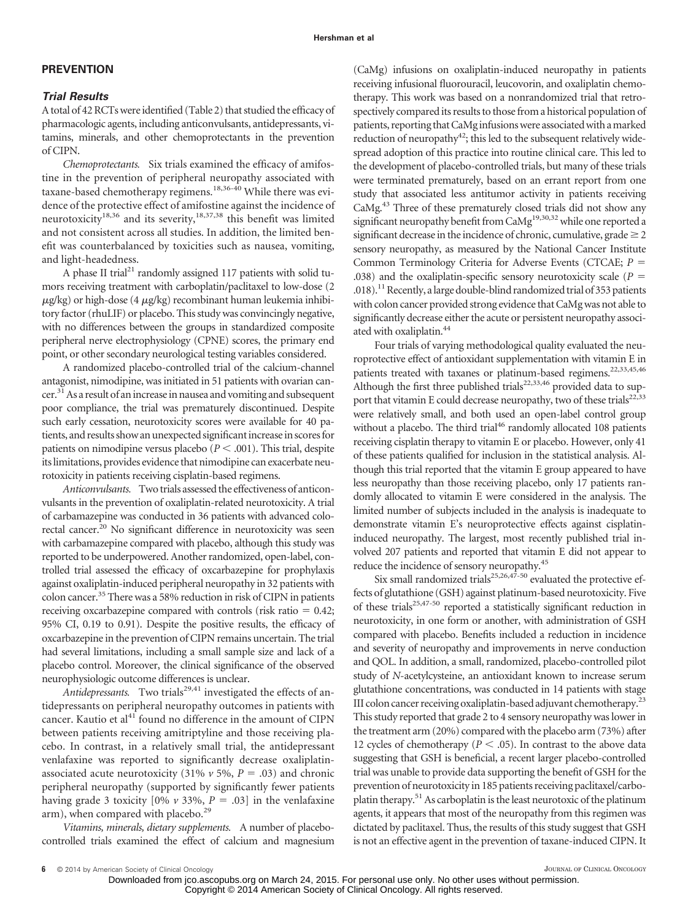### **PREVENTION**

### *Trial Results*

A total of 42 RCTs were identified (Table 2) that studied the efficacy of pharmacologic agents, including anticonvulsants, antidepressants, vitamins, minerals, and other chemoprotectants in the prevention of CIPN.

*Chemoprotectants.* Six trials examined the efficacy of amifostine in the prevention of peripheral neuropathy associated with taxane-based chemotherapy regimens.<sup>18,36-40</sup> While there was evidence of the protective effect of amifostine against the incidence of neurotoxicity<sup>18,36</sup> and its severity,<sup>18,37,38</sup> this benefit was limited and not consistent across all studies. In addition, the limited benefit was counterbalanced by toxicities such as nausea, vomiting, and light-headedness.

A phase II trial<sup>21</sup> randomly assigned 117 patients with solid tumors receiving treatment with carboplatin/paclitaxel to low-dose (2  $\mu$ g/kg) or high-dose (4  $\mu$ g/kg) recombinant human leukemia inhibitory factor (rhuLIF) or placebo. This study was convincingly negative, with no differences between the groups in standardized composite peripheral nerve electrophysiology (CPNE) scores, the primary end point, or other secondary neurological testing variables considered.

A randomized placebo-controlled trial of the calcium-channel antagonist, nimodipine, was initiated in 51 patients with ovarian cancer.<sup>31</sup> As a result of an increase in nausea and vomiting and subsequent poor compliance, the trial was prematurely discontinued. Despite such early cessation, neurotoxicity scores were available for 40 patients, and results show an unexpected significant increase in scores for patients on nimodipine versus placebo ( $P < .001$ ). This trial, despite its limitations, provides evidence that nimodipine can exacerbate neurotoxicity in patients receiving cisplatin-based regimens.

*Anticonvulsants.* Two trials assessed the effectiveness of anticonvulsants in the prevention of oxaliplatin-related neurotoxicity. A trial of carbamazepine was conducted in 36 patients with advanced colorectal cancer.<sup>20</sup> No significant difference in neurotoxicity was seen with carbamazepine compared with placebo, although this study was reported to be underpowered. Another randomized, open-label, controlled trial assessed the efficacy of oxcarbazepine for prophylaxis against oxaliplatin-induced peripheral neuropathy in 32 patients with colon cancer.35 There was a 58% reduction in risk of CIPN in patients receiving oxcarbazepine compared with controls (risk ratio  $= 0.42$ ; 95% CI, 0.19 to 0.91). Despite the positive results, the efficacy of oxcarbazepine in the prevention of CIPN remains uncertain. The trial had several limitations, including a small sample size and lack of a placebo control. Moreover, the clinical significance of the observed neurophysiologic outcome differences is unclear.

Antidepressants. Two trials<sup>29,41</sup> investigated the effects of antidepressants on peripheral neuropathy outcomes in patients with cancer. Kautio et al $41$  found no difference in the amount of CIPN between patients receiving amitriptyline and those receiving placebo. In contrast, in a relatively small trial, the antidepressant venlafaxine was reported to significantly decrease oxaliplatinassociated acute neurotoxicity (31%  $\nu$  5%,  $P = .03$ ) and chronic peripheral neuropathy (supported by significantly fewer patients having grade 3 toxicity  $[0\% \, v \, 33\%, \, P = .03]$  in the venlafaxine arm), when compared with placebo.<sup>29</sup>

*Vitamins, minerals, dietary supplements.* A number of placebocontrolled trials examined the effect of calcium and magnesium (CaMg) infusions on oxaliplatin-induced neuropathy in patients receiving infusional fluorouracil, leucovorin, and oxaliplatin chemotherapy. This work was based on a nonrandomized trial that retrospectively compared its results to those from a historical population of patients, reporting that CaMg infusions were associated with a marked reduction of neuropathy<sup>42</sup>; this led to the subsequent relatively widespread adoption of this practice into routine clinical care. This led to the development of placebo-controlled trials, but many of these trials were terminated prematurely, based on an errant report from one study that associated less antitumor activity in patients receiving CaMg.43 Three of these prematurely closed trials did not show any significant neuropathy benefit from CaMg<sup>19,30,32</sup> while one reported a significant decrease in the incidence of chronic, cumulative, grade  $\geq 2$ sensory neuropathy, as measured by the National Cancer Institute Common Terminology Criteria for Adverse Events (CTCAE; *P* .038) and the oxaliplatin-specific sensory neurotoxicity scale ( $P =$ .018).11Recently, alarge double-blind randomized trial of353 patients with colon cancer provided strong evidence that CaMg was not able to significantly decrease either the acute or persistent neuropathy associated with oxaliplatin.<sup>44</sup>

Four trials of varying methodological quality evaluated the neuroprotective effect of antioxidant supplementation with vitamin E in patients treated with taxanes or platinum-based regimens.<sup>22,33,45,46</sup> Although the first three published trials<sup>22,33,46</sup> provided data to support that vitamin E could decrease neuropathy, two of these trials<sup>22,33</sup> were relatively small, and both used an open-label control group without a placebo. The third trial<sup>46</sup> randomly allocated 108 patients receiving cisplatin therapy to vitamin E or placebo. However, only 41 of these patients qualified for inclusion in the statistical analysis. Although this trial reported that the vitamin E group appeared to have less neuropathy than those receiving placebo, only 17 patients randomly allocated to vitamin E were considered in the analysis. The limited number of subjects included in the analysis is inadequate to demonstrate vitamin E's neuroprotective effects against cisplatininduced neuropathy. The largest, most recently published trial involved 207 patients and reported that vitamin E did not appear to reduce the incidence of sensory neuropathy.45

Six small randomized trials<sup>25,26,47-50</sup> evaluated the protective effects of glutathione (GSH) against platinum-based neurotoxicity. Five of these trials<sup>25,47-50</sup> reported a statistically significant reduction in neurotoxicity, in one form or another, with administration of GSH compared with placebo. Benefits included a reduction in incidence and severity of neuropathy and improvements in nerve conduction and QOL. In addition, a small, randomized, placebo-controlled pilot study of *N*-acetylcysteine, an antioxidant known to increase serum glutathione concentrations, was conducted in 14 patients with stage III colon cancer receiving oxaliplatin-based adjuvant chemotherapy.<sup>23</sup> This study reported that grade 2 to 4 sensory neuropathy was lower in the treatment arm (20%) compared with the placebo arm (73%) after 12 cycles of chemotherapy ( $P < .05$ ). In contrast to the above data suggesting that GSH is beneficial, a recent larger placebo-controlled trial was unable to provide data supporting the benefit of GSH for the prevention of neurotoxicity in 185 patients receiving paclitaxel/carboplatin therapy.<sup>51</sup> As carboplatin is the least neurotoxic of the platinum agents, it appears that most of the neuropathy from this regimen was dictated by paclitaxel. Thus, the results of this study suggest that GSH is not an effective agent in the prevention of taxane-induced CIPN. It

**<sup>6</sup>** © 2014 by American Society of Clinical Oncology JOURNAL OF CLINICAL ONCOLOGY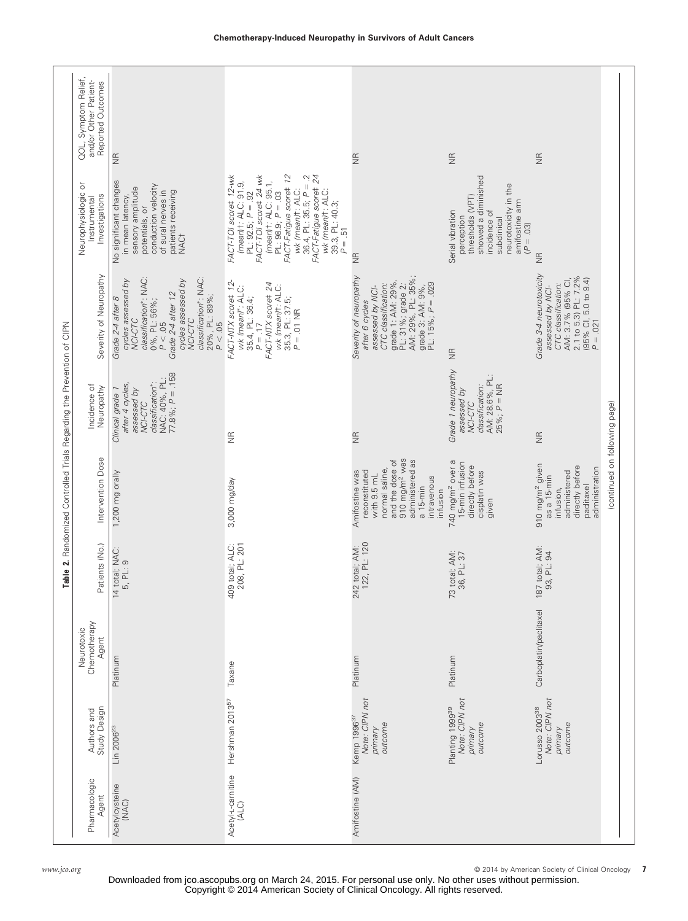|                                                                       | QOL, Symptom Relief,<br>and/or Other Patient-<br>Reported Outcomes | $\frac{\alpha}{2}$                                                                                                                                                                                                      |                                                                                                                                                                                                                                                                                                  | $\frac{\pi}{2}$                                                                                                                                                                                   | $\widetilde{\Xi}$                                                                                                                                                 | $\frac{\pi}{2}$                                                                                                                                       |                               |
|-----------------------------------------------------------------------|--------------------------------------------------------------------|-------------------------------------------------------------------------------------------------------------------------------------------------------------------------------------------------------------------------|--------------------------------------------------------------------------------------------------------------------------------------------------------------------------------------------------------------------------------------------------------------------------------------------------|---------------------------------------------------------------------------------------------------------------------------------------------------------------------------------------------------|-------------------------------------------------------------------------------------------------------------------------------------------------------------------|-------------------------------------------------------------------------------------------------------------------------------------------------------|-------------------------------|
|                                                                       | Neurophysiologic or<br>Investigations<br>Instrumental              | No significant changes<br>conduction velocity<br>sensory amplitude<br>patients receiving<br>of sural nerves in<br>in mean latency,<br>potentials, or<br>NAC <sub>1</sub>                                                | PL: 92.5; P = .32<br>FACT-TOI scoret 24 wk<br>(mean) t: ALC: 95.1,<br>PL: 98.9; P = .03<br>FACT-Fatigue scoret 12<br>FACT-Fatigue scoret 24<br>36.4, PL: 35.5; P = .2<br>FACT-TOI scoret 12-wk<br>$(mean)$ †: ALC: 91.9,<br>wk (mean)t: ALC:<br>wk (mean)t: ALC:<br>39.3, PL: 40.3;<br>$P = .51$ | $\widetilde{\Xi}$                                                                                                                                                                                 | showed a diminished<br>neurotoxicity in the<br>thresholds (VPT)<br>amifostine arm<br>Serial vibration<br>incidence of<br>perception<br>subclinical<br>$(P = .03)$ | $\frac{\alpha}{2}$                                                                                                                                    |                               |
|                                                                       | Severity of Neuropathy                                             | classification*: NAC:<br>classification*: NAC:<br>cycles assessed by<br>cycles assessed by<br>Grade 2-4 after 12<br>Grade 2-4 after 8<br>$20\%$ , PL: 89%;<br>$P < .05$<br>0%, PL: 56%;<br>NCI-CTC<br>NCI-CTC<br>P < 05 | FACT-NTX scoret 12-<br>FACT-NTX score# 24<br>wk (mean)": ALC:<br>wk (mean)†: ALC:<br>35.3, PL: 37.5;<br>35.4, PL: 36.4;<br>$P = .01$ NR<br>$P = .17$                                                                                                                                             | AM: 29%, PL: 35%;<br>Severity of neuropathy<br>grade 1: AM: 29%,<br>PL: $15\%$ ; $P = .029$<br>CTC classification:<br>PL: 31%; grade 2:<br>grade 3: AM: 9%,<br>assessed by NCI-<br>after 6 cycles | $\frac{\pi}{2}$                                                                                                                                                   | Grade 3-4 neurotoxicity<br>AM: 3.7% (95% CI,<br>2.1 to 5.3) PL: 7.2%<br>(95% CI, 5.0 to 9.4)<br>CTC classification:<br>assessed by NCI-<br>$P = .021$ |                               |
| able 2. Randomized Controlled Trials Regarding the Prevention of CIPN | Incidence of<br>Neuropathy                                         | $77.8\%$ ; $P = .158$<br>NAC: 40%, PL:<br>classification*:<br>Clinical grade 1<br>after 4 cycles,<br>assessed by<br>NCI-CTC                                                                                             | $\frac{\alpha}{2}$                                                                                                                                                                                                                                                                               | $\frac{\alpha}{2}$                                                                                                                                                                                | Grade 1 neuropathy<br>AM: 28.6%, PL:<br>25%; $P = \text{NR}$<br>classification:<br>assessed by<br>NCI-CTC                                                         | $\frac{\pi}{2}$                                                                                                                                       |                               |
|                                                                       | Intervention Dose                                                  | 1,200 mg orally                                                                                                                                                                                                         | 3,000 mg/day                                                                                                                                                                                                                                                                                     | $910$ mg/m <sup>2</sup> was<br>administered as<br>and the dose of<br>normal saline,<br>Amifostine was<br>reconstituted<br>with 9.5 mL<br>intravenous<br>a 15-min<br>infusion                      | 740 mg/m <sup>2</sup> over a<br>15-min infusion<br>directly before<br>cisplatin was<br>given                                                                      | 910 mg/m <sup>2</sup> given<br>directly before<br>administration<br>administered<br>as a 15-min<br>paclitaxel<br>infusion,                            | (continued on following page) |
|                                                                       | Patients (No.)                                                     | 14 total; NAC:<br>5, PL: 9                                                                                                                                                                                              | 409 total; ALC:<br>208, PL: 201                                                                                                                                                                                                                                                                  | 242 total; AM:<br>122, PL: 120                                                                                                                                                                    | 73 total; AM:<br>36, PL: 37                                                                                                                                       | 187 total; AM:<br>93, PL: 94                                                                                                                          |                               |
|                                                                       | Chemotherapy<br>Neurotoxic<br>Agent                                | Platinum                                                                                                                                                                                                                | Taxane                                                                                                                                                                                                                                                                                           | Platinum                                                                                                                                                                                          | Platinum                                                                                                                                                          | Carboplatin/paclitaxel                                                                                                                                |                               |
|                                                                       | Study Design<br>Authors and                                        | Lin 2006 <sup>23</sup>                                                                                                                                                                                                  | Hershman 2013 <sup>57</sup>                                                                                                                                                                                                                                                                      | Note: CIPN not<br>Kemp 1996 <sup>37</sup><br>outcome<br>primary                                                                                                                                   | Planting 1999 <sup>39</sup><br>Note: CIPN not<br>outcome<br>primary                                                                                               | Lorusso 2003 <sup>38</sup><br>Note: CIPN not<br>primary<br>outcome                                                                                    |                               |
|                                                                       | Pharmacologic<br>Agent                                             | Acetylcysteine<br>(NAC)                                                                                                                                                                                                 | Acetyl-L-carnitine<br><b>ALC</b>                                                                                                                                                                                                                                                                 | Amifostine (AM)                                                                                                                                                                                   |                                                                                                                                                                   |                                                                                                                                                       |                               |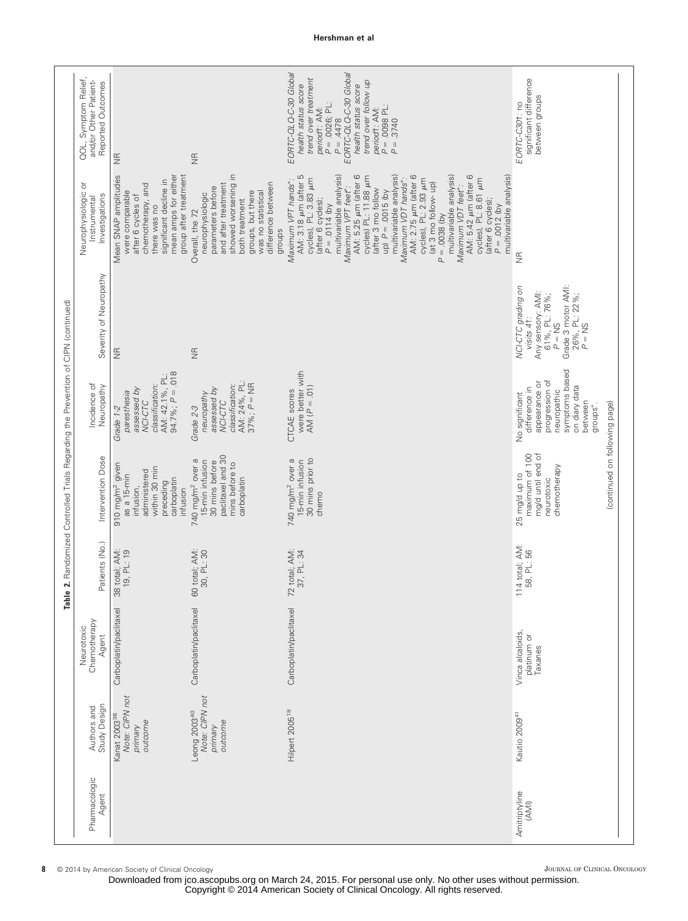|                                                                              | QOL, Symptom Relief,<br>and/or Other Patient-<br>Reported Outcomes | $\frac{\mathbb{E}}{\mathbb{E}}$                                                                                                                                              | $\frac{\pi}{2}$                                                                                                                                                                                     | EORTC-QLQ-C-30 Global<br>EORTC-QLQ-C-30 Global<br>trend over treatment<br>trend over follow up<br>health status score<br>health status score<br>$P = .0026; P L:$<br>$P = .0098$ PL:<br>$P = .3740$<br>periodt: AM:<br>periodt: AM:<br>$P = .4478$                                                                                                                                                                                                                                                                                                                                                          | significant difference<br>between groups<br>EORTC-C301: no                                                                                             |
|------------------------------------------------------------------------------|--------------------------------------------------------------------|------------------------------------------------------------------------------------------------------------------------------------------------------------------------------|-----------------------------------------------------------------------------------------------------------------------------------------------------------------------------------------------------|-------------------------------------------------------------------------------------------------------------------------------------------------------------------------------------------------------------------------------------------------------------------------------------------------------------------------------------------------------------------------------------------------------------------------------------------------------------------------------------------------------------------------------------------------------------------------------------------------------------|--------------------------------------------------------------------------------------------------------------------------------------------------------|
|                                                                              | Neurophysiologic or<br>Investigations<br>Instrumental              | group after treatment<br>Mean SNAP amplitudes<br>mean amps for either<br>significant decline in<br>chemotherapy, and<br>were comparable<br>after 6 cycles of<br>there was no | showed worsening in<br>difference between<br>and after treatment<br>parameters before<br>groups, but there<br>was no statistical<br>neurophysiologic<br>both treatment<br>Overall, the 72<br>groups | AM: 5.42 pm (after 6<br>AM: 3.18 $\mu$ m (after 5<br>cycles), PL: 3.83 $\mu$ m<br>multivariable analysis)<br>Max <i>imum VPT feet</i> *:<br>AM: 5.25 µm (after 6<br>AM: 2.75 $\mu$ m (after 6<br>cycles), PL: 2.93 $\mu$ m<br>multivariable analysis)<br>Maximum VDT feet":<br>multivariable analysis)<br>Maximum VDT hands*:<br>multivariable analysis)<br>cycles) PL: 11.88 $\mu$ m<br>cycles), PL: 8.61 um<br>Maximum VPT hands*:<br>(at 3 mo follow- up)<br>(after 3 mo follow<br>up) $P = .0015$ (by<br>(after 6 cycles);<br>(after 6 cycles);<br>$P = 0114$ (by<br>$P = .0012$ (by<br>$P = 0.038$ (by | $\frac{\alpha}{2}$                                                                                                                                     |
|                                                                              | Severity of Neuropathy                                             | $\frac{\pi}{2}$                                                                                                                                                              | $\frac{\pi}{2}$                                                                                                                                                                                     |                                                                                                                                                                                                                                                                                                                                                                                                                                                                                                                                                                                                             | Grade 3 motor AMI:<br>NCI-CTC grading on<br>Any sensory: AMI:<br>61%, PL: 76%;<br>26%, PL: 22%;<br>visits 4t:<br>$P = NS$<br>$P = NS$                  |
|                                                                              | Incidence of<br>Neuropathy                                         | $94.7\%$ ; $P = .018$<br>AM: 42.1%, PL:<br>classification:<br>assessed by<br>paresthesia<br>NCI-CTC<br>Grade 1-2                                                             | AM: 24%, PL:<br>37%; $P = \text{NR}$<br>classification:<br>assessed by<br>neuropathy<br>NCI-CTC<br>Grade 2-3                                                                                        | were better with<br>AM $(P = .01)$<br>CTCAE scores                                                                                                                                                                                                                                                                                                                                                                                                                                                                                                                                                          | symptoms based<br>progression of<br>appearance or<br>on diary data<br>difference in<br>neuropathic<br>No significant<br>between<br>groups <sup>*</sup> |
| 2. Randomized Controlled Trials Regarding the Prevention of CIPN (continued) | Intervention Dose                                                  | 910 mg/m <sup>2</sup> given<br>as a 15-min<br>within 30 min<br>administered<br>carboplatin<br>preceding<br>infusion,<br>infusion                                             | paclitaxel and 30<br>740 mg/m <sup>2</sup> over a<br>30 mins before<br>15-min infusion<br>mins before to<br>carboplatin                                                                             | 30 mins prior to<br>740 mg/m <sup>2</sup> over a<br>15-min infusion<br>chemo                                                                                                                                                                                                                                                                                                                                                                                                                                                                                                                                | (continued on following page)<br>maximum of 100<br>mg/d until end of<br>chemotherapy<br>25 mg/d up to<br>neurotoxic                                    |
| Table                                                                        | Patients (No.)                                                     | 38 total; AM:<br>19, PL: 19                                                                                                                                                  | 60 total; AM:<br>30, PL: 30                                                                                                                                                                         | 72 total; AM:<br>37, PL: 34                                                                                                                                                                                                                                                                                                                                                                                                                                                                                                                                                                                 | 4 total; AM:<br>58, PL: 56<br>Ξ                                                                                                                        |
|                                                                              | Chemotherapy<br>Neurotoxic<br>Agent                                | Carboplatin/paclitaxel                                                                                                                                                       | Carboplatin/paclitaxel                                                                                                                                                                              | Carboplatin/paclitaxel                                                                                                                                                                                                                                                                                                                                                                                                                                                                                                                                                                                      | Vinca alcaloids,<br>platinum or<br>Taxanes                                                                                                             |
|                                                                              | Study Design<br>Authors and                                        | Note: CIPN not<br>Kanat 2003 <sup>36</sup><br>outcome<br>primary                                                                                                             | Note: CIPN not<br>Leong 2003 <sup>40</sup><br>outcome<br>primary                                                                                                                                    | Hilpert 2005 <sup>18</sup>                                                                                                                                                                                                                                                                                                                                                                                                                                                                                                                                                                                  | Kautio 2009 <sup>41</sup>                                                                                                                              |
|                                                                              | Pharmacologic<br>Agent                                             |                                                                                                                                                                              |                                                                                                                                                                                                     |                                                                                                                                                                                                                                                                                                                                                                                                                                                                                                                                                                                                             | Amitriptyline<br>(AMI)                                                                                                                                 |

**8** © 2014 by American Society of Clinical Oncology **Journal of Clinical Oncology** Journal Of Clinical Oncology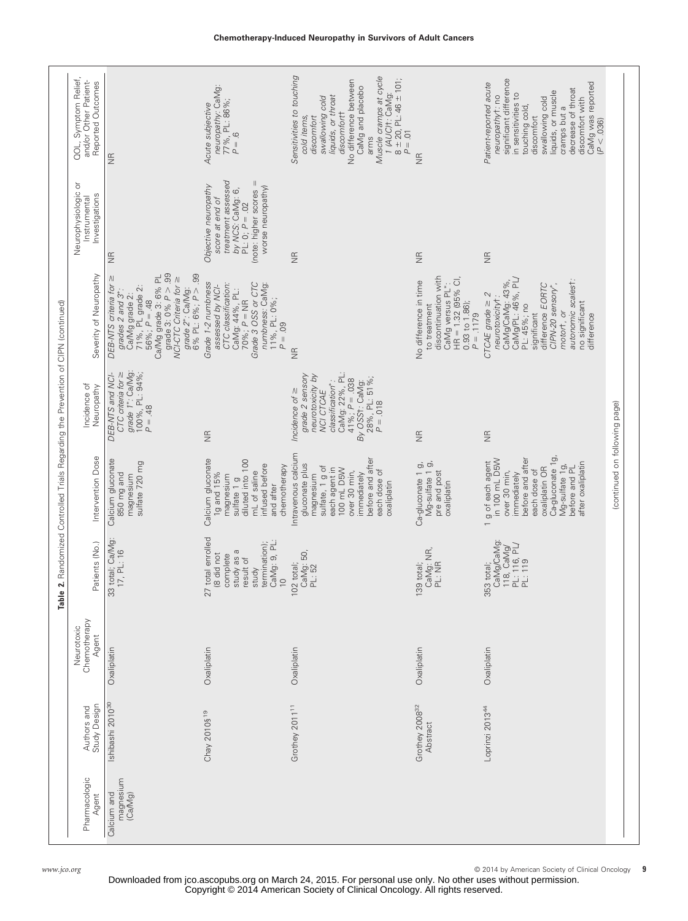|                                                                              | QOL, Symptom Relief,<br>and/or Other Patient-<br>Reported Outcomes | $\frac{\mathsf{K}}{\mathsf{K}}$                                                                                                                                                                                                                   | neuropathy: CaMg:<br>77%, PL: 86%;<br>Acute subjective<br>$P = .6$                                                                                                         | Sensitivities to touching<br>Muscle cramps at cycle<br>$8 \pm 20$ , PL: $46 \pm 101$ ;<br>No difference between<br>CaMg and placebo<br>1 (AUC)t: CaMg:<br>liquids, or throat<br>swallowing cold<br>discomfort<br>discomfort<br>cold items,<br>$P = 01$<br>arms | $\frac{\alpha}{2}$                                                                                                                         | significant difference<br>Patient-reported acute<br>CaMg was reported<br>decrease of throat<br>liquids, or muscle<br>in sensitivities to<br>neuropathyt: no<br>swallowing cold<br>discomfort with<br>touching cold,<br>cramps but a<br>discomfort<br>(P < .036) |                               |
|------------------------------------------------------------------------------|--------------------------------------------------------------------|---------------------------------------------------------------------------------------------------------------------------------------------------------------------------------------------------------------------------------------------------|----------------------------------------------------------------------------------------------------------------------------------------------------------------------------|----------------------------------------------------------------------------------------------------------------------------------------------------------------------------------------------------------------------------------------------------------------|--------------------------------------------------------------------------------------------------------------------------------------------|-----------------------------------------------------------------------------------------------------------------------------------------------------------------------------------------------------------------------------------------------------------------|-------------------------------|
|                                                                              | Neurophysiologic or<br>Investigations<br>Instrumental              | $\frac{\pi}{2}$                                                                                                                                                                                                                                   | treatment assessed<br>(note: higher scores =<br>worse neuropathy)<br>Objective neuropathy<br>by NCS: CaMg: 6,<br>PL: 0; $P = .02$<br>score at end of                       | $\frac{\alpha}{2}$                                                                                                                                                                                                                                             | $\frac{\mathsf{p}}{\mathsf{p}}$                                                                                                            | $\frac{\pi}{2}$                                                                                                                                                                                                                                                 |                               |
|                                                                              | Severity of Neuropathy                                             | grade 3: $0\%$ $P > .99$<br>6% PL: $6\%$ ; $P > .99$<br>Ca/Mg grade 3: 6% PL<br>DEB-NTS criteria for ≥<br>NCI-CTC Criteria for ≥<br>grade 2 <sup>*</sup> : Ca/Mg:<br>Ca/Mg grade 2:<br>71%, PL grade 2:<br>grades 2 and 3":<br>$56\%$ ; $P = .48$ | Grade 1-2 numbness<br>Grade 3 OSS or CTC<br>CTC classification:<br>numbness: CaMg:<br>assessed by NCI-<br>CaMg: $44\%$ , PL:<br>70%; $P = NR$<br>11%, PL: 0%;<br>$P = .09$ | $\frac{\alpha}{2}$                                                                                                                                                                                                                                             | discontinuation with<br>$CaMg$ versus PL*:<br>HR = 1.32 (95% Cl,<br>No difference in time<br>0.93 to 1.86);<br>to treatment<br>$P = .1179$ | CaMg/PL: 46%, PL<br>autonomic scalest:<br>CaMg/CaMg: 43%,<br>difference EORTC<br>CIPN-20 sensory<br>$CTCAE$ grade $\geq 2$<br>neurotoxicityt:<br>no significant<br>PL: 45%; no<br>motort, or<br>significant<br>difference                                       |                               |
| 2. Randomized Controlled Trials Regarding the Prevention of CIPN (continued) | Incidence of<br>Neuropathy                                         | grade 1*: Ca/Mg:<br>100%, PL: 94%;<br>DEB-NTS and NCI-<br>CTC criteria for ≥<br>$P = .48$                                                                                                                                                         | $\frac{\alpha}{2}$                                                                                                                                                         | CaMg: 22%, PL:<br>41%; $P = .038$<br>grade 2 sensory<br>neurotoxicity by<br>By OSSt: CaMg:<br>28%, PL: 51%;<br>classification":<br>Incidence of $\geq$<br>NCI CTCAE<br>$P = 018$                                                                               | $\frac{\pi}{2}$                                                                                                                            | $\frac{\pi}{2}$                                                                                                                                                                                                                                                 | (continued on following page) |
|                                                                              | Intervention Dose                                                  | Calcium gluconate<br>sulfate 720 mg<br>850 mg and<br>magnesium                                                                                                                                                                                    | Calcium gluconate<br>1g and 15%<br>diluted into 100<br>infused before<br>chemotherapy<br>mL of saline<br>magnesium<br>sulfate 1 g<br>and after                             | Intravenous calcium<br>before and after<br>gluconate plus<br>sulfate, 1 g of<br>each agent in<br>100 mL D5W<br>over 30 min,<br>each dose of<br>immediately<br>magnesium<br>oxaliplatin                                                                         | Mg-sulfate 1 g,<br>Ca-gluconate 1 g,<br>pre and post<br>oxaliplatin                                                                        | Ca-gluconate 1g,<br>before and after<br>in 100 mL D5W<br>1 g of each agent<br>after oxaliplatin<br>Mg-sulfate 1g,<br>before and PL<br>oxaliplatin OR<br>each dose of<br>over 30 min,<br>immediately                                                             |                               |
| Table                                                                        | Patients (No.)                                                     | 33 total; Ca/Mg:<br>17, PL: 16                                                                                                                                                                                                                    | 27 total enrolled<br>CaMg: 9, PL:<br>termination);<br>a se ybuts<br>(8 did not<br>complete<br>result of<br>study<br>$\frac{1}{2}$                                          | CaMg: 50,<br>PL: 52<br>02 total;                                                                                                                                                                                                                               | CaMg: NR,<br>PL: NR<br>139 total;                                                                                                          | CaMg/CaMg:<br>118, CaMg/<br>PL: 116, PL/<br>PL: 119<br>353 total;                                                                                                                                                                                               |                               |
|                                                                              | Chemotherapy<br>Neurotoxic<br>Agent                                | Oxaliplatin                                                                                                                                                                                                                                       | Oxaliplatin                                                                                                                                                                | Oxaliplatin                                                                                                                                                                                                                                                    | Oxaliplatin                                                                                                                                | Oxaliplatin                                                                                                                                                                                                                                                     |                               |
|                                                                              | Study Design<br>Authors and                                        | Ishibashi 2010 <sup>30</sup>                                                                                                                                                                                                                      | Chay 2010§ <sup>19</sup>                                                                                                                                                   | Grothey 2011 <sup>11</sup>                                                                                                                                                                                                                                     | Grothey 2008 <sup>32</sup><br>Abstract                                                                                                     | Loprinzi 201344                                                                                                                                                                                                                                                 |                               |
|                                                                              | Pharmacologic<br>Agent                                             | magnesium<br>(Ca/Mg)<br>Calcium and                                                                                                                                                                                                               |                                                                                                                                                                            |                                                                                                                                                                                                                                                                |                                                                                                                                            |                                                                                                                                                                                                                                                                 |                               |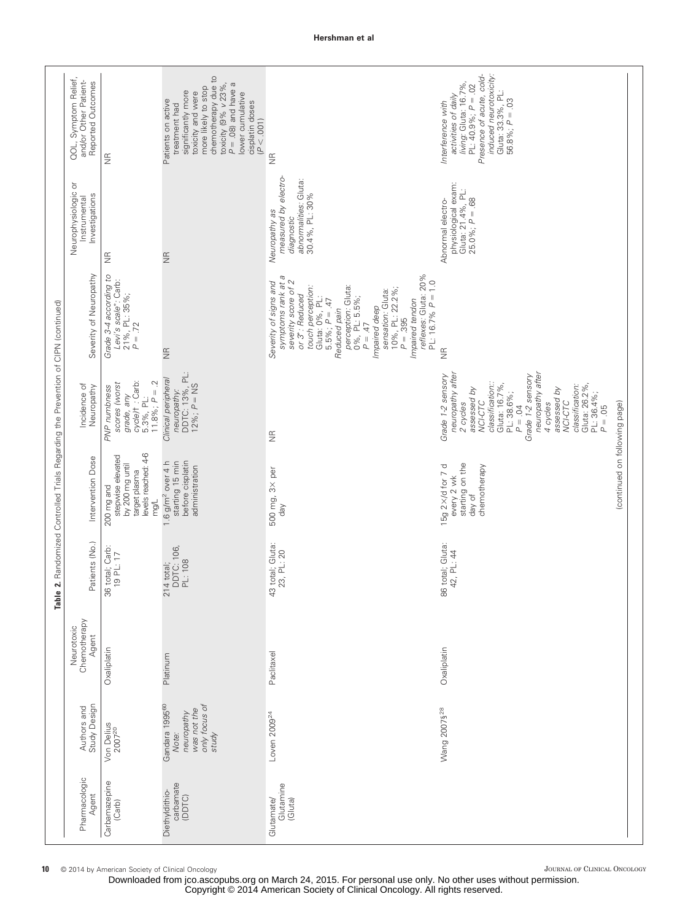|                                                                              | QOL, Symptom Relief,<br>and/or Other Patient-<br>Reported Outcomes | $\frac{\mathbb{C}}{\mathbb{Z}}$                                                                    | chemotherapy due to<br>toxicity (9% $\sqrt{23\%}$ ,<br>$P = .08$ ) and have a<br>more likely to stop<br>significantly more<br>toxicity and were<br>lower cumulative<br>Patients on active<br>cisplatin doses<br>$(P < .001)$<br>treatment had | $\frac{\mathsf{g}}{\mathsf{g}}$                                                                                                                                                                                                                                                                                                                           | Presence of acute, cold-<br>induced neurotoxicity.<br>activities of daily<br>living: Gluta: 16.7%,<br>PL: 40.9%; P = .02<br>Gluta: 33.3%, PL:<br>56.8%; $P = .03$<br>Interference with                                                                                                    |  |
|------------------------------------------------------------------------------|--------------------------------------------------------------------|----------------------------------------------------------------------------------------------------|-----------------------------------------------------------------------------------------------------------------------------------------------------------------------------------------------------------------------------------------------|-----------------------------------------------------------------------------------------------------------------------------------------------------------------------------------------------------------------------------------------------------------------------------------------------------------------------------------------------------------|-------------------------------------------------------------------------------------------------------------------------------------------------------------------------------------------------------------------------------------------------------------------------------------------|--|
|                                                                              | Neurophysiologic or<br>Investigations<br>Instrumental              | $\frac{\alpha}{2}$                                                                                 | $\frac{\alpha}{2}$                                                                                                                                                                                                                            | measured by electro-<br>abnormalities: Gluta:<br>30.4%, PL: 30%<br>Neuropathy as<br>diagnostic                                                                                                                                                                                                                                                            | physiological exam:<br>Gluta: 21.4%, PL:<br>$25.0\%$ ; $P = .68$<br>Abnormal electro-                                                                                                                                                                                                     |  |
|                                                                              | Severity of Neuropathy                                             | Grade 3-4 according to<br>Levi's scale": Carb:<br>21%, PL: 35%;<br>P = .72                         | $\frac{\pi}{2}$                                                                                                                                                                                                                               | reflexes: Gluta: 20%<br>PL: 16.7% $P = 1.0$<br>symptoms rank at a<br>severity score of 2<br>Severity of signs and<br>perception: Gluta:<br>touch perception:<br>Gluta: 0%, PL:<br>5.5%; P = .47<br>10%, PL: 22.2%;<br>Impaired deep<br>sensation: Gluta:<br>or 3": Reduced<br>0%, PL: 5.5%;<br>Impaired tendon<br>Reduced pain<br>$P = .395$<br>$P = .47$ | $\frac{\alpha}{2}$                                                                                                                                                                                                                                                                        |  |
|                                                                              | Incidence of<br>Neuropathy                                         | $11.8\%; P = .2$<br>cycle)t : Carb:<br>scores (worst<br>PNP numbness<br>grade, any<br>5.3%, PL:    | $DDTC: 13\%, PL: 12\%; P = NS$<br>Clinical peripheral<br>neuropathy:                                                                                                                                                                          | $\frac{\alpha}{2}$                                                                                                                                                                                                                                                                                                                                        | neuropathy after<br>neuropathy after<br>Grade 1-2 sensory<br>Grade 1-2 sensory<br>classification::<br>Gluta: 16.7%,<br>classification:<br>Gluta: 26.2%,<br>assessed by<br>assessed by<br>PL: 38.6%;<br>$P = .04$<br>PL: 36.4%;<br>NCI-CTC<br>NCI-CTC<br>4 cycles<br>2 cycles<br>$P = .05$ |  |
| 2. Randomized Controlled Trials Regarding the Prevention of CIPN (continued) | Intervention Dose                                                  | levels reached: 4-6<br>stepwise elevated<br>by 200 mg until<br>target plasma<br>200 mg and<br>mg/L | 1.6 $g/m^2$ over 4 h<br>starting 15 min<br>before cisplatin<br>administration                                                                                                                                                                 | 500 mg, 3× per<br>day                                                                                                                                                                                                                                                                                                                                     | (continued on following page)<br>starting on the<br>15g 2×/d for 7 d<br>chemotherapy<br>every 2 wk<br>day of                                                                                                                                                                              |  |
| Table                                                                        | Patients (No.)                                                     | 36 total; Carb:<br>19 PL: 17                                                                       | <b>DDTC: 106,</b><br>PL: 108<br>4 total;<br>$\overline{2}$                                                                                                                                                                                    | 43 total; Gluta:<br>23, PL: 20                                                                                                                                                                                                                                                                                                                            | 86 total; Gluta:<br>42, PL: 44                                                                                                                                                                                                                                                            |  |
|                                                                              | Chemotherapy<br>Neurotoxic<br>Agent                                | Oxaliplatin                                                                                        | Platinum                                                                                                                                                                                                                                      | Paclitaxel                                                                                                                                                                                                                                                                                                                                                | Oxaliplatin                                                                                                                                                                                                                                                                               |  |
|                                                                              | Authors and<br>Study Design                                        | Von Delius<br>2007 <sup>20</sup>                                                                   | Gandara 1995 <sup>60</sup><br>was not the<br>only focus of<br>neuropathy<br>study<br>Note:                                                                                                                                                    | Loven 2009 <sup>24</sup>                                                                                                                                                                                                                                                                                                                                  | Wang 2007§ <sup>28</sup>                                                                                                                                                                                                                                                                  |  |
|                                                                              | Pharmacologic<br>Agent                                             | Carbamazepine<br>(Carb)                                                                            | carbamate<br>Diethyldithio-<br>(DDTC)                                                                                                                                                                                                         | Glutamine<br>(Gluta)<br>Glutamate/                                                                                                                                                                                                                                                                                                                        |                                                                                                                                                                                                                                                                                           |  |

**10** © 2014 by American Society of Clinical Oncology **Journal Of Clinical Oncology** Journal Of Clinical Oncology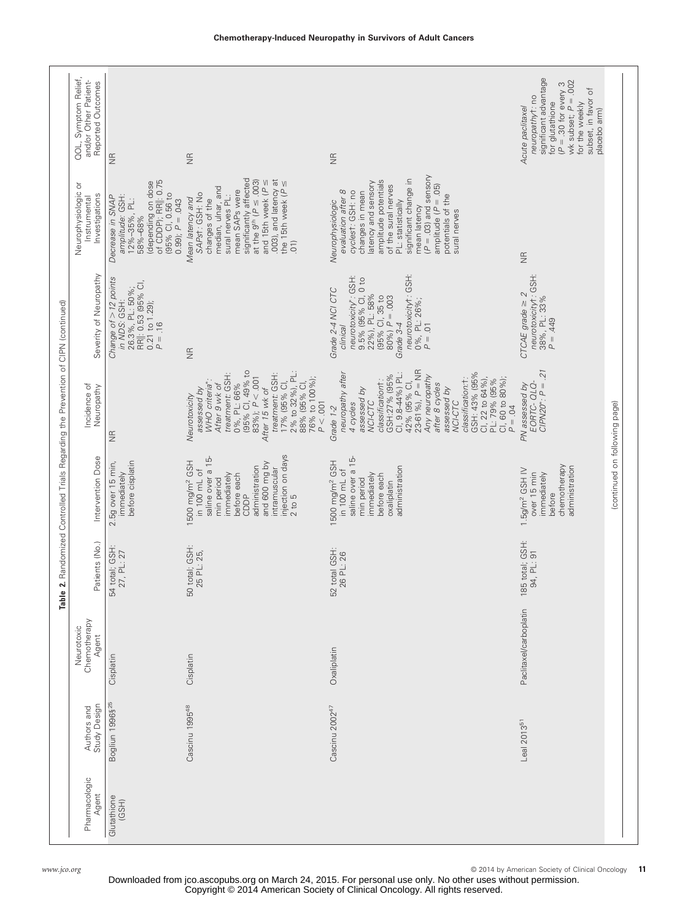|                        |                             |                                     | Table                         |                                                                                                                                                                                                            | 2. Randomized Controlled Trials Regarding the Prevention of CIPN (continued)                                                                                                                                                                                                                                                                        |                                                                                                                                                                                                    |                                                                                                                                                                                                                                                                                                            |                                                                                                                                                                                             |
|------------------------|-----------------------------|-------------------------------------|-------------------------------|------------------------------------------------------------------------------------------------------------------------------------------------------------------------------------------------------------|-----------------------------------------------------------------------------------------------------------------------------------------------------------------------------------------------------------------------------------------------------------------------------------------------------------------------------------------------------|----------------------------------------------------------------------------------------------------------------------------------------------------------------------------------------------------|------------------------------------------------------------------------------------------------------------------------------------------------------------------------------------------------------------------------------------------------------------------------------------------------------------|---------------------------------------------------------------------------------------------------------------------------------------------------------------------------------------------|
| Pharmacologic<br>Agent | Study Design<br>Authors and | Chemotherapy<br>Neurotoxic<br>Agent | Patients (No.)                | Intervention Dose                                                                                                                                                                                          | Incidence of<br>Neuropathy                                                                                                                                                                                                                                                                                                                          | Severity of Neuropathy                                                                                                                                                                             | Neurophysiologic or<br>Investigations<br>Instrumental                                                                                                                                                                                                                                                      | QOL, Symptom Relief,<br>and/or Other Patient-<br>Reported Outcomes                                                                                                                          |
| Glutathione<br>(GSH)   | Bogliun 1996§ <sup>25</sup> | Cisplatin                           | 54 total; GSH:<br>27, PL: 27  | before cisplatin<br>$2.5g$ over 15 min,<br>immediately                                                                                                                                                     | $\frac{\pi}{2}$                                                                                                                                                                                                                                                                                                                                     | Change of >12 points<br>in NDS: GSH:<br>26.3%, PL: 50%;<br>RR  : 0.53 (95% Cl,<br>$0.21$ to $1.29$ ;<br>$P = .16$                                                                                  | (depending on dose<br>of CDDP); RR  : 0.75<br>(95% CI, 0.56 to<br>amplitude: GSH:<br>Decrease in SNAP<br>12%-35%, PL:<br>$0.99$ ; $P = 043$<br>58%-68%                                                                                                                                                     | $\frac{\mathsf{p}}{\mathsf{p}}$                                                                                                                                                             |
|                        | Cascinu 1995 <sup>48</sup>  | Cisplatin                           | 50 total; GSH:<br>25 PL: 25,  | injection on days<br>saline over a 15-<br>1500 mg/m <sup>2</sup> GSH<br>and 600 mg by<br>administration<br>intramuscular<br>in 100 mL of<br>immediately<br>before each<br>min period<br>CDDP<br>$2$ to $5$ | 0%, PL: 66%<br>(95% Cl, 49% to<br>83%); P < .001<br>After 15 wk of<br>17% (95% Cl,<br>2% to 32%), PL:<br>After 9 wk of<br>treatment: GSH:<br>treatment: GSH:<br>76% to 100%);<br>88% (95% CI,<br>WHO criteria*:<br>assessed by<br>Neurotoxicity<br>P < 001                                                                                          | $\frac{\alpha}{2}$                                                                                                                                                                                 | .003), and latency at<br>the 15th week ( $P \le$<br>significantly affected<br>at the 9 <sup>th</sup> ( $P \le 0.003$ )<br>and 15th week ( $P \leq$<br>median, ulnar, and<br>mean SAPs were<br>SAPst: GSH: No<br>sural nerves PL:<br>Mean latency and<br>changes of the<br>$\overline{0}$                   | $\frac{\infty}{2}$                                                                                                                                                                          |
|                        | Cascinu 2002 <sup>47</sup>  | Oxaliplatin                         | 52 total GSH:<br>26 PL: 26    | saline over a 15-<br>1500 mg/m <sup>2</sup> GSH<br>administration<br>in 100 mL of<br>immediately<br>before each<br>min period<br>oxaliplatin                                                               | $23-61\%$ ), $P = \text{NR}$<br>GSH: 43% (95%<br>neuropathy after<br>GSH:27% (95%<br>Cl, 9.8-44%) PL:<br>Any neuropathy<br>classification:1:<br>Cl, 22 to 64%),<br>PL: 79% (95%)<br>Cl, 60 to 80%);<br>classificationt:<br>42% (95% CI,<br>after 8 cycles<br>assessed by<br>assessed by<br>NCI-CTC<br>NCI-CTC<br>4 cycles<br>$P = .04$<br>Grade 1-2 | neurotoxicityt: GSH:<br>neurotoxicity": GSH:<br>9.5% (95% CI, 0 to<br>Grade 2-4 NCI CTC<br>22%), PL: 58%<br>(95% Cl, 35 to<br>80% $P = .003$<br>0%, PL: 26%;<br>Grade 3-4<br>$P = .01$<br>clinical | $(P = .03)$ and sensory<br>significant change in<br>amplitude potentials<br>latency and sensory<br>amplitude $(P = .05)$<br>of the sural nerves<br>evaluation after 8<br>cyclest: GSH: no<br>changes in mean<br>potentials of the<br>PL: statistically<br>Neurophysiologic<br>mean latency<br>sural nerves | $\frac{\pi}{2}$                                                                                                                                                                             |
|                        | Leal 2013 <sup>51</sup>     | Paclitaxel/carboplatin              | 185 total; GSH:<br>94, PL: 91 | chemotherapy<br>administration<br>$1.5$ g/m <sup>2</sup> GSH IV<br>over 15 min<br>immediately<br>before                                                                                                    | $CIPNZO^* : P = .21$<br>EORTC- QLQ-<br>PN assessed by                                                                                                                                                                                                                                                                                               | neurotoxicityt: GSH:<br>38%, PL: 33%<br>$CTCAE$ grade $\geq 2$<br>$P = .449$                                                                                                                       | $\frac{\pi}{2}$                                                                                                                                                                                                                                                                                            | significant advantage<br>$(P = .30$ for every 3<br>wk subset; $P = .002$<br>subset, in favor of<br>neuropathyt: no<br>for glutathione<br>for the weekly<br>Acute paclitaxel<br>placebo arm) |
|                        |                             |                                     |                               | (continued on following page)                                                                                                                                                                              |                                                                                                                                                                                                                                                                                                                                                     |                                                                                                                                                                                                    |                                                                                                                                                                                                                                                                                                            |                                                                                                                                                                                             |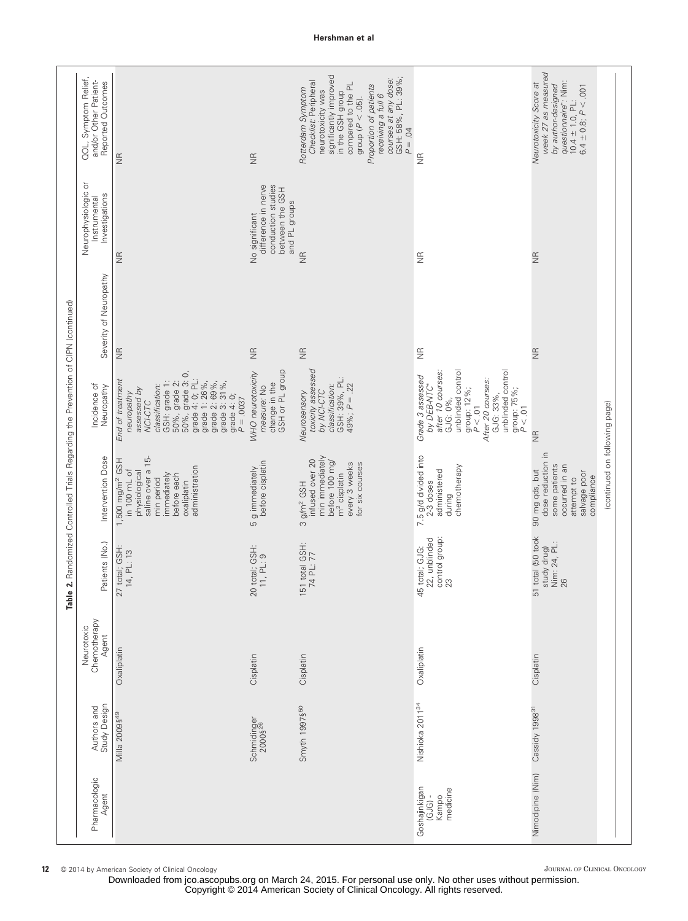|                                                                              | QOL, Symptom Relief,<br>and/or Other Patient-<br>Reported Outcomes | $\frac{\pi}{2}$                                                                                                                                                                                                                       | $\frac{\mathbb{E}}{\mathbb{E}}$                                                                 | significantly improved<br>courses at any dose:<br>GSH: 58%, PL: 39%;<br>Checklist: Peripheral<br>compared to the PL<br>Proportion of patients<br>Rotterdam Symptom<br>neurotoxicity was<br>in the GSH group<br>receiving a full 6<br>group ( $P < .05$ ).<br>$P = .04$ | $\frac{\infty}{2}$                                                                                                                                                                                 | week 27 as measured<br>questionnaire*: Nim:<br>10.4 $\pm$ 1.0, PL:<br>Neurotoxicity Score at<br>by author-designed<br>$6.4 \pm 0.8$ ; $P < .001$ |                               |
|------------------------------------------------------------------------------|--------------------------------------------------------------------|---------------------------------------------------------------------------------------------------------------------------------------------------------------------------------------------------------------------------------------|-------------------------------------------------------------------------------------------------|------------------------------------------------------------------------------------------------------------------------------------------------------------------------------------------------------------------------------------------------------------------------|----------------------------------------------------------------------------------------------------------------------------------------------------------------------------------------------------|--------------------------------------------------------------------------------------------------------------------------------------------------|-------------------------------|
|                                                                              | Neurophysiologic or<br>Investigations<br>Instrumental              | $\frac{\pi}{2}$                                                                                                                                                                                                                       | difference in nerve<br>conduction studies<br>between the GSH<br>and PL groups<br>No significant | $\frac{\alpha}{2}$                                                                                                                                                                                                                                                     | $\frac{\alpha}{2}$                                                                                                                                                                                 | $\frac{\pi}{2}$                                                                                                                                  |                               |
|                                                                              | Severity of Neuropathy                                             | $\frac{\alpha}{2}$                                                                                                                                                                                                                    | $\frac{\mathbb{E}}{\mathbb{E}}$                                                                 | $\frac{\mathbb{E}}{\mathbb{E}}$                                                                                                                                                                                                                                        | $\frac{\alpha}{2}$                                                                                                                                                                                 | $\frac{\pi}{2}$                                                                                                                                  |                               |
| 2. Randomized Controlled Trials Regarding the Prevention of CIPN (continued) | Incidence of<br>Neuropathy                                         | 50%, grade 2:<br>50%, grade 3: 0,<br>grade 4: 0; PL:<br>grade 1: 26%,<br>grade 2: 69%,<br>End of treatment<br>GSH: grade 1:<br>grade 3: 31%,<br>grade 4: 0;<br>$P = .0037$<br>classification:<br>assessed by<br>neuropathy<br>NCI-CTC | GSH or PL group<br>WHO neurotoxicity<br>change in the<br>measure: No                            | toxicity assessed<br>GSH: 39%, PL:<br>49%; $P = .22$<br>classification:<br>by NCI-CTC<br>Neurosensory                                                                                                                                                                  | unblinded control<br>unblinded control<br>after 10 courses:<br>Grade 3 assessed<br>After 20 courses:<br>by DEB-NTC"<br>group: 12%;<br>$\frac{1}{2}$ group: 75%;<br>GJG: 33%,<br>GJG: 0%,<br>P < 01 | $\frac{\alpha}{2}$                                                                                                                               |                               |
|                                                                              | Intervention Dose                                                  | saline over a 15-<br>1,500 mg/m <sup>2</sup> GSH<br>administration<br>in 100 mL of<br>physiological<br>immediately<br>before each<br>min period<br>oxaliplatin                                                                        | before cisplatin<br>5 g immediately                                                             | min immediately<br>infused over 20<br>before 100 mg/<br>every 3 weeks<br>for six courses<br>m <sup>2</sup> cisplatin<br>3 g/m <sup>2</sup> GSH                                                                                                                         | 7.5 g/d divided into<br>chemotherapy<br>administered<br>2-3 doses<br>during                                                                                                                        | dose reduction in<br>some patients<br>occurred in an<br>90 mg qds, but<br>salvage poor<br>compliance<br>attempt to                               | (continued on following page) |
| Table                                                                        | Patients (No.)                                                     | 27 total; GSH:<br>14, PL: 13                                                                                                                                                                                                          | 20 total; GSH:<br>11, PL: 9                                                                     | 151 total GSH:<br>74 PL: 77                                                                                                                                                                                                                                            | control group:<br>22, unblinded<br>45 total; GJG:<br>23                                                                                                                                            | total (50 took<br>study drug)<br>Nim: 24, PL:<br>26<br>으                                                                                         |                               |
|                                                                              | Chemotherapy<br>Neurotoxic<br>Agent                                | Oxaliplatin                                                                                                                                                                                                                           | Cisplatin                                                                                       | Cisplatin                                                                                                                                                                                                                                                              | Oxaliplatin                                                                                                                                                                                        | Cisplatin                                                                                                                                        |                               |
|                                                                              | Study Design<br>Authors and                                        | Milla 2009§ <sup>49</sup>                                                                                                                                                                                                             | Schmidinger<br>2000§ <sup>26</sup>                                                              | Smyth 1997 § <sup>50</sup>                                                                                                                                                                                                                                             | Nishioka 2011 <sup>34</sup>                                                                                                                                                                        | Nimodipine (Nim) Cassidy 1998 <sup>31</sup>                                                                                                      |                               |
|                                                                              | Pharmacologic<br>Agent                                             |                                                                                                                                                                                                                                       |                                                                                                 |                                                                                                                                                                                                                                                                        | Goshajinkigan<br>medicine<br>Kampo<br>$\overline{G}$                                                                                                                                               |                                                                                                                                                  |                               |

**12** © 2014 by American Society of Clinical Oncology **Journal Of Clinical Oncology** Journal Of Clinical Oncology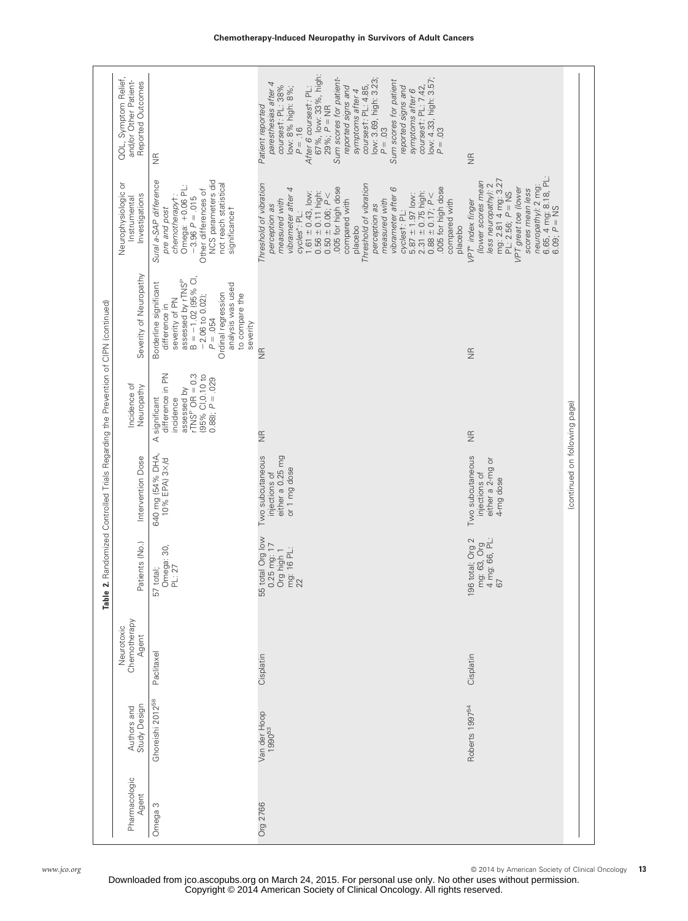|                                                                              | QOL, Symptom Relief,<br>and/or Other Patient-<br>Reported Outcomes | $\frac{\alpha}{2}$                                                                                                                                                                                                   | 67%, low: 33%, high:<br>Sum scores for patient-<br>low: 4.33, high: 3.57;<br>low: 3.69, high: 3.23;<br>Sum scores for patient<br>paresthesias after 4<br>coursest: PL: 7.42,<br>coursest: PL: 38%<br>After 6 coursest: PL:<br>coursest: PL: 4.85,<br>reported signs and<br>reported signs and<br>low: 8% high: 8%;<br>symptoms after 4<br>symptoms after 6<br>$29\%$ ; $P = \text{NR}$<br>Patient reported<br>$P = .16$<br>$P = .03$<br>$P = .03$               | $\frac{\mathsf{K}}{\mathsf{K}}$                                                                                                                                                                                                    |                               |
|------------------------------------------------------------------------------|--------------------------------------------------------------------|----------------------------------------------------------------------------------------------------------------------------------------------------------------------------------------------------------------------|-----------------------------------------------------------------------------------------------------------------------------------------------------------------------------------------------------------------------------------------------------------------------------------------------------------------------------------------------------------------------------------------------------------------------------------------------------------------|------------------------------------------------------------------------------------------------------------------------------------------------------------------------------------------------------------------------------------|-------------------------------|
|                                                                              | Neurophysiologic or<br>Investigations<br>Instrumental              | NCS parameters did<br>Sural a-SAP difference<br>not reach statistical<br>Omega: +0.06 PL:<br>Other differences of<br>chemotherapyt:<br>$-3.96$ $P = .015$<br>significancet<br>pre and post                           | Threshold of vibration<br>Threshold of vibration<br>.005 for high dose<br>.005 for high dose<br>vibrameter after 6<br>vibrameter after 4<br>$1.61 \pm 0.43$ , low:<br>$0.56 \pm 0.11$ high:<br>$0.50 \pm 0.06$ ; $P <$<br>$2.31 \pm 0.75$ high:<br>0.88 $\pm$ 0.17; $P \le$<br>$5.87 \pm 1.97$ low:<br>compared with<br>measured with<br>measured with<br>compared with<br>perception as<br>perception as<br>cyclest: PL:<br>cycles*: PL:<br>placebo<br>placebo | neuropathy): 2 mg:<br>6.65, 4 mg: 8.18, PL:<br>6.09; P = NS<br>mg: 2.81 4 mg: 3.27<br>(lower scores mean<br>less neuropathy): 2<br>VPT great toe (lower<br>scores mean less<br>PL: 2.56; $P = NS$<br>VPT <sup>*</sup> index finger |                               |
|                                                                              | Severity of Neuropathy                                             | $B = -1.02$ (95% CI<br>assessed by rTNSP<br>Borderline significant<br>analysis was used<br>Ordinal regression<br>to compare the<br>$-2.06$ to $0.02$ );<br>severity of PN<br>difference in<br>$P = .054$<br>severity | $\frac{\alpha}{2}$                                                                                                                                                                                                                                                                                                                                                                                                                                              | $\frac{\mathsf{R}}{\mathsf{Z}}$                                                                                                                                                                                                    |                               |
|                                                                              | Incidence of<br>Neuropathy                                         | difference in PN<br>$rTNSP OR = 0.3$<br>$(95\% \text{ C}1, 0.10 \text{ to} 0.88)$ ; $P = .029$<br>assessed by<br>significant<br>incidence<br>$\prec$                                                                 | $\frac{1}{2}$                                                                                                                                                                                                                                                                                                                                                                                                                                                   | $\frac{\mathsf{R}}{\mathsf{Z}}$                                                                                                                                                                                                    |                               |
| 2. Randomized Controlled Trials Regarding the Prevention of CIPN (continued) | Intervention Dose                                                  | 640 mg (54% DHA,<br>10% EPA) 3×/d                                                                                                                                                                                    | either a 0.25 mg<br>Two subcutaneous<br>or 1 mg dose<br>injections of                                                                                                                                                                                                                                                                                                                                                                                           | Two subcutaneous<br>either a 2-mg or<br>injections of<br>4-mg dose                                                                                                                                                                 | (continued on following page) |
| Table                                                                        | Patients (No.)                                                     | Omega: 30,<br>PL: 27<br>57 total;                                                                                                                                                                                    | 55 total Org low<br>0.25 mg: 17<br>mg: 16 PL:<br>22<br>Org high 1                                                                                                                                                                                                                                                                                                                                                                                               | mg: 63, Org<br>4 mg: 66, PL:<br>196 total; Org 2<br>67                                                                                                                                                                             |                               |
|                                                                              | Chemotherapy<br>Neurotoxic<br>Agent                                | Paclitaxel                                                                                                                                                                                                           | Cisplatin                                                                                                                                                                                                                                                                                                                                                                                                                                                       | Cisplatin                                                                                                                                                                                                                          |                               |
|                                                                              | Study Design<br>Authors and                                        | Ghoreishi 2012 <sup>58</sup>                                                                                                                                                                                         | Van der Hoop<br>1990 <sup>53</sup>                                                                                                                                                                                                                                                                                                                                                                                                                              | Roberts 1997 <sup>54</sup>                                                                                                                                                                                                         |                               |
|                                                                              | Pharmacologic<br>Agent                                             | Omega 3                                                                                                                                                                                                              | Org 2766                                                                                                                                                                                                                                                                                                                                                                                                                                                        |                                                                                                                                                                                                                                    |                               |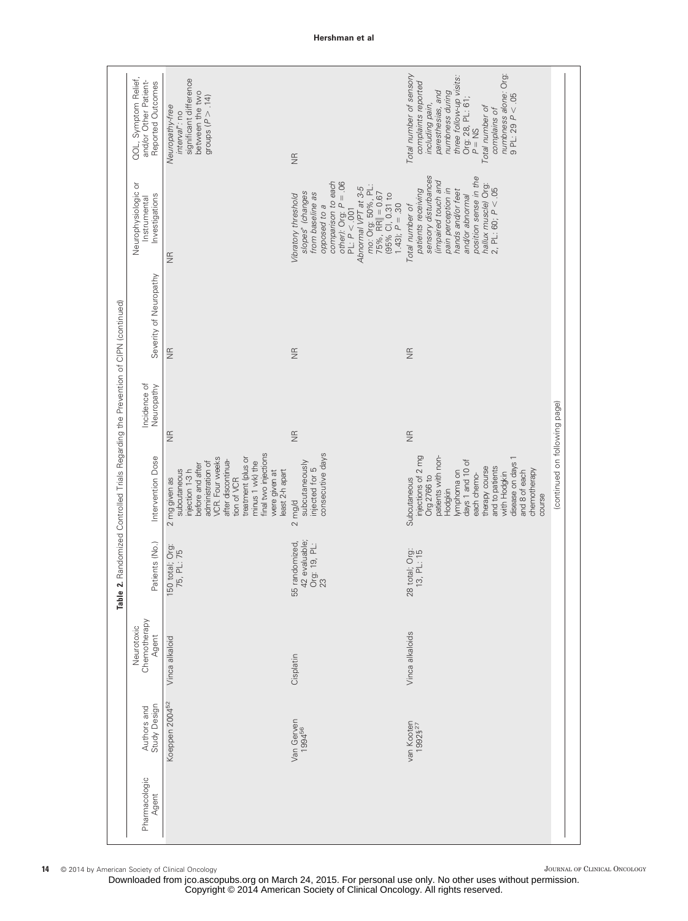|                        |                                       |                                     | Table                                                 | 2. Randomized Controlled Trials Regarding the Prevention of CIPN (continued)                                                                                                                                                                              |                            |                        |                                                                                                                                                                                                                                                             |                                                                                                                                                                                                                                                      |
|------------------------|---------------------------------------|-------------------------------------|-------------------------------------------------------|-----------------------------------------------------------------------------------------------------------------------------------------------------------------------------------------------------------------------------------------------------------|----------------------------|------------------------|-------------------------------------------------------------------------------------------------------------------------------------------------------------------------------------------------------------------------------------------------------------|------------------------------------------------------------------------------------------------------------------------------------------------------------------------------------------------------------------------------------------------------|
| Pharmacologic<br>Agent | Study Design<br>Authors and           | Chemotherapy<br>Neurotoxic<br>Agent | Patients (No.)                                        | Intervention Dose                                                                                                                                                                                                                                         | Incidence of<br>Neuropathy | Severity of Neuropathy | Neurophysiologic or<br>Investigations<br>Instrumental                                                                                                                                                                                                       | QOL, Symptom Relief,<br>and/or Other Patient-<br>Reported Outcomes                                                                                                                                                                                   |
|                        | Koeppen 2004 <sup>52</sup>            | Vinca alkaloid                      | 150 total; Org:<br>75, PL: 75                         | final two injections<br>treatment (plus or<br>VCR. Four weeks<br>after discontinua-<br>minus 1 wk) the<br>administration of<br>before and after<br>least 2-h apart<br>subcutaneous<br>injection 1-3 h<br>were given at<br>tion of VCR<br>2 mg given as    | $\frac{\pi}{2}$            | $\frac{\pi}{2}$        | $\frac{\pi}{2}$                                                                                                                                                                                                                                             | significant difference<br>between the two<br>groups ( $P > .14$ )<br>Neuropathy-free<br>interval <sup>*</sup> : no                                                                                                                                   |
|                        | Van Gerven<br>1994 <sup>56</sup>      | Cisplatin                           | 42 evaluable;<br>55 randomized,<br>Org: 19, PL:<br>23 | consecutive days<br>subcutaneously<br>injected for 5<br>$2$ mg/d                                                                                                                                                                                          | $\frac{\alpha}{2}$         | $\frac{\pi}{2}$        | comparison to each<br>other): Org: P = .06<br>$m\omega$ : Org: 50%, PL:<br>75%, RR   = 0.67<br>Abnormal VPT at 3-5<br>slopes" (changes<br>from baseline as<br>(95% CI, 0.31 to<br>Vibratory threshold<br>$1.43$ ; $P = .30$<br>opposed to a<br>PL: P < .001 | $\frac{\mathbb{E}}{\mathbb{E}}$                                                                                                                                                                                                                      |
|                        | van Kooten<br>1992 $\S$ <sup>27</sup> | Vinca alkaloids                     | 28 total; Org:<br>13, PL: 15                          | injections of 2 mg<br>patients with non-<br>disease on days 1<br>days 1 and 10 of<br>therapy course<br>and to patients<br>chemotherapy<br>Iymphoma on<br>with Hodgkin<br>and 8 of each<br>each chemo-<br>Org 2766 to<br>Subcutaneous<br>Hodgkin<br>course | $\frac{\pi}{2}$            | $\frac{\pi}{2}$        | sensory disturbances<br>position sense in the<br>(impaired touch and<br>hallux muscle) Org:<br>2, PL: 60; $P < .05$<br>pain perception in<br>patients receiving<br>hands and/or feet<br>and/or abnormal<br>Total number of                                  | numbness alone: Org:<br>Total number of sensory<br>three follow-up visits:<br>complaints reported<br>paresthesias, and<br>numbness during<br>9 P L: 29 P < .05<br>Org: 28, PL: 61;<br>$P = NS$<br>including pain,<br>Total number of<br>complains of |
|                        |                                       |                                     |                                                       | (continued on following page)                                                                                                                                                                                                                             |                            |                        |                                                                                                                                                                                                                                                             |                                                                                                                                                                                                                                                      |
|                        |                                       |                                     |                                                       |                                                                                                                                                                                                                                                           |                            |                        |                                                                                                                                                                                                                                                             |                                                                                                                                                                                                                                                      |

**14** © 2014 by American Society of Clinical Oncology **Journal Of Clinical Oncology** Journal Of Clinical Oncology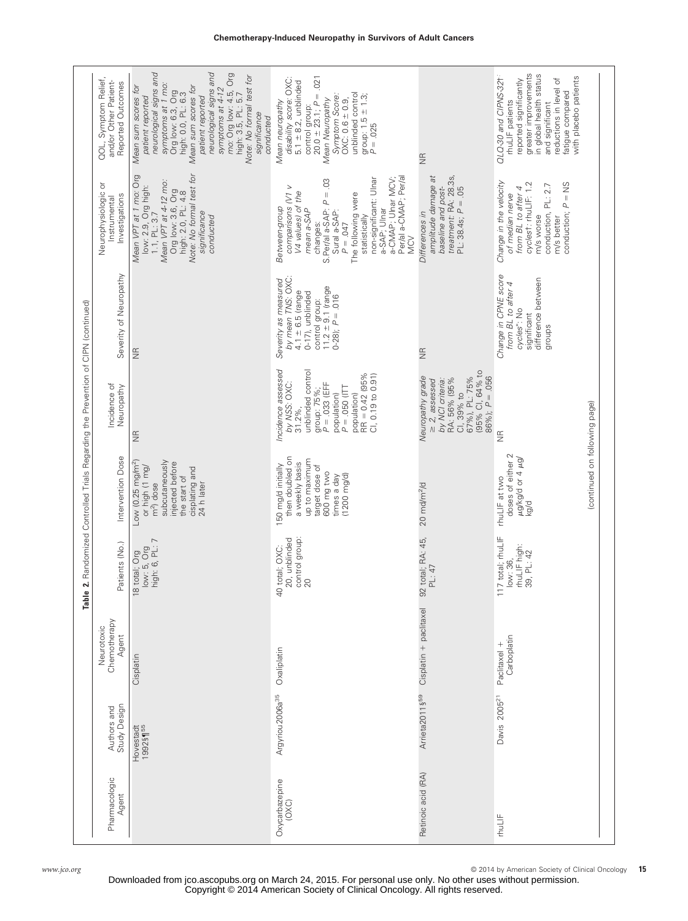|                                                                                 | QOL, Symptom Relief,<br>and/or Other Patient-<br>Reported Outcomes | neurological signs and<br>neurological signs and<br>mo: Org low: 4.5, Org<br>high: 3.5, PL: 5.7<br>Note: No formal test for<br>symptoms at 1 mo:<br>Org low: 6.3, Org<br>high: 0.0, PL: 6.3<br>Mean sum scores for<br>Mean sum scores for<br>symptoms at 4-12<br>patient reported<br>patient reported<br>significance<br>conducted | $20.0 \pm 23.1$ ; $P = .021$<br>disability score: OXC:<br>$5.1 \pm 8.2$ , unblinded<br>unblinded control<br>Symptom Score:<br>group: $1.5 \pm 1.3$ ;<br>$P = .025$<br>Mean Neuropathy<br>OXC: $0.6 \pm 0.9$ ,<br>Mean neuropathy<br>control group:                                       | $\frac{\mathsf{p}}{\mathsf{p}}$                                                                                                                                  | greater improvements<br>in global health status<br>QLQ-30 and CIPNS-321<br>with placebo patients<br>reductions in level of<br>reported significantly<br>fatigue compared<br>rhuLIF patients<br>and significant |  |
|---------------------------------------------------------------------------------|--------------------------------------------------------------------|------------------------------------------------------------------------------------------------------------------------------------------------------------------------------------------------------------------------------------------------------------------------------------------------------------------------------------|------------------------------------------------------------------------------------------------------------------------------------------------------------------------------------------------------------------------------------------------------------------------------------------|------------------------------------------------------------------------------------------------------------------------------------------------------------------|----------------------------------------------------------------------------------------------------------------------------------------------------------------------------------------------------------------|--|
|                                                                                 | Neurophysiologic or<br>Investigations<br>Instrumental              | Mean VPT at 1 mo: Org<br>Note: No formal test for<br>Mean VPT at 4-12 mo:<br>low: 2.9, Org high:<br>1.1, PL: 3.7<br>Org low: 3.6, Org<br>high: 2.0, PL: 4.8<br>significance<br>conducted                                                                                                                                           | Per/al a-CMAP; Per/al<br>a-CMAP; Ulnar MCV;<br>non-significant: Ulnar<br>S.Per/al a-SAP: P = .03<br>comparisons (V1 v<br>V4 values) of the<br>The following were<br>Between-group<br>mean a-SAP<br>a-SAP; Ulnar<br>Sural a-SAP:<br>statistically<br>changes:<br>$P = .047$<br><b>MCV</b> | treatment: RA: 28.3s,<br>PL: 38.4s; P = .05<br>amplitude damage at<br>baseline and post-<br>Differences in                                                       | Change in the velocity<br>cyclest: rhuLIF: 1.2<br>conduction; $P = NS$<br>conduction, PL: 2.7<br>from BL to after 4<br>of median nerve<br>m/s worse<br>m/s better                                              |  |
|                                                                                 | Severity of Neuropathy                                             | $\frac{\alpha}{2}$                                                                                                                                                                                                                                                                                                                 | by mean TNS: OXC:<br>Severity as measured<br>control group:<br>11.2 $\pm$ 9.1 (range<br>$4.1 \pm 6.5$ (range<br>0-17), unblinded<br>$0-28$ ); $P = .016$                                                                                                                                 | $\frac{\mathsf{p}}{\mathsf{p}}$                                                                                                                                  | Change in CPNE score<br>difference between<br>from BL to after 4<br>cycles <sup>*</sup> : No<br>significant<br>groups                                                                                          |  |
| le 2. Randomized Controlled Trials Regarding the Prevention of CIPN (continued) | Incidence of<br>Neuropathy                                         | $\frac{\alpha}{2}$                                                                                                                                                                                                                                                                                                                 | Incidence assessed<br>unblinded control<br>$RR = 0.42(95%$<br>CI, 0.19 to 0.91)<br>$P = .033$ (EFF<br>by NSS: OXC:<br>$P = .050$ (ITT<br>group: 75%;<br>population)<br>population)<br>$31.2\%$ ,                                                                                         | $(95\% \text{ C}l, 64\% \text{ to} 86\%); P = .056$<br>CI, 39% to<br>67%), PL: 75%<br>Neuropathy grade<br>by NCI criteria:<br>RA: 56% (95%<br>$\geq$ 2, assessed | (continued on following page)<br>$\frac{\alpha}{2}$                                                                                                                                                            |  |
|                                                                                 | Intervention Dose                                                  | subcutaneously<br>Low (0.25 mg/m <sup>2</sup> )<br>injected before<br>or high (1 mg/<br>cisplating and<br>the start of<br>$m2$ ) dose<br>24 h later                                                                                                                                                                                | then doubled on<br>up to maximum<br>a weekly basis<br>150 mg/d initially<br>target dose of<br>600 mg two<br>$(1200$ mg/d)<br>times a day                                                                                                                                                 | $20 \text{ rad/m}^2$ /d                                                                                                                                          | doses of either 2<br>ug/kg/d or 4 µg/<br>rhuLIF at two<br>kg/d                                                                                                                                                 |  |
| Tabl                                                                            | Patients (No.)                                                     | 18 total; Org<br>low: 5, Org<br>high: 6, PL: 7                                                                                                                                                                                                                                                                                     | 20, unblinded<br>control group:<br>40 total; OXC:<br>20                                                                                                                                                                                                                                  | 92 total; RA: 45,<br>PL: 47                                                                                                                                      | 117 total; rhuLIF<br>rhuLIF high:<br>39, PL: 42<br>low: 36,                                                                                                                                                    |  |
|                                                                                 | Chemotherapy<br>Neurotoxic<br>Agent                                | Cisplatin                                                                                                                                                                                                                                                                                                                          | Oxaliplatin                                                                                                                                                                                                                                                                              | Arrieta2011§ <sup>59</sup> Cisplatin + paclitaxel                                                                                                                | Carboplatin<br>Paclitaxel +                                                                                                                                                                                    |  |
|                                                                                 | Study Design<br>Authors and                                        | Hovestadt<br>1992§¶ <sup>55</sup>                                                                                                                                                                                                                                                                                                  | Argyriou 2006a <sup>35</sup>                                                                                                                                                                                                                                                             |                                                                                                                                                                  | Davis 2005 <sup>21</sup>                                                                                                                                                                                       |  |
|                                                                                 | Pharmacologic<br>Agent                                             |                                                                                                                                                                                                                                                                                                                                    | Oxycarbazepine<br>(OXC)                                                                                                                                                                                                                                                                  | Retinoic acid (RA)                                                                                                                                               | rhuLIF                                                                                                                                                                                                         |  |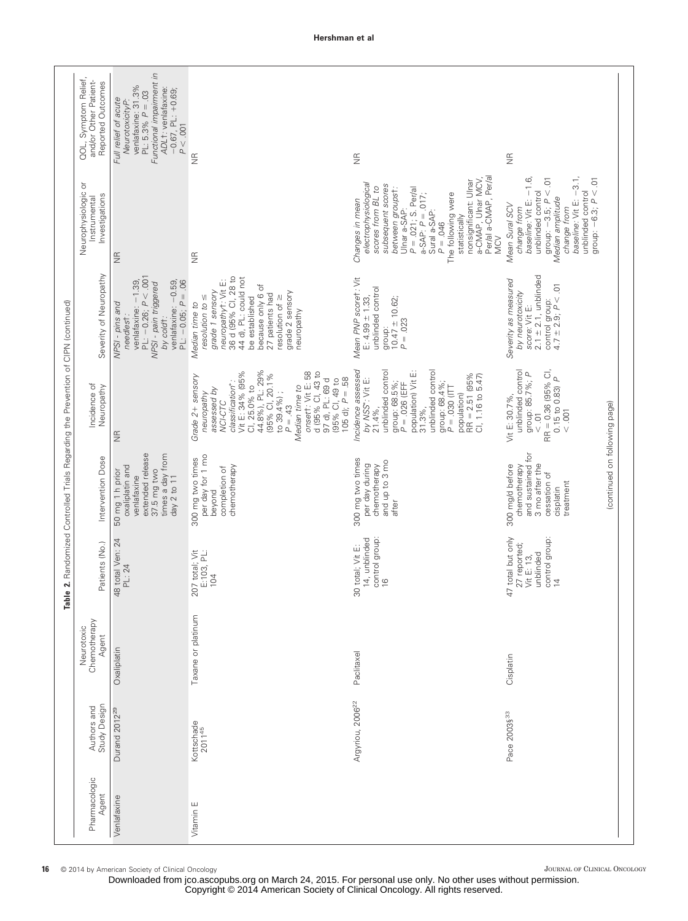|                                                                           | QOL, Symptom Relief,<br>and/or Other Patient-<br>Reported Outcomes | Functional impairment in<br>venlafaxine: 31.3%<br>ADLt: venlafaxine:<br>-0.67, PL: +0.69;<br>PL: $5.3\%$ $P = .03$<br>Full relief of acute<br>NeurotoxicityP:<br>P < 0.001 | $\frac{\mathbb{E}}{\mathbb{E}}$                                                                                                                                                                                                                                                                                                  | $\frac{\mathbb{C}}{\mathbb{Z}}$                                                                                                                                                                                                                                                                                                  | $\frac{\mathbb{E}}{\mathbb{E}}$                                                                                                                                                                                          |                               |
|---------------------------------------------------------------------------|--------------------------------------------------------------------|----------------------------------------------------------------------------------------------------------------------------------------------------------------------------|----------------------------------------------------------------------------------------------------------------------------------------------------------------------------------------------------------------------------------------------------------------------------------------------------------------------------------|----------------------------------------------------------------------------------------------------------------------------------------------------------------------------------------------------------------------------------------------------------------------------------------------------------------------------------|--------------------------------------------------------------------------------------------------------------------------------------------------------------------------------------------------------------------------|-------------------------------|
|                                                                           | Neurophysiologic or<br>Investigations<br>Instrumental              | $\frac{\alpha}{2}$                                                                                                                                                         | $\frac{\alpha}{2}$                                                                                                                                                                                                                                                                                                               | Per/al a-CMAP, Per/al<br>nonsignificant: Ulnar<br>a-CMAP, Ulnar MCV,<br>electrophysiological<br>subsequent scores<br>scores from BL to<br>between groupst:<br>$P = .021$ ; S. Per/al<br>The following were<br>$a-SAP: P = .017;$<br>Changes in mean<br>Ulnar a-SAP:<br>Sural a-SAP:<br>$P = .046$<br>statistically<br><b>MCV</b> | baseline: Vit E: -3.1,<br>baseline: Vit E: -1.6,<br>group: $-3.5$ ; $P < .01$<br>group: $-6.3$ ; $P < .01$<br>unblinded control<br>unblinded control<br>Median amplitude<br>Mean Sural SCV<br>change from<br>change from |                               |
|                                                                           | Severity of Neuropathy                                             | PL: $-0.26$ ; $P < 001$<br>PL: $-0.05$ ; $P = .06$<br>venlafaxine: -0.59,<br>venlafaxine: -1.39<br>NPSI - pain triggered<br>NPSI-pins and<br>needlest:<br>by coldt:        | 36 d (95% Cl, 28 to<br>44 d), PL: could not<br>neuropathyt: Vit E:<br>because only 6 of<br>grade 1 sensory<br>grade 2 sensory<br>27 patients had<br>resolution to $\leq$<br>resolution of $\geq$<br>be established<br>Median time to<br>neuropathy                                                                               | Mean PNP scoret: Vit<br>unblinded control<br>$E: 4.99 + 1.33$<br>$10.47 \pm 10.62$ ;<br>$P = .023$<br>group:                                                                                                                                                                                                                     | $2.1 \pm 2.1$ , unblinded<br>Severity as measured<br>control group:<br>4.7 ± 2.9; $P < .01$<br>by neurotoxicity<br>score: Vit E:                                                                                         |                               |
| Randomized Controlled Trials Regarding the Prevention of CIPN (continued) | Incidence of<br>Neuropathy                                         | $\frac{\alpha}{2}$                                                                                                                                                         | Cl, 25.0% to<br>44.8%), PL: 29%<br>(95% Cl, 20.1%<br>Vit E: 34% (95%<br>י בשנו או או בן 58<br>  Smeet: Vit E: 58<br>  Show Cl, 43 to<br>  Show Cl, 49 to<br>  Show Cl, 49 to<br>Grade 2+ sensory<br>$105 d$ ; $P = .58$<br>classification*:<br>Median time to<br>assessed by<br>to 39.4%);<br>neuropathy<br>NCI-CTC<br>$P = .43$ | Incidence assessed<br>unblinded control<br>unblinded control<br>population) Vit E:<br>$RR = 2.51 (95\%$<br>Cl, 1.16 to 5.47)<br>by NSS": Vit E:<br>group: $68.5\%$ ;<br>$P = .026$ (EFF<br>group: 68.4%;<br>$P = .030$ (ITT<br>population)<br>$31.3\%$ ,<br>$21.4\%$ ,                                                           | $RR = 0.36 (95\% \text{ CI}, 0.15 \text{ to } 0.83) P$<br>unblinded control<br>group: 85.7%; P<br>Vit E: 30.7%,<br>< 0.001<br>$rac{5}{\sqrt{2}}$                                                                         |                               |
|                                                                           | Intervention Dose                                                  | extended release<br>times a day from<br>oxaliplatin and<br>37.5 mg two<br>50 mg 1 h prior<br>day $2$ to $11$<br>venlafaxine                                                | 300 mg two times<br>per day for 1 mo<br>chemotherapy<br>completion of<br>beyond                                                                                                                                                                                                                                                  | 300 mg two times<br>and up to 3 mo<br>per day during<br>chemotherapy<br>after                                                                                                                                                                                                                                                    | and sustained for<br>3 mo after the<br>300 mg/d before<br>chemotherapy<br>cessation of<br>treatment<br>cisplatin                                                                                                         | (continued on following page) |
| Table 2.                                                                  | Patients (No.)                                                     | 48 total Ven: 24<br>PL: 24                                                                                                                                                 | total; Vit<br>E:103, PL:<br>104<br>207                                                                                                                                                                                                                                                                                           | 30 total; Vit E:<br>14, unblinded<br>control group:<br>16                                                                                                                                                                                                                                                                        | 47 total but only<br>27 reported;<br>Vit E: 13,<br>unblinded<br>control group;<br>14                                                                                                                                     |                               |
|                                                                           | Chemotherapy<br>Neurotoxic<br>Agent                                | Oxaliplatin                                                                                                                                                                | Taxane or platinum                                                                                                                                                                                                                                                                                                               | Paclitaxel                                                                                                                                                                                                                                                                                                                       | Cisplatin                                                                                                                                                                                                                |                               |
|                                                                           | Study Design<br>Authors and                                        | Durand 2012 <sup>29</sup>                                                                                                                                                  | Kottschade<br>2011 <sup>45</sup>                                                                                                                                                                                                                                                                                                 | Argyriou, 2006 <sup>22</sup>                                                                                                                                                                                                                                                                                                     | Pace 2003§33                                                                                                                                                                                                             |                               |
|                                                                           | Pharmacologic<br>Agent                                             | Venlafaxine                                                                                                                                                                | Vitamin E                                                                                                                                                                                                                                                                                                                        |                                                                                                                                                                                                                                                                                                                                  |                                                                                                                                                                                                                          |                               |

**16** © 2014 by American Society of Clinical Oncology **Journal Of Clinical Oncology** Journal Of Clinical Oncology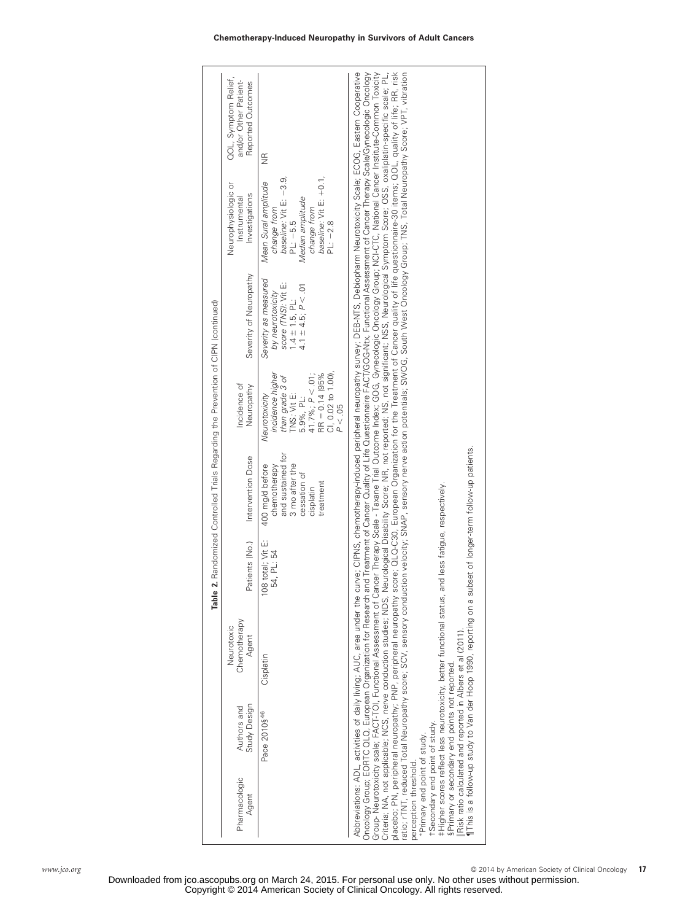|                                                                                    | QOL, Symptom Relief,<br>and/or Other Patient-<br>Reported Outcomes | $\frac{\alpha}{2}$                                                                                                                                                    | Abbreviations: ADL, activities of daily living; AUC, area under the curve; CIFNS, chemotherapy-induced peripheral neuropathy survey; DEB-NTS, Debiopharm Neurotoxicity Scale; ECOG, Eastern Cooperative<br>Group-Neurotoxicity scale; FACT-TOI, Functional Assessment of Cancer Therapy Scale - Taxane Trial Outcome Index; GOG, Gynecologic Oncology Group; NCI-CTC, National Cancer Institute-Common Toxicity<br>Criteria; NA, not applicable; NCS, nerve conduction studies; NDS, Neurological Disability Score; NR, not reported; NS, not significant; NSS, Neurological Symptom Score; OSS, oxaliplatin-specific scale; PL,<br>placebo; PN, per<br>Oncology Group; EORTC QLQ, European Organization for Research and Treatment of Cancer Quality of Life Questionnaire FACT/GOG-Ntx, Functional Assessment of Cancer Therapy Scale/Gynecologic Oncology<br>ratio, rTNT, reduced Total Neuropathy score; SCV, sensory conduction velocity; SNAP, sensory nerve action potentials; SWOG, South West Oncology Group; TNS, Total Neuropathy Score; VPT, vibration |  |
|------------------------------------------------------------------------------------|--------------------------------------------------------------------|-----------------------------------------------------------------------------------------------------------------------------------------------------------------------|--------------------------------------------------------------------------------------------------------------------------------------------------------------------------------------------------------------------------------------------------------------------------------------------------------------------------------------------------------------------------------------------------------------------------------------------------------------------------------------------------------------------------------------------------------------------------------------------------------------------------------------------------------------------------------------------------------------------------------------------------------------------------------------------------------------------------------------------------------------------------------------------------------------------------------------------------------------------------------------------------------------------------------------------------------------------|--|
|                                                                                    | Neurophysiologic or<br>Investigations<br>Instrumental              | baseline: Vit E: +0.1,<br>baseline: Vit E: -3.9,<br>Mean Sural amplitude<br>Median amplitude<br>change from<br>change from<br>$PL: -5.5$<br>$PL: -2.8$                |                                                                                                                                                                                                                                                                                                                                                                                                                                                                                                                                                                                                                                                                                                                                                                                                                                                                                                                                                                                                                                                                    |  |
|                                                                                    | Severity of Neuropathy                                             | Severity as measured<br>score (TNS): Vit E:<br>$1.4 \pm 1.5$ , PL:<br>4.1 $\pm$ 4.5; P < .01<br>by neurotoxicity                                                      |                                                                                                                                                                                                                                                                                                                                                                                                                                                                                                                                                                                                                                                                                                                                                                                                                                                                                                                                                                                                                                                                    |  |
| Table 2. Randomized Controlled Trials Regarding the Prevention of CIPN (continued) | Incidence of<br>Neuropathy                                         | $41.7\%; P < .01;$<br>incidence higher<br>CI, $0.02$ to $1.00$ ),<br>$RR = 0.14(95%$<br>than grade 3 of<br><b>INS: Vit E:</b><br>5.9%, PL:<br>Neurotoxicity<br>P < 05 |                                                                                                                                                                                                                                                                                                                                                                                                                                                                                                                                                                                                                                                                                                                                                                                                                                                                                                                                                                                                                                                                    |  |
|                                                                                    | Intervention Dose                                                  | and sustained for<br>3 mo after the<br>400 mg/d before<br>chemotherapy<br>cessation of<br>treatment<br>cisplatin                                                      | subset of longer-term follow-up patients.                                                                                                                                                                                                                                                                                                                                                                                                                                                                                                                                                                                                                                                                                                                                                                                                                                                                                                                                                                                                                          |  |
|                                                                                    | Patients (No.)                                                     | 108 total; Vit E:<br>54, PL: 54                                                                                                                                       | and less fatigue, respectively.                                                                                                                                                                                                                                                                                                                                                                                                                                                                                                                                                                                                                                                                                                                                                                                                                                                                                                                                                                                                                                    |  |
|                                                                                    | Chemotherapy<br>Neurotoxic<br>Agent                                | Cisplatin                                                                                                                                                             | #Higher scores reflect less neurotoxicity, better functional status<br>This is a follow-up study to Van der Hoop 1990, reporting on a                                                                                                                                                                                                                                                                                                                                                                                                                                                                                                                                                                                                                                                                                                                                                                                                                                                                                                                              |  |
|                                                                                    | Study Design<br>Authors and                                        | Pace 2010§46                                                                                                                                                          | Risk ratio calculated and reported in Albers et al (2011)<br>sPrimary or secondary end points not reported.                                                                                                                                                                                                                                                                                                                                                                                                                                                                                                                                                                                                                                                                                                                                                                                                                                                                                                                                                        |  |
|                                                                                    | Pharmacologic<br>Agent                                             |                                                                                                                                                                       | tSecondary end point of study.<br>Primary end point of study.<br>perception threshold.                                                                                                                                                                                                                                                                                                                                                                                                                                                                                                                                                                                                                                                                                                                                                                                                                                                                                                                                                                             |  |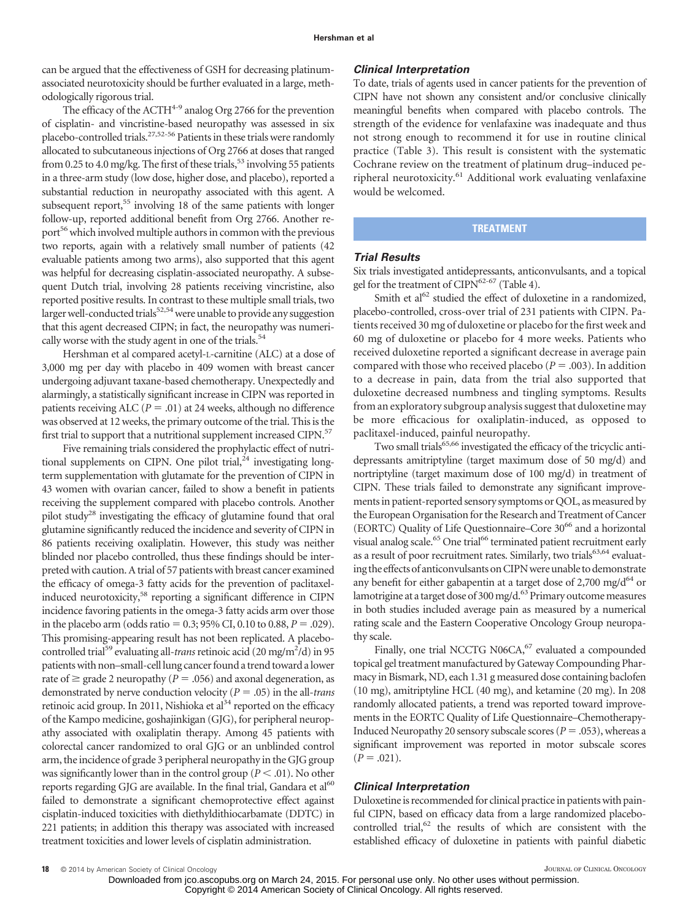can be argued that the effectiveness of GSH for decreasing platinumassociated neurotoxicity should be further evaluated in a large, methodologically rigorous trial.

The efficacy of the  $ACTH<sup>4-9</sup>$  analog Org 2766 for the prevention of cisplatin- and vincristine-based neuropathy was assessed in six placebo-controlled trials.27,52-56 Patients in these trials were randomly allocated to subcutaneous injections of Org 2766 at doses that ranged from 0.25 to 4.0 mg/kg. The first of these trials,<sup>53</sup> involving 55 patients in a three-arm study (low dose, higher dose, and placebo), reported a substantial reduction in neuropathy associated with this agent. A subsequent report,<sup>55</sup> involving 18 of the same patients with longer follow-up, reported additional benefit from Org 2766. Another report<sup>56</sup> which involved multiple authors in common with the previous two reports, again with a relatively small number of patients (42 evaluable patients among two arms), also supported that this agent was helpful for decreasing cisplatin-associated neuropathy. A subsequent Dutch trial, involving 28 patients receiving vincristine, also reported positive results. In contrast to these multiple small trials, two larger well-conducted trials<sup>52,54</sup> were unable to provide any suggestion that this agent decreased CIPN; in fact, the neuropathy was numerically worse with the study agent in one of the trials. $54$ 

Hershman et al compared acetyl-L-carnitine (ALC) at a dose of 3,000 mg per day with placebo in 409 women with breast cancer undergoing adjuvant taxane-based chemotherapy. Unexpectedly and alarmingly, a statistically significant increase in CIPN was reported in patients receiving ALC ( $P = .01$ ) at 24 weeks, although no difference was observed at 12 weeks, the primary outcome of the trial. This is the first trial to support that a nutritional supplement increased CIPN.<sup>57</sup>

Five remaining trials considered the prophylactic effect of nutritional supplements on CIPN. One pilot trial, $^{24}$  investigating longterm supplementation with glutamate for the prevention of CIPN in 43 women with ovarian cancer, failed to show a benefit in patients receiving the supplement compared with placebo controls. Another pilot study<sup>28</sup> investigating the efficacy of glutamine found that oral glutamine significantly reduced the incidence and severity of CIPN in 86 patients receiving oxaliplatin. However, this study was neither blinded nor placebo controlled, thus these findings should be interpreted with caution. A trial of 57 patients with breast cancer examined the efficacy of omega-3 fatty acids for the prevention of paclitaxelinduced neurotoxicity,<sup>58</sup> reporting a significant difference in CIPN incidence favoring patients in the omega-3 fatty acids arm over those in the placebo arm (odds ratio =  $0.3$ ; 95% CI, 0.10 to 0.88, *P* = .029). This promising-appearing result has not been replicated. A placebocontrolled trial<sup>59</sup> evaluating all-*trans* retinoic acid (20 mg/m<sup>2</sup>/d) in 95 patients with non–small-cell lung cancer found a trend toward a lower rate of  $\geq$  grade 2 neuropathy ( $P = .056$ ) and axonal degeneration, as demonstrated by nerve conduction velocity (*P* .05) in the all-*trans* retinoic acid group. In 2011, Nishioka et  $al<sup>34</sup>$  reported on the efficacy of the Kampo medicine, goshajinkigan (GJG), for peripheral neuropathy associated with oxaliplatin therapy. Among 45 patients with colorectal cancer randomized to oral GJG or an unblinded control arm, the incidence of grade 3 peripheral neuropathy in the GJG group was significantly lower than in the control group ( $P < .01$ ). No other reports regarding GJG are available. In the final trial, Gandara et  $al^{60}$ failed to demonstrate a significant chemoprotective effect against cisplatin-induced toxicities with diethyldithiocarbamate (DDTC) in 221 patients; in addition this therapy was associated with increased treatment toxicities and lower levels of cisplatin administration.

### *Clinical Interpretation*

To date, trials of agents used in cancer patients for the prevention of CIPN have not shown any consistent and/or conclusive clinically meaningful benefits when compared with placebo controls. The strength of the evidence for venlafaxine was inadequate and thus not strong enough to recommend it for use in routine clinical practice (Table 3). This result is consistent with the systematic Cochrane review on the treatment of platinum drug–induced peripheral neurotoxicity.<sup>61</sup> Additional work evaluating venlafaxine would be welcomed.

### **TREATMENT**

#### *Trial Results*

Six trials investigated antidepressants, anticonvulsants, and a topical gel for the treatment of CIPN<sup>62-67</sup> (Table 4).

Smith et al<sup>62</sup> studied the effect of duloxetine in a randomized, placebo-controlled, cross-over trial of 231 patients with CIPN. Patients received 30 mg of duloxetine or placebo for the first week and 60 mg of duloxetine or placebo for 4 more weeks. Patients who received duloxetine reported a significant decrease in average pain compared with those who received placebo ( $P = .003$ ). In addition to a decrease in pain, data from the trial also supported that duloxetine decreased numbness and tingling symptoms. Results from an exploratory subgroup analysis suggest that duloxetine may be more efficacious for oxaliplatin-induced, as opposed to paclitaxel-induced, painful neuropathy.

Two small trials<sup>65,66</sup> investigated the efficacy of the tricyclic antidepressants amitriptyline (target maximum dose of 50 mg/d) and nortriptyline (target maximum dose of 100 mg/d) in treatment of CIPN. These trials failed to demonstrate any significant improvements in patient-reported sensory symptoms or QOL, as measured by the European Organisation for the Research and Treatment of Cancer (EORTC) Quality of Life Questionnaire–Core 30<sup>66</sup> and a horizontal visual analog scale.<sup>65</sup> One trial<sup>66</sup> terminated patient recruitment early as a result of poor recruitment rates. Similarly, two trials<sup>63,64</sup> evaluating the effects of anticonvulsants on CIPN were unable to demonstrate any benefit for either gabapentin at a target dose of 2,700 mg/ $d^{64}$  or lamotrigine at a target dose of 300 mg/d. $^{63}$  Primary outcome measures in both studies included average pain as measured by a numerical rating scale and the Eastern Cooperative Oncology Group neuropathy scale.

Finally, one trial NCCTG N06CA,<sup>67</sup> evaluated a compounded topical gel treatment manufactured by Gateway Compounding Pharmacy in Bismark, ND, each 1.31 g measured dose containing baclofen (10 mg), amitriptyline HCL (40 mg), and ketamine (20 mg). In 208 randomly allocated patients, a trend was reported toward improvements in the EORTC Quality of Life Questionnaire–Chemotherapy-Induced Neuropathy 20 sensory subscale scores ( $P = .053$ ), whereas a significant improvement was reported in motor subscale scores  $(P=.021)$ .

### *Clinical Interpretation*

Duloxetine is recommended for clinical practice in patients with painful CIPN, based on efficacy data from a large randomized placebocontrolled trial, $62$  the results of which are consistent with the established efficacy of duloxetine in patients with painful diabetic

Downloaded from jco.ascopubs.org on March 24, 2015. For personal use only. No other uses without permission. Copyright © 2014 American Society of Clinical Oncology. All rights reserved.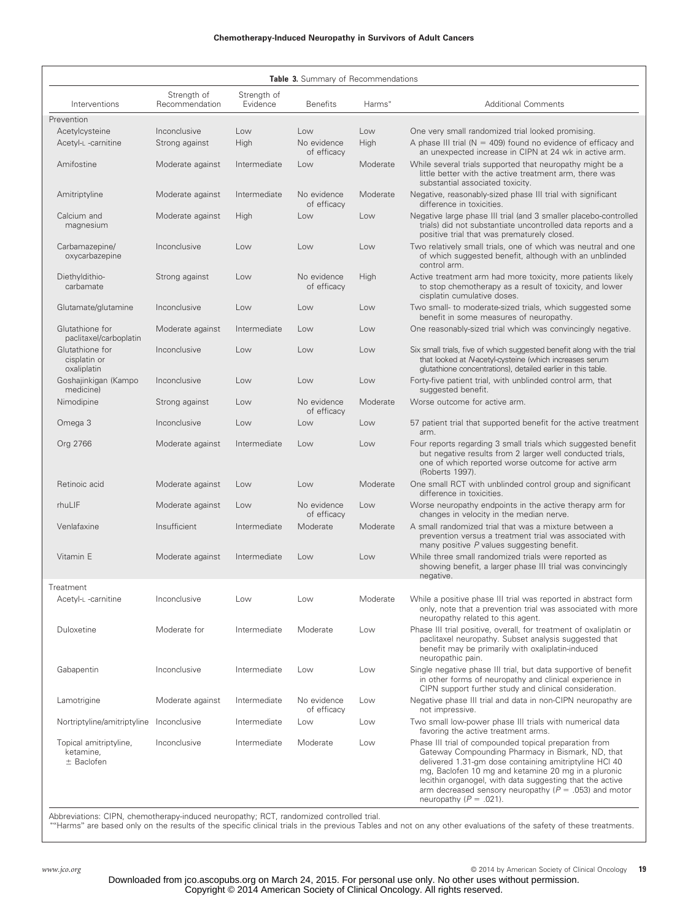| <b>Table 3.</b> Summary of Recommendations          |                               |                         |                            |          |                                                                                                                                                                                                                                                                                                                                                                                     |
|-----------------------------------------------------|-------------------------------|-------------------------|----------------------------|----------|-------------------------------------------------------------------------------------------------------------------------------------------------------------------------------------------------------------------------------------------------------------------------------------------------------------------------------------------------------------------------------------|
| Interventions                                       | Strength of<br>Recommendation | Strength of<br>Evidence | <b>Benefits</b>            | Harms*   | <b>Additional Comments</b>                                                                                                                                                                                                                                                                                                                                                          |
| Prevention                                          |                               |                         |                            |          |                                                                                                                                                                                                                                                                                                                                                                                     |
| Acetylcysteine                                      | Inconclusive                  | Low                     | Low                        | Low      | One very small randomized trial looked promising.                                                                                                                                                                                                                                                                                                                                   |
| Acetyl-L -carnitine                                 | Strong against                | High                    | No evidence<br>of efficacy | High     | A phase III trial ( $N = 409$ ) found no evidence of efficacy and<br>an unexpected increase in CIPN at 24 wk in active arm.                                                                                                                                                                                                                                                         |
| Amifostine                                          | Moderate against              | Intermediate            | Low                        | Moderate | While several trials supported that neuropathy might be a<br>little better with the active treatment arm, there was<br>substantial associated toxicity.                                                                                                                                                                                                                             |
| Amitriptyline                                       | Moderate against              | Intermediate            | No evidence<br>of efficacy | Moderate | Negative, reasonably-sized phase III trial with significant<br>difference in toxicities.                                                                                                                                                                                                                                                                                            |
| Calcium and<br>magnesium                            | Moderate against              | High                    | Low                        | Low      | Negative large phase III trial (and 3 smaller placebo-controlled<br>trials) did not substantiate uncontrolled data reports and a<br>positive trial that was prematurely closed.                                                                                                                                                                                                     |
| Carbamazepine/<br>oxycarbazepine                    | Inconclusive                  | Low                     | Low                        | Low      | Two relatively small trials, one of which was neutral and one<br>of which suggested benefit, although with an unblinded<br>control arm.                                                                                                                                                                                                                                             |
| Diethyldithio-<br>carbamate                         | Strong against                | Low                     | No evidence<br>of efficacy | High     | Active treatment arm had more toxicity, more patients likely<br>to stop chemotherapy as a result of toxicity, and lower<br>cisplatin cumulative doses.                                                                                                                                                                                                                              |
| Glutamate/glutamine                                 | Inconclusive                  | Low                     | Low                        | Low      | Two small- to moderate-sized trials, which suggested some<br>benefit in some measures of neuropathy.                                                                                                                                                                                                                                                                                |
| Glutathione for<br>paclitaxel/carboplatin           | Moderate against              | Intermediate            | Low                        | Low      | One reasonably-sized trial which was convincingly negative.                                                                                                                                                                                                                                                                                                                         |
| Glutathione for<br>cisplatin or<br>oxaliplatin      | Inconclusive                  | Low                     | Low                        | Low      | Six small trials, five of which suggested benefit along with the trial<br>that looked at N-acetyl-cysteine (which increases serum<br>glutathione concentrations), detailed earlier in this table.                                                                                                                                                                                   |
| Goshajinkigan (Kampo<br>medicine)                   | Inconclusive                  | Low                     | Low                        | Low      | Forty-five patient trial, with unblinded control arm, that<br>suggested benefit.                                                                                                                                                                                                                                                                                                    |
| Nimodipine                                          | Strong against                | Low                     | No evidence<br>of efficacy | Moderate | Worse outcome for active arm.                                                                                                                                                                                                                                                                                                                                                       |
| Omega 3                                             | Inconclusive                  | Low                     | Low                        | Low      | 57 patient trial that supported benefit for the active treatment<br>arm.                                                                                                                                                                                                                                                                                                            |
| Org 2766                                            | Moderate against              | Intermediate            | Low                        | Low      | Four reports regarding 3 small trials which suggested benefit<br>but negative results from 2 larger well conducted trials,<br>one of which reported worse outcome for active arm<br>(Roberts 1997).                                                                                                                                                                                 |
| Retinoic acid                                       | Moderate against              | Low                     | Low                        | Moderate | One small RCT with unblinded control group and significant<br>difference in toxicities.                                                                                                                                                                                                                                                                                             |
| rhuLIF                                              | Moderate against              | Low                     | No evidence<br>of efficacy | Low      | Worse neuropathy endpoints in the active therapy arm for<br>changes in velocity in the median nerve.                                                                                                                                                                                                                                                                                |
| Venlafaxine                                         | Insufficient                  | Intermediate            | Moderate                   | Moderate | A small randomized trial that was a mixture between a<br>prevention versus a treatment trial was associated with<br>many positive P values suggesting benefit.                                                                                                                                                                                                                      |
| Vitamin E                                           | Moderate against              | Intermediate            | Low                        | Low      | While three small randomized trials were reported as<br>showing benefit, a larger phase III trial was convincingly<br>negative.                                                                                                                                                                                                                                                     |
| Treatment                                           |                               |                         |                            |          |                                                                                                                                                                                                                                                                                                                                                                                     |
| Acetyl-L -carnitine                                 | Inconclusive                  | Low                     | Low                        | Moderate | While a positive phase III trial was reported in abstract form<br>only, note that a prevention trial was associated with more<br>neuropathy related to this agent.                                                                                                                                                                                                                  |
| Duloxetine                                          | Moderate for                  | Intermediate            | Moderate                   | Low      | Phase III trial positive, overall, for treatment of oxaliplatin or<br>paclitaxel neuropathy. Subset analysis suggested that<br>benefit may be primarily with oxaliplatin-induced<br>neuropathic pain.                                                                                                                                                                               |
| Gabapentin                                          | Inconclusive                  | Intermediate            | Low                        | Low      | Single negative phase III trial, but data supportive of benefit<br>in other forms of neuropathy and clinical experience in<br>CIPN support further study and clinical consideration.                                                                                                                                                                                                |
| Lamotrigine                                         | Moderate against              | Intermediate            | No evidence<br>of efficacy | Low      | Negative phase III trial and data in non-CIPN neuropathy are<br>not impressive.                                                                                                                                                                                                                                                                                                     |
| Nortriptyline/amitriptyline Inconclusive            |                               | Intermediate            | Low                        | Low      | Two small low-power phase III trials with numerical data<br>favoring the active treatment arms.                                                                                                                                                                                                                                                                                     |
| Topical amitriptyline,<br>ketamine,<br>$±$ Baclofen | Inconclusive                  | Intermediate            | Moderate                   | Low      | Phase III trial of compounded topical preparation from<br>Gateway Compounding Pharmacy in Bismark, ND, that<br>delivered 1.31-gm dose containing amitriptyline HCI 40<br>mg, Baclofen 10 mg and ketamine 20 mg in a pluronic<br>lecithin organogel, with data suggesting that the active<br>arm decreased sensory neuropathy ( $P = .053$ ) and motor<br>neuropathy ( $P = .021$ ). |

Abbreviations: CIPN, chemotherapy-induced neuropathy; RCT, randomized controlled trial.<br>\*"Harms" are based only on the results of the specific clinical trials in the previous Tables and not on any other evaluations of the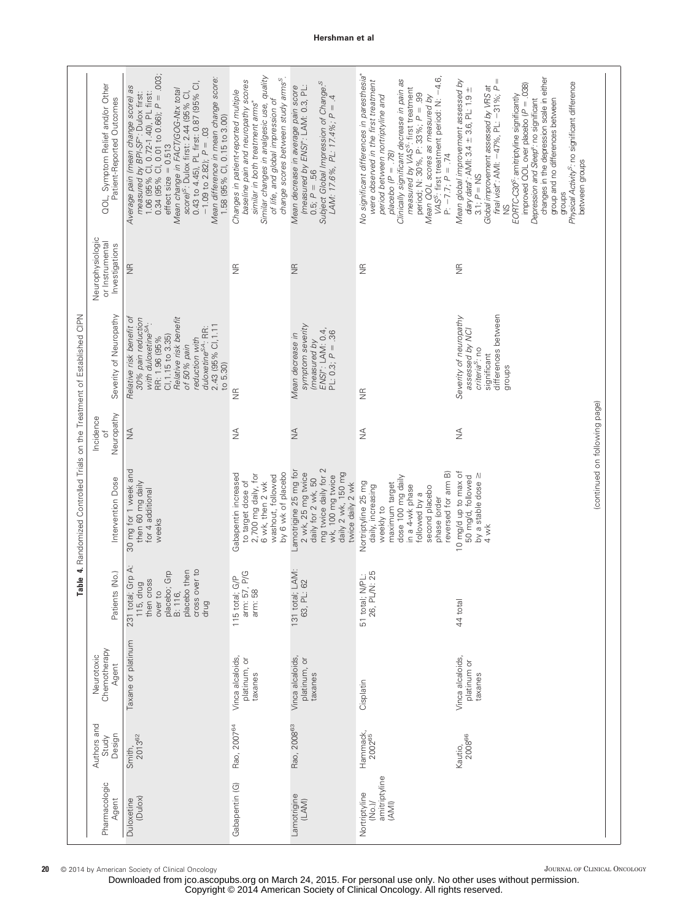**20** © 2014 by American Society of Clinical Oncology **Journal Of Clinical Oncology** Journal Of Clinical Oncology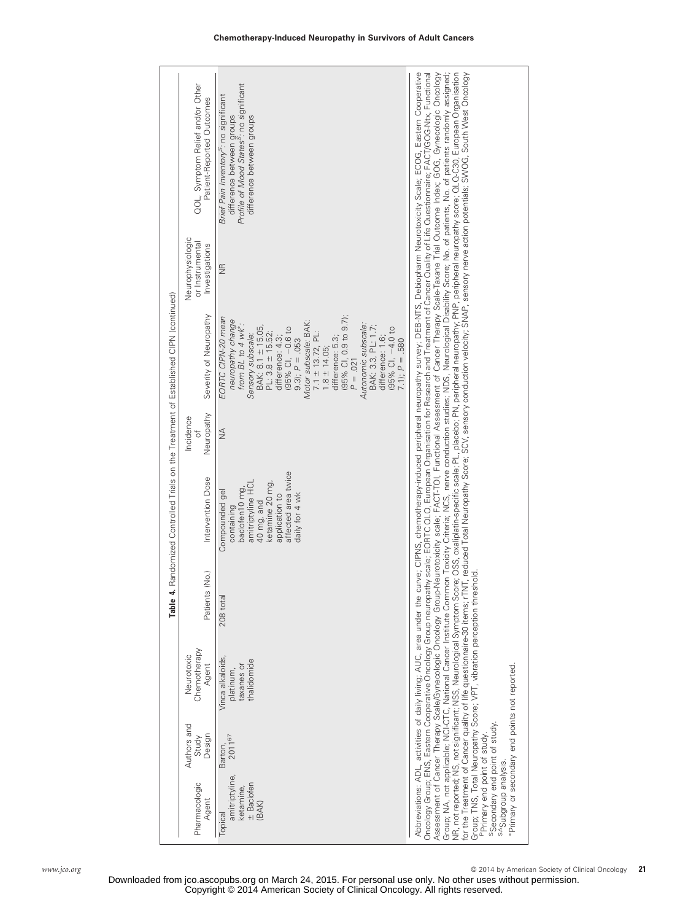|                                                                                  | QOL, Symptom Relief and/or Other<br>Patient-Reported Outcomes | Profile of Mood States <sup>S</sup> : no significant<br>Brief Pain Inventory <sup>S</sup> : no significant<br>difference between groups<br>difference between groups                                                                                                                                                                                                                                                                        | Abbreviations: ADL, activities of daily living; AUC, area under the curve; CIFNS, chemotherapy-induced peripheral neuropathy survey; DEB-NTS, Debiopharm Neurotoxicity Scale; ECOG, Eastern Cooperative<br>Oncology Group: ENS, Eastern Cooperative Oncology Group neuropathy scale; EORTC QLO, European Organisation for Research and Treatment of Cancer Quality of Life Questionnaire; FACI/GOG-Ntx, Functional<br>Assessment of Cancer Therapy Scale/Gynecologic Oncology Group-Neurotoxicity scale; FACT-TOI, Functional Assessment of Cancer Therapy Scale-Taxane Trial Outcome Index; GOG, Gynecologic Oncology<br>Group: NA, not applicable, NCi-CTC, National Cancer Institute Common Toxicity Criteria; NCS, nerve conduction studies; NDS, Neurological Disability Score; No. of patients, No. of patients randomly assigned;<br>NR, not reported; NS, not significant; NSS, Neurological Symptom Score; OSS, oxaliplatin-specific scale; PL, placebo; PN, peripheral neuropathy; PNP, peripheral neuropathy score; QLQ-C30, European Organisation<br>for the Treatment of Cancer quality of life questionnaire-30 items; rTNT, reduced Total Neuropathy Score; SCV, sensory conduction velocity; SNAP, sensory nerve action potentials; SWOG, South West Oncology |
|----------------------------------------------------------------------------------|---------------------------------------------------------------|---------------------------------------------------------------------------------------------------------------------------------------------------------------------------------------------------------------------------------------------------------------------------------------------------------------------------------------------------------------------------------------------------------------------------------------------|-------------------------------------------------------------------------------------------------------------------------------------------------------------------------------------------------------------------------------------------------------------------------------------------------------------------------------------------------------------------------------------------------------------------------------------------------------------------------------------------------------------------------------------------------------------------------------------------------------------------------------------------------------------------------------------------------------------------------------------------------------------------------------------------------------------------------------------------------------------------------------------------------------------------------------------------------------------------------------------------------------------------------------------------------------------------------------------------------------------------------------------------------------------------------------------------------------------------------------------------------------------------------------|
|                                                                                  | Neurophysiologic<br>or Instrumental<br>Investigations         | $\frac{\alpha}{2}$                                                                                                                                                                                                                                                                                                                                                                                                                          |                                                                                                                                                                                                                                                                                                                                                                                                                                                                                                                                                                                                                                                                                                                                                                                                                                                                                                                                                                                                                                                                                                                                                                                                                                                                               |
| 4. Randomized Controlled Trials on the Treatment of Established CIPN (continued) | Severity of Neuropathy                                        | (95% CI, 0.9 to 9.7);<br>EORTC CIPN-20 mean<br>neuropathy change<br>Motor subscale: BAK:<br>Autonomic subscale:<br>BAK: 3.3, PL: 1.7;<br>from BL to 4 wk".<br>$BAK: 8.1 \pm 15.05$ ,<br>$(95\%$ Cl, $-0.6$ to<br>(95% CI, -4.0 to<br>PL: 3.8 ± 15.52;<br>7.1 $\pm$ 13.72, PL:<br>Sensory subscale:<br>difference: 1.6;<br>difference: 4.3;<br>difference: 5.3;<br>$9.3$ ; $P = .053$<br>7.1); $P = .580$<br>$1.8 \pm 14.05$ ;<br>$P = .021$ |                                                                                                                                                                                                                                                                                                                                                                                                                                                                                                                                                                                                                                                                                                                                                                                                                                                                                                                                                                                                                                                                                                                                                                                                                                                                               |
|                                                                                  | Neuropathy<br>Incidence<br>đ                                  | $\frac{1}{2}$                                                                                                                                                                                                                                                                                                                                                                                                                               |                                                                                                                                                                                                                                                                                                                                                                                                                                                                                                                                                                                                                                                                                                                                                                                                                                                                                                                                                                                                                                                                                                                                                                                                                                                                               |
|                                                                                  | Intervention Dose                                             | affected area twice<br>amitriptyline HCL<br>ketamine 20 mg,<br>baclofen10 mg<br>Compounded gel<br>application to<br>daily for 4 wk<br>40 mg, and<br>containing                                                                                                                                                                                                                                                                              |                                                                                                                                                                                                                                                                                                                                                                                                                                                                                                                                                                                                                                                                                                                                                                                                                                                                                                                                                                                                                                                                                                                                                                                                                                                                               |
| Table                                                                            | Patients (No.)                                                | $208$ tota                                                                                                                                                                                                                                                                                                                                                                                                                                  | plodse                                                                                                                                                                                                                                                                                                                                                                                                                                                                                                                                                                                                                                                                                                                                                                                                                                                                                                                                                                                                                                                                                                                                                                                                                                                                        |
|                                                                                  | Chemotherapy<br>Neurotoxic<br>Agent                           | Vinca alkaloids,<br>thalidomide<br>taxanes or<br>platinum,                                                                                                                                                                                                                                                                                                                                                                                  | Group; TNS, Total Neuropathy Score; VPT, vibration perception thr                                                                                                                                                                                                                                                                                                                                                                                                                                                                                                                                                                                                                                                                                                                                                                                                                                                                                                                                                                                                                                                                                                                                                                                                             |
|                                                                                  | Authors and<br>Design<br>Study                                | 201167<br>Barton,                                                                                                                                                                                                                                                                                                                                                                                                                           | Primary or secondary end points not reported.                                                                                                                                                                                                                                                                                                                                                                                                                                                                                                                                                                                                                                                                                                                                                                                                                                                                                                                                                                                                                                                                                                                                                                                                                                 |
|                                                                                  | Pharmacologic<br>Agent                                        | amitriptyline,<br>± Baclofen<br>ketamine,<br>(BAK)<br>Topical                                                                                                                                                                                                                                                                                                                                                                               | Secondary end point of study.<br>Primary end point of study.<br>sASubgroup analysis.                                                                                                                                                                                                                                                                                                                                                                                                                                                                                                                                                                                                                                                                                                                                                                                                                                                                                                                                                                                                                                                                                                                                                                                          |

*www.jco.org* © 2014 by American Society of Clinical Oncology **21**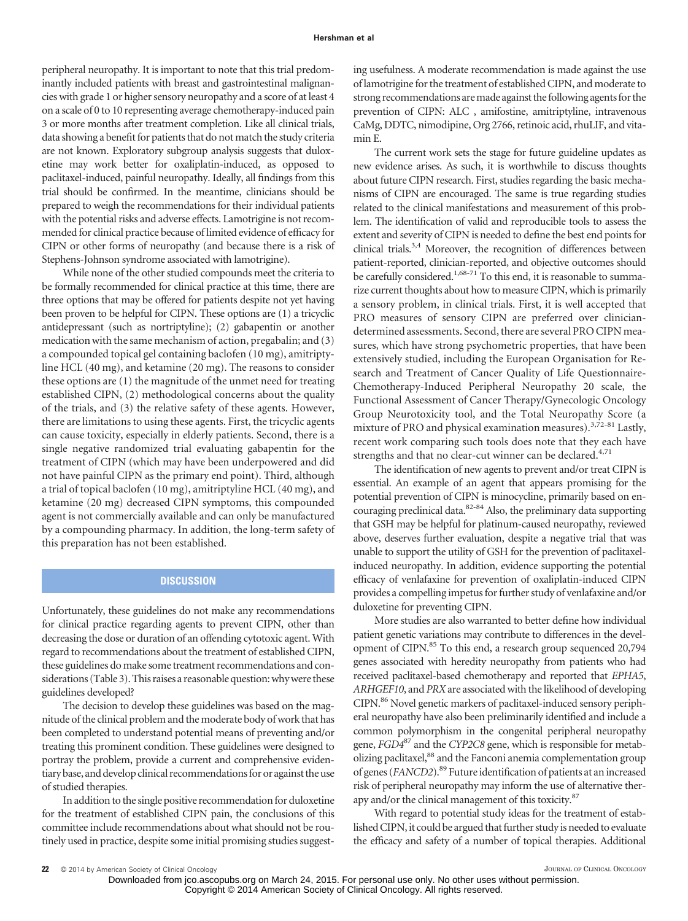peripheral neuropathy. It is important to note that this trial predominantly included patients with breast and gastrointestinal malignancies with grade 1 or higher sensory neuropathy and a score of at least 4 on a scale of 0 to 10 representing average chemotherapy-induced pain 3 or more months after treatment completion. Like all clinical trials, data showing a benefit for patients that do not match the study criteria are not known. Exploratory subgroup analysis suggests that duloxetine may work better for oxaliplatin-induced, as opposed to paclitaxel-induced, painful neuropathy. Ideally, all findings from this trial should be confirmed. In the meantime, clinicians should be prepared to weigh the recommendations for their individual patients with the potential risks and adverse effects. Lamotrigine is not recommended for clinical practice because of limited evidence of efficacy for CIPN or other forms of neuropathy (and because there is a risk of Stephens-Johnson syndrome associated with lamotrigine).

While none of the other studied compounds meet the criteria to be formally recommended for clinical practice at this time, there are three options that may be offered for patients despite not yet having been proven to be helpful for CIPN. These options are (1) a tricyclic antidepressant (such as nortriptyline); (2) gabapentin or another medication with the same mechanism of action, pregabalin; and  $(3)$ a compounded topical gel containing baclofen (10 mg), amitriptyline HCL (40 mg), and ketamine (20 mg). The reasons to consider these options are (1) the magnitude of the unmet need for treating established CIPN, (2) methodological concerns about the quality of the trials, and (3) the relative safety of these agents. However, there are limitations to using these agents. First, the tricyclic agents can cause toxicity, especially in elderly patients. Second, there is a single negative randomized trial evaluating gabapentin for the treatment of CIPN (which may have been underpowered and did not have painful CIPN as the primary end point). Third, although a trial of topical baclofen (10 mg), amitriptyline HCL (40 mg), and ketamine (20 mg) decreased CIPN symptoms, this compounded agent is not commercially available and can only be manufactured by a compounding pharmacy. In addition, the long-term safety of this preparation has not been established.

# **DISCUSSION**

Unfortunately, these guidelines do not make any recommendations for clinical practice regarding agents to prevent CIPN, other than decreasing the dose or duration of an offending cytotoxic agent. With regard to recommendations about the treatment of established CIPN, these guidelines do make some treatment recommendations and considerations (Table 3). This raises a reasonable question: why were these guidelines developed?

The decision to develop these guidelines was based on the magnitude of the clinical problem and the moderate body of work that has been completed to understand potential means of preventing and/or treating this prominent condition. These guidelines were designed to portray the problem, provide a current and comprehensive evidentiary base, and develop clinical recommendations for or against the use of studied therapies.

In addition to the single positive recommendation for duloxetine for the treatment of established CIPN pain, the conclusions of this committee include recommendations about what should not be routinely used in practice, despite some initial promising studies suggesting usefulness. A moderate recommendation is made against the use of lamotrigine for the treatment of established CIPN, and moderate to strong recommendations are made against the following agents for the prevention of CIPN: ALC , amifostine, amitriptyline, intravenous CaMg, DDTC, nimodipine, Org 2766, retinoic acid, rhuLIF, and vitamin E.

The current work sets the stage for future guideline updates as new evidence arises. As such, it is worthwhile to discuss thoughts about future CIPN research. First, studies regarding the basic mechanisms of CIPN are encouraged. The same is true regarding studies related to the clinical manifestations and measurement of this problem. The identification of valid and reproducible tools to assess the extent and severity of CIPN is needed to define the best end points for clinical trials.3,4 Moreover, the recognition of differences between patient-reported, clinician-reported, and objective outcomes should be carefully considered.<sup>1,68-71</sup> To this end, it is reasonable to summarize current thoughts about how to measure CIPN, which is primarily a sensory problem, in clinical trials. First, it is well accepted that PRO measures of sensory CIPN are preferred over cliniciandetermined assessments. Second, there are several PRO CIPN measures, which have strong psychometric properties, that have been extensively studied, including the European Organisation for Research and Treatment of Cancer Quality of Life Questionnaire-Chemotherapy-Induced Peripheral Neuropathy 20 scale, the Functional Assessment of Cancer Therapy/Gynecologic Oncology Group Neurotoxicity tool, and the Total Neuropathy Score (a mixture of PRO and physical examination measures).<sup>3,72-81</sup> Lastly, recent work comparing such tools does note that they each have strengths and that no clear-cut winner can be declared. $4,71$ 

The identification of new agents to prevent and/or treat CIPN is essential. An example of an agent that appears promising for the potential prevention of CIPN is minocycline, primarily based on encouraging preclinical data. $82-84$  Also, the preliminary data supporting that GSH may be helpful for platinum-caused neuropathy, reviewed above, deserves further evaluation, despite a negative trial that was unable to support the utility of GSH for the prevention of paclitaxelinduced neuropathy. In addition, evidence supporting the potential efficacy of venlafaxine for prevention of oxaliplatin-induced CIPN provides a compelling impetus for further study of venlafaxine and/or duloxetine for preventing CIPN.

More studies are also warranted to better define how individual patient genetic variations may contribute to differences in the development of CIPN.<sup>85</sup> To this end, a research group sequenced 20,794 genes associated with heredity neuropathy from patients who had received paclitaxel-based chemotherapy and reported that *EPHA5*, *ARHGEF10*, and *PRX*are associated with the likelihood of developing CIPN.<sup>86</sup> Novel genetic markers of paclitaxel-induced sensory peripheral neuropathy have also been preliminarily identified and include a common polymorphism in the congenital peripheral neuropathy gene, *FGD4*<sup>87</sup> and the *CYP2C8* gene, which is responsible for metabolizing paclitaxel,88 and the Fanconi anemia complementation group of genes (*FANCD2*).89 Future identification of patients at an increased risk of peripheral neuropathy may inform the use of alternative therapy and/or the clinical management of this toxicity.<sup>87</sup>

With regard to potential study ideas for the treatment of established CIPN, it could be argued that further study is needed to evaluate the efficacy and safety of a number of topical therapies. Additional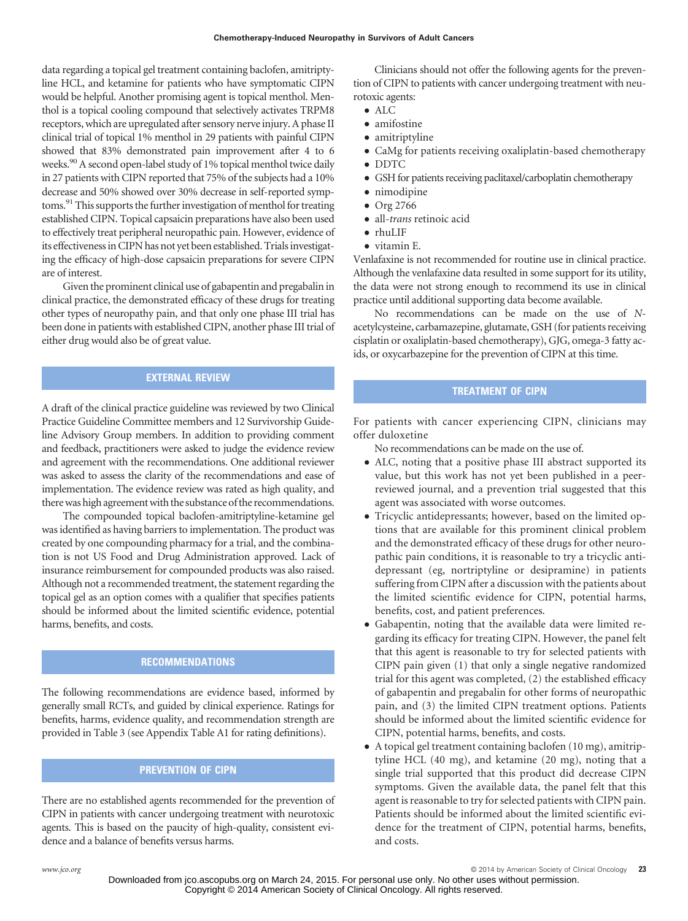data regarding a topical gel treatment containing baclofen, amitriptyline HCL, and ketamine for patients who have symptomatic CIPN would be helpful. Another promising agent is topical menthol. Menthol is a topical cooling compound that selectively activates TRPM8 receptors, which are upregulated after sensory nerve injury. A phase II clinical trial of topical 1% menthol in 29 patients with painful CIPN showed that 83% demonstrated pain improvement after 4 to 6 weeks.<sup>90</sup> A second open-label study of 1% topical menthol twice daily in 27 patients with CIPN reported that 75% of the subjects had a 10% decrease and 50% showed over 30% decrease in self-reported symptoms.<sup>91</sup> This supports the further investigation of menthol for treating established CIPN. Topical capsaicin preparations have also been used to effectively treat peripheral neuropathic pain. However, evidence of its effectiveness in CIPN has not yet been established. Trials investigating the efficacy of high-dose capsaicin preparations for severe CIPN are of interest.

Given the prominent clinical use of gabapentin and pregabalin in clinical practice, the demonstrated efficacy of these drugs for treating other types of neuropathy pain, and that only one phase III trial has been done in patients with established CIPN, another phase III trial of either drug would also be of great value.

### **EXTERNAL REVIEW**

A draft of the clinical practice guideline was reviewed by two Clinical Practice Guideline Committee members and 12 Survivorship Guideline Advisory Group members. In addition to providing comment and feedback, practitioners were asked to judge the evidence review and agreement with the recommendations. One additional reviewer was asked to assess the clarity of the recommendations and ease of implementation. The evidence review was rated as high quality, and there was high agreement with the substance of the recommendations.

The compounded topical baclofen-amitriptyline-ketamine gel was identified as having barriers to implementation. The product was created by one compounding pharmacy for a trial, and the combination is not US Food and Drug Administration approved. Lack of insurance reimbursement for compounded products was also raised. Although not a recommended treatment, the statement regarding the topical gel as an option comes with a qualifier that specifies patients should be informed about the limited scientific evidence, potential harms, benefits, and costs.

# **RECOMMENDATIONS**

The following recommendations are evidence based, informed by generally small RCTs, and guided by clinical experience. Ratings for benefits, harms, evidence quality, and recommendation strength are provided in Table 3 (see Appendix Table A1 for rating definitions).

# **PREVENTION OF CIPN**

There are no established agents recommended for the prevention of CIPN in patients with cancer undergoing treatment with neurotoxic agents. This is based on the paucity of high-quality, consistent evidence and a balance of benefits versus harms.

Clinicians should not offer the following agents for the prevention of CIPN to patients with cancer undergoing treatment with neurotoxic agents:

- ALC
- amifostine
- amitriptyline
- CaMg for patients receiving oxaliplatin-based chemotherapy
- DDTC
- GSH for patients receiving paclitaxel/carboplatin chemotherapy
- nimodipine
- Org 2766
- all-*trans* retinoic acid
- rhuLIF
- vitamin E.

Venlafaxine is not recommended for routine use in clinical practice. Although the venlafaxine data resulted in some support for its utility, the data were not strong enough to recommend its use in clinical practice until additional supporting data become available.

No recommendations can be made on the use of *N*acetylcysteine, carbamazepine, glutamate, GSH (for patients receiving cisplatin or oxaliplatin-based chemotherapy), GJG, omega-3 fatty acids, or oxycarbazepine for the prevention of CIPN at this time.

# **TREATMENT OF CIPN**

For patients with cancer experiencing CIPN, clinicians may offer duloxetine

No recommendations can be made on the use of.

- ALC, noting that a positive phase III abstract supported its value, but this work has not yet been published in a peerreviewed journal, and a prevention trial suggested that this agent was associated with worse outcomes.
- Tricyclic antidepressants; however, based on the limited options that are available for this prominent clinical problem and the demonstrated efficacy of these drugs for other neuropathic pain conditions, it is reasonable to try a tricyclic antidepressant (eg, nortriptyline or desipramine) in patients suffering from CIPN after a discussion with the patients about the limited scientific evidence for CIPN, potential harms, benefits, cost, and patient preferences.
- Gabapentin, noting that the available data were limited regarding its efficacy for treating CIPN. However, the panel felt that this agent is reasonable to try for selected patients with CIPN pain given (1) that only a single negative randomized trial for this agent was completed, (2) the established efficacy of gabapentin and pregabalin for other forms of neuropathic pain, and (3) the limited CIPN treatment options. Patients should be informed about the limited scientific evidence for CIPN, potential harms, benefits, and costs.
- A topical gel treatment containing baclofen (10 mg), amitriptyline HCL (40 mg), and ketamine (20 mg), noting that a single trial supported that this product did decrease CIPN symptoms. Given the available data, the panel felt that this agent is reasonable to try for selected patients with CIPN pain. Patients should be informed about the limited scientific evidence for the treatment of CIPN, potential harms, benefits, and costs.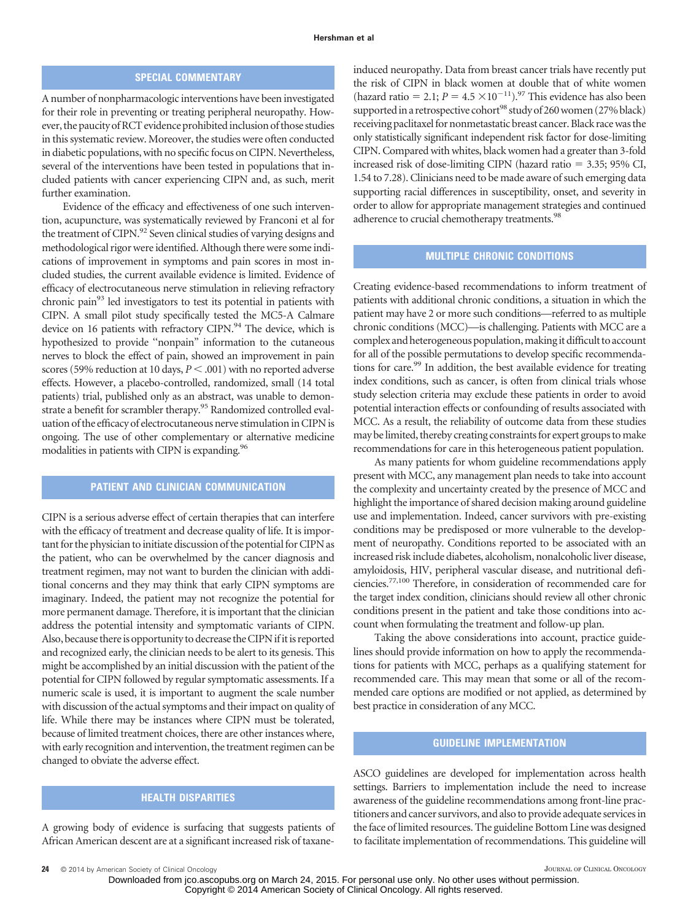### **SPECIAL COMMENTARY**

A number of nonpharmacologic interventions have been investigated for their role in preventing or treating peripheral neuropathy. However, the paucity of RCT evidence prohibitedinclusion of those studies in this systematic review. Moreover, the studies were often conducted in diabetic populations, with no specific focus on CIPN. Nevertheless, several of the interventions have been tested in populations that included patients with cancer experiencing CIPN and, as such, merit further examination.

Evidence of the efficacy and effectiveness of one such intervention, acupuncture, was systematically reviewed by Franconi et al for the treatment of CIPN.<sup>92</sup> Seven clinical studies of varying designs and methodological rigor were identified. Although there were some indications of improvement in symptoms and pain scores in most included studies, the current available evidence is limited. Evidence of efficacy of electrocutaneous nerve stimulation in relieving refractory chronic pain<sup>93</sup> led investigators to test its potential in patients with CIPN. A small pilot study specifically tested the MC5-A Calmare device on 16 patients with refractory CIPN.<sup>94</sup> The device, which is hypothesized to provide ''nonpain" information to the cutaneous nerves to block the effect of pain, showed an improvement in pain scores (59% reduction at 10 days,  $P < .001$ ) with no reported adverse effects. However, a placebo-controlled, randomized, small (14 total patients) trial, published only as an abstract, was unable to demonstrate a benefit for scrambler therapy.<sup>95</sup> Randomized controlled evaluation of the efficacy of electrocutaneous nerve stimulation in CIPN is ongoing. The use of other complementary or alternative medicine modalities in patients with CIPN is expanding.<sup>96</sup>

### **PATIENT AND CLINICIAN COMMUNICATION**

CIPN is a serious adverse effect of certain therapies that can interfere with the efficacy of treatment and decrease quality of life. It is important for the physician to initiate discussion of the potential for CIPN as the patient, who can be overwhelmed by the cancer diagnosis and treatment regimen, may not want to burden the clinician with additional concerns and they may think that early CIPN symptoms are imaginary. Indeed, the patient may not recognize the potential for more permanent damage. Therefore, it is important that the clinician address the potential intensity and symptomatic variants of CIPN. Also, because there is opportunity to decrease the CIPN if it is reported and recognized early, the clinician needs to be alert to its genesis. This might be accomplished by an initial discussion with the patient of the potential for CIPN followed by regular symptomatic assessments. If a numeric scale is used, it is important to augment the scale number with discussion of the actual symptoms and their impact on quality of life. While there may be instances where CIPN must be tolerated, because of limited treatment choices, there are other instances where, with early recognition and intervention, the treatment regimen can be changed to obviate the adverse effect.

# **HEALTH DISPARITIES**

A growing body of evidence is surfacing that suggests patients of African American descent are at a significant increased risk of taxaneinduced neuropathy. Data from breast cancer trials have recently put the risk of CIPN in black women at double that of white women (hazard ratio = 2.1;  $P = 4.5 \times 10^{-11}$ ).<sup>97</sup> This evidence has also been supported in a retrospective cohort<sup>98</sup> study of 260 women (27% black) receiving paclitaxel for nonmetastatic breast cancer. Black race was the only statistically significant independent risk factor for dose-limiting CIPN. Compared with whites, black women had a greater than 3-fold increased risk of dose-limiting CIPN (hazard ratio  $=$  3.35; 95% CI, 1.54 to 7.28). Clinicians need to be made aware of such emerging data supporting racial differences in susceptibility, onset, and severity in order to allow for appropriate management strategies and continued adherence to crucial chemotherapy treatments.<sup>98</sup>

### **MULTIPLE CHRONIC CONDITIONS**

Creating evidence-based recommendations to inform treatment of patients with additional chronic conditions, a situation in which the patient may have 2 or more such conditions—referred to as multiple chronic conditions (MCC)—is challenging. Patients with MCC are a complex and heterogeneous population, making it difficult to account for all of the possible permutations to develop specific recommendations for care.<sup>99</sup> In addition, the best available evidence for treating index conditions, such as cancer, is often from clinical trials whose study selection criteria may exclude these patients in order to avoid potential interaction effects or confounding of results associated with MCC. As a result, the reliability of outcome data from these studies may be limited, thereby creating constraints for expert groups to make recommendations for care in this heterogeneous patient population.

As many patients for whom guideline recommendations apply present with MCC, any management plan needs to take into account the complexity and uncertainty created by the presence of MCC and highlight the importance of shared decision making around guideline use and implementation. Indeed, cancer survivors with pre-existing conditions may be predisposed or more vulnerable to the development of neuropathy. Conditions reported to be associated with an increased risk include diabetes, alcoholism, nonalcoholic liver disease, amyloidosis, HIV, peripheral vascular disease, and nutritional deficiencies.77,100 Therefore, in consideration of recommended care for the target index condition, clinicians should review all other chronic conditions present in the patient and take those conditions into account when formulating the treatment and follow-up plan.

Taking the above considerations into account, practice guidelines should provide information on how to apply the recommendations for patients with MCC, perhaps as a qualifying statement for recommended care. This may mean that some or all of the recommended care options are modified or not applied, as determined by best practice in consideration of any MCC.

### **GUIDELINE IMPLEMENTATION**

ASCO guidelines are developed for implementation across health settings. Barriers to implementation include the need to increase awareness of the guideline recommendations among front-line practitioners and cancer survivors, and also to provide adequate services in the face of limited resources. The guideline Bottom Line was designed to facilitate implementation of recommendations. This guideline will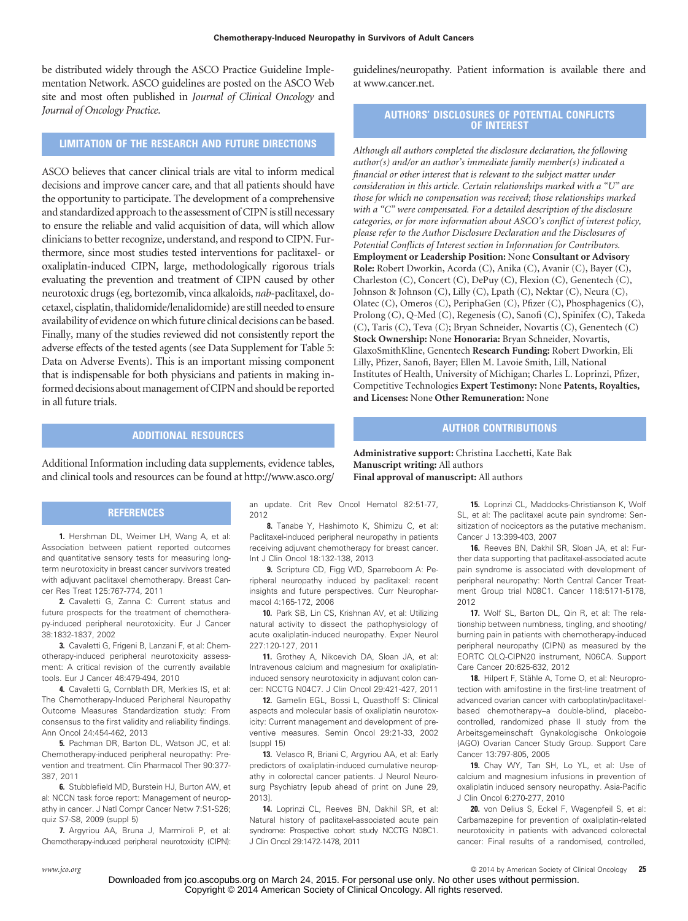be distributed widely through the ASCO Practice Guideline Implementation Network. ASCO guidelines are posted on the ASCO Web site and most often published in *Journal of Clinical Oncology* and *Journal of Oncology Practice*.

### **LIMITATION OF THE RESEARCH AND FUTURE DIRECTIONS**

ASCO believes that cancer clinical trials are vital to inform medical decisions and improve cancer care, and that all patients should have the opportunity to participate. The development of a comprehensive and standardized approach to the assessment of CIPN is still necessary to ensure the reliable and valid acquisition of data, will which allow clinicians to better recognize, understand, and respond to CIPN. Furthermore, since most studies tested interventions for paclitaxel- or oxaliplatin-induced CIPN, large, methodologically rigorous trials evaluating the prevention and treatment of CIPN caused by other neurotoxic drugs (eg, bortezomib, vinca alkaloids, *nab*-paclitaxel, docetaxel, cisplatin, thalidomide/lenalidomide) are still needed to ensure availability of evidence on which future clinical decisions can be based. Finally, many of the studies reviewed did not consistently report the adverse effects of the tested agents (see Data Supplement for Table 5: Data on Adverse Events). This is an important missing component that is indispensable for both physicians and patients in making informed decisions about management of CIPN and should be reported in all future trials.

### **ADDITIONAL RESOURCES**

Additional Information including data supplements, evidence tables, and clinical tools and resources can be found at [http://www.asco.org/](http://www.asco.org/guidelines/neuropathy)

#### **REFERENCES**

**1.** Hershman DL, Weimer LH, Wang A, et al: Association between patient reported outcomes and quantitative sensory tests for measuring longterm neurotoxicity in breast cancer survivors treated with adjuvant paclitaxel chemotherapy. Breast Cancer Res Treat 125:767-774, 2011

**2.** Cavaletti G, Zanna C: Current status and future prospects for the treatment of chemotherapy-induced peripheral neurotoxicity. Eur J Cancer 38:1832-1837, 2002

**3.** Cavaletti G, Frigeni B, Lanzani F, et al: Chemotherapy-induced peripheral neurotoxicity assessment: A critical revision of the currently available tools. Eur J Cancer 46:479-494, 2010

**4.** Cavaletti G, Cornblath DR, Merkies IS, et al: The Chemotherapy-Induced Peripheral Neuropathy Outcome Measures Standardization study: From consensus to the first validity and reliability findings. Ann Oncol 24:454-462, 2013

**5.** Pachman DR, Barton DL, Watson JC, et al: Chemotherapy-induced peripheral neuropathy: Prevention and treatment. Clin Pharmacol Ther 90:377- 387, 2011

**6.** Stubblefield MD, Burstein HJ, Burton AW, et al: NCCN task force report: Management of neuropathy in cancer. J Natl Compr Cancer Netw 7:S1-S26; quiz S7-S8, 2009 (suppl 5)

**7.** Argyriou AA, Bruna J, Marmiroli P, et al: Chemotherapy-induced peripheral neurotoxicity (CIPN):

an update. Crit Rev Oncol Hematol 82:51-77, 2012

**8.** Tanabe Y, Hashimoto K, Shimizu C, et al: Paclitaxel-induced peripheral neuropathy in patients receiving adjuvant chemotherapy for breast cancer. Int J Clin Oncol 18:132-138, 2013

**9.** Scripture CD, Figg WD, Sparreboom A: Peripheral neuropathy induced by paclitaxel: recent insights and future perspectives. Curr Neuropharmacol 4:165-172, 2006

**10.** Park SB, Lin CS, Krishnan AV, et al: Utilizing natural activity to dissect the pathophysiology of acute oxaliplatin-induced neuropathy. Exper Neurol 227:120-127, 2011

**11.** Grothey A, Nikcevich DA, Sloan JA, et al: Intravenous calcium and magnesium for oxaliplatininduced sensory neurotoxicity in adjuvant colon cancer: NCCTG N04C7. J Clin Oncol 29:421-427, 2011

**12.** Gamelin EGL, Bossi L, Quasthoff S: Clinical aspects and molecular basis of oxaliplatin neurotoxicity: Current management and development of preventive measures. Semin Oncol 29:21-33, 2002 (suppl 15)

**13.** Velasco R, Briani C, Argyriou AA, et al: Early predictors of oxaliplatin-induced cumulative neuropathy in colorectal cancer patients. J Neurol Neurosurg Psychiatry [epub ahead of print on June 29, 2013].

**14.** Loprinzi CL, Reeves BN, Dakhil SR, et al: Natural history of paclitaxel-associated acute pain syndrome: Prospective cohort study NCCTG N08C1. J Clin Oncol 29:1472-1478, 2011

[guidelines/neuropathy.](http://www.asco.org/guidelines/neuropathy) Patient information is available there and at [www.cancer.net.](http://www.cancer.net)

### **AUTHORS' DISCLOSURES OF POTENTIAL CONFLICTS OF INTEREST**

*Although all authors completed the disclosure declaration, the following author(s) and/or an author's immediate family member(s) indicated a financial or other interest that is relevant to the subject matter under consideration in this article. Certain relationships marked with a "U" are those for which no compensation was received; those relationships marked with a "C" were compensated. For a detailed description of the disclosure categories, or for more information about ASCO's conflict of interest policy, please refer to the Author Disclosure Declaration and the Disclosures of Potential Conflicts of Interest section in Information for Contributors.* **Employment or Leadership Position:** None **Consultant or Advisory Role:** Robert Dworkin, Acorda (C), Anika (C), Avanir (C), Bayer (C), Charleston (C), Concert (C), DePuy (C), Flexion (C), Genentech (C), Johnson & Johnson (C), Lilly (C), Lpath (C), Nektar (C), Neura (C), Olatec (C), Omeros (C), PeriphaGen (C), Pfizer (C), Phosphagenics (C), Prolong (C), Q-Med (C), Regenesis (C), Sanofi (C), Spinifex (C), Takeda (C), Taris (C), Teva (C); Bryan Schneider, Novartis (C), Genentech (C) **Stock Ownership:** None **Honoraria:** Bryan Schneider, Novartis, GlaxoSmithKline, Genentech **Research Funding:** Robert Dworkin, Eli Lilly, Pfizer, Sanofi, Bayer; Ellen M. Lavoie Smith, Lill, National Institutes of Health, University of Michigan; Charles L. Loprinzi, Pfizer, Competitive Technologies **Expert Testimony:** None **Patents, Royalties, and Licenses:** None **Other Remuneration:** None

### **AUTHOR CONTRIBUTIONS**

**Administrative support:** Christina Lacchetti, Kate Bak **Manuscript writing:** All authors **Final approval of manuscript:** All authors

> **15.** Loprinzi CL, Maddocks-Christianson K, Wolf SL, et al: The paclitaxel acute pain syndrome: Sensitization of nociceptors as the putative mechanism. Cancer J 13:399-403, 2007

> **16.** Reeves BN, Dakhil SR, Sloan JA, et al: Further data supporting that paclitaxel-associated acute pain syndrome is associated with development of peripheral neuropathy: North Central Cancer Treatment Group trial N08C1. Cancer 118:5171-5178, 2012

> **17.** Wolf SL, Barton DL, Qin R, et al: The relationship between numbness, tingling, and shooting/ burning pain in patients with chemotherapy-induced peripheral neuropathy (CIPN) as measured by the EORTC QLQ-CIPN20 instrument, N06CA. Support Care Cancer 20:625-632, 2012

> 18. Hilpert F, Stähle A, Tome O, et al: Neuroprotection with amifostine in the first-line treatment of advanced ovarian cancer with carboplatin/paclitaxelbased chemotherapy–a double-blind, placebocontrolled, randomized phase II study from the Arbeitsgemeinschaft Gynakologische Onkologoie (AGO) Ovarian Cancer Study Group. Support Care Cancer 13:797-805, 2005

> **19.** Chay WY, Tan SH, Lo YL, et al: Use of calcium and magnesium infusions in prevention of oxaliplatin induced sensory neuropathy. Asia-Pacific J Clin Oncol 6:270-277, 2010

> **20.** von Delius S, Eckel F, Wagenpfeil S, et al: Carbamazepine for prevention of oxaliplatin-related neurotoxicity in patients with advanced colorectal cancer: Final results of a randomised, controlled,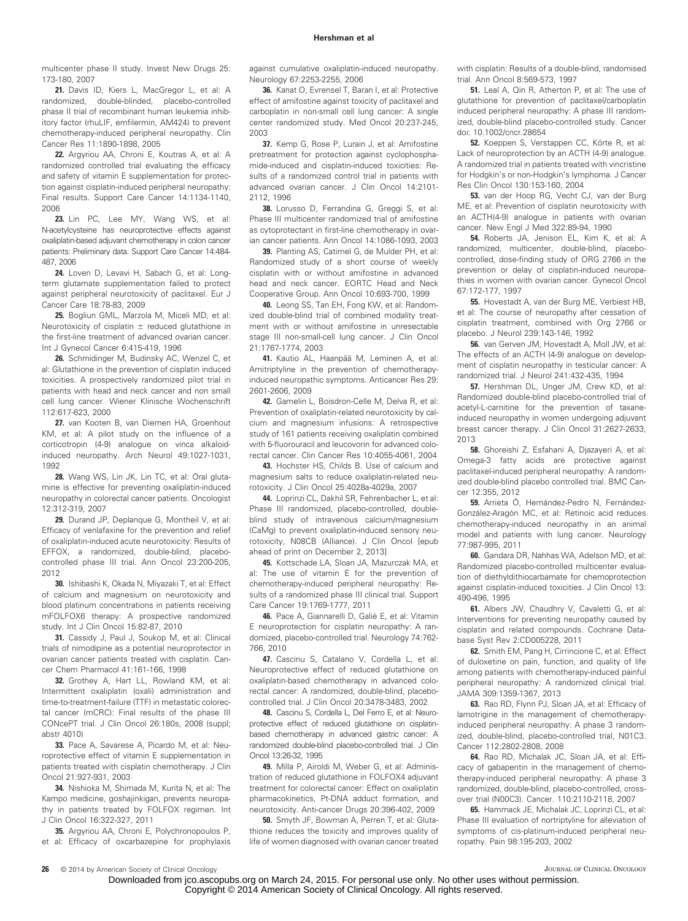multicenter phase II study. Invest New Drugs 25: 173-180, 2007

**21.** Davis ID, Kiers L, MacGregor L, et al: A randomized, double-blinded, placebo-controlled phase II trial of recombinant human leukemia inhibitory factor (rhuLIF, emfilermin, AM424) to prevent chemotherapy-induced peripheral neuropathy. Clin Cancer Res 11:1890-1898, 2005

**22.** Argyriou AA, Chroni E, Koutras A, et al: A randomized controlled trial evaluating the efficacy and safety of vitamin E supplementation for protection against cisplatin-induced peripheral neuropathy: Final results. Support Care Cancer 14:1134-1140, 2006

**23.** Lin PC, Lee MY, Wang WS, et al: N-acetylcysteine has neuroprotective effects against oxaliplatin-based adjuvant chemotherapy in colon cancer patients: Preliminary data. Support Care Cancer 14:484- 487, 2006

**24.** Loven D, Levavi H, Sabach G, et al: Longterm glutamate supplementation failed to protect against peripheral neurotoxicity of paclitaxel. Eur J Cancer Care 18:78-83, 2009

**25.** Bogliun GML, Marzola M, Miceli MD, et al: Neurotoxicity of cisplatin  $\pm$  reduced glutathione in the first-line treatment of advanced ovarian cancer. Int J Gynecol Cancer 6:415-419, 1996

**26.** Schmidinger M, Budinsky AC, Wenzel C, et al: Glutathione in the prevention of cisplatin induced toxicities. A prospectively randomized pilot trial in patients with head and neck cancer and non small cell lung cancer. Wiener Klinische Wochenschrift 112:617-623, 2000

**27.** van Kooten B, van Diemen HA, Groenhout KM, et al: A pilot study on the influence of a corticotropin (4-9) analogue on vinca alkaloidinduced neuropathy. Arch Neurol 49:1027-1031, 1992

**28.** Wang WS, Lin JK, Lin TC, et al: Oral glutamine is effective for preventing oxaliplatin-induced neuropathy in colorectal cancer patients. Oncologist 12:312-319, 2007

**29.** Durand JP, Deplanque G, Montheil V, et al: Efficacy of venlafaxine for the prevention and relief of oxaliplatin-induced acute neurotoxicity: Results of EFFOX, a randomized, double-blind, placebocontrolled phase III trial. Ann Oncol 23:200-205, 2012

**30.** Ishibashi K, Okada N, Miyazaki T, et al: Effect of calcium and magnesium on neurotoxicity and blood platinum concentrations in patients receiving mFOLFOX6 therapy: A prospective randomized study. Int J Clin Oncol 15:82-87, 2010

**31.** Cassidy J, Paul J, Soukop M, et al: Clinical trials of nimodipine as a potential neuroprotector in ovarian cancer patients treated with cisplatin. Cancer Chem Pharmacol 41:161-166, 1998

**32.** Grothey A, Hart LL, Rowland KM, et al: Intermittent oxaliplatin (oxali) administration and time-to-treatment-failure (TTF) in metastatic colorectal cancer (mCRC): Final results of the phase III CONcePT trial. J Clin Oncol 26:180s, 2008 (suppl; abstr 4010)

**33.** Pace A, Savarese A, Picardo M, et al: Neuroprotective effect of vitamin E supplementation in patients treated with cisplatin chemotherapy. J Clin Oncol 21:927-931, 2003

**34.** Nishioka M, Shimada M, Kurita N, et al: The Kampo medicine, goshajinkigan, prevents neuropathy in patients treated by FOLFOX regimen. Int J Clin Oncol 16:322-327, 2011

**35.** Argyriou AA, Chroni E, Polychronopoulos P, et al: Efficacy of oxcarbazepine for prophylaxis against cumulative oxaliplatin-induced neuropathy. Neurology 67:2253-2255, 2006

**36.** Kanat O, Evrensel T, Baran I, et al: Protective effect of amifostine against toxicity of paclitaxel and carboplatin in non-small cell lung cancer: A single center randomized study. Med Oncol 20:237-245, 2003

**37.** Kemp G, Rose P, Lurain J, et al: Amifostine pretreatment for protection against cyclophosphamide-induced and cisplatin-induced toxicities: Results of a randomized control trial in patients with advanced ovarian cancer. J Clin Oncol 14:2101- 2112, 1996

**38.** Lorusso D, Ferrandina G, Greggi S, et al: Phase III multicenter randomized trial of amifostine as cytoprotectant in first-line chemotherapy in ovarian cancer patients. Ann Oncol 14:1086-1093, 2003

**39.** Planting AS, Catimel G, de Mulder PH, et al: Randomized study of a short course of weekly cisplatin with or without amifostine in advanced head and neck cancer. EORTC Head and Neck Cooperative Group. Ann Oncol 10:693-700, 1999

**40.** Leong SS, Tan EH, Fong KW, et al: Randomized double-blind trial of combined modality treatment with or without amifostine in unresectable stage III non-small-cell lung cancer. J Clin Oncol 21:1767-1774, 2003

41. Kautio AL, Haanpää M, Leminen A, et al: Amitriptyline in the prevention of chemotherapyinduced neuropathic symptoms. Anticancer Res 29: 2601-2606, 2009

**42.** Gamelin L, Boisdron-Celle M, Delva R, et al: Prevention of oxaliplatin-related neurotoxicity by calcium and magnesium infusions: A retrospective study of 161 patients receiving oxaliplatin combined with 5-fluorouracil and leucovorin for advanced colorectal cancer. Clin Cancer Res 10:4055-4061, 2004

**43.** Hochster HS, Childs B. Use of calcium and magnesium salts to reduce oxaliplatin-related neurotoxicity. J Clin Oncol 25:4028a-4029a, 2007

**44.** Loprinzi CL, Dakhil SR, Fehrenbacher L, et al: Phase III randomized, placebo-controlled, doubleblind study of intravenous calcium/magnesium (CaMg) to prevent oxaliplatin-induced sensory neurotoxicity, N08CB (Alliance). J Clin Oncol [epub ahead of print on December 2, 2013]

**45.** Kottschade LA, Sloan JA, Mazurczak MA, et al: The use of vitamin E for the prevention of chemotherapy-induced peripheral neuropathy: Results of a randomized phase III clinical trial. Support Care Cancer 19:1769-1777, 2011

46. Pace A, Giannarelli D, Galiè E, et al: Vitamin E neuroprotection for cisplatin neuropathy: A randomized, placebo-controlled trial. Neurology 74:762- 766, 2010

**47.** Cascinu S, Catalano V, Cordella L, et al: Neuroprotective effect of reduced glutathione on oxaliplatin-based chemotherapy in advanced colorectal cancer: A randomized, double-blind, placebocontrolled trial. J Clin Oncol 20:3478-3483, 2002

**48.** Cascinu S, Cordella L, Del Ferro E, et al: Neuroprotective effect of reduced glutathione on cisplatinbased chemotherapy in advanced gastric cancer: A randomized double-blind placebo-controlled trial. J Clin Oncol 13:26-32, 1995

**49.** Milla P, Airoldi M, Weber G, et al: Administration of reduced glutathione in FOLFOX4 adjuvant treatment for colorectal cancer: Effect on oxaliplatin pharmacokinetics, Pt-DNA adduct formation, and neurotoxicity. Anti-cancer Drugs 20:396-402, 2009

**50.** Smyth JF, Bowman A, Perren T, et al: Glutathione reduces the toxicity and improves quality of life of women diagnosed with ovarian cancer treated with cisplatin: Results of a double-blind, randomised trial. Ann Oncol 8:569-573, 1997

**51.** Leal A, Qin R, Atherton P, et al: The use of glutathione for prevention of paclitaxel/carboplatin induced peripheral neuropathy: A phase III randomized, double-blind placebo-controlled study. Cancer doi: 10.1002/cncr.28654

52. Koeppen S, Verstappen CC, Körte R, et al: Lack of neuroprotection by an ACTH (4-9) analogue. A randomized trial in patients treated with vincristine for Hodgkin's or non-Hodgkin's lymphoma. J Cancer Res Clin Oncol 130:153-160, 2004

**53.** van der Hoop RG, Vecht CJ, van der Burg ME, et al: Prevention of cisplatin neurotoxicity with an ACTH(4-9) analogue in patients with ovarian cancer. New Engl J Med 322:89-94, 1990

**54.** Roberts JA, Jenison EL, Kim K, et al: A randomized, multicenter, double-blind, placebocontrolled, dose-finding study of ORG 2766 in the prevention or delay of cisplatin-induced neuropathies in women with ovarian cancer. Gynecol Oncol 67:172-177, 1997

**55.** Hovestadt A, van der Burg ME, Verbiest HB, et al: The course of neuropathy after cessation of cisplatin treatment, combined with Org 2766 or placebo. J Neurol 239:143-146, 1992

**56.** van Gerven JM, Hovestadt A, Moll JW, et al: The effects of an ACTH (4-9) analogue on development of cisplatin neuropathy in testicular cancer: A randomized trial. J Neurol 241:432-435, 1994

**57.** Hershman DL, Unger JM, Crew KD, et al: Randomized double-blind placebo-controlled trial of acetyl-L-carnitine for the prevention of taxaneinduced neuropathy in women undergoing adjuvant breast cancer therapy. J Clin Oncol 31:2627-2633, 2013

**58.** Ghoreishi Z, Esfahani A, Djazayeri A, et al: Omega-3 fatty acids are protective against paclitaxel-induced peripheral neuropathy: A randomized double-blind placebo controlled trial. BMC Cancer 12:355, 2012

59. Arrieta Ó, Hernández-Pedro N, Fernández-González-Aragón MC, et al: Retinoic acid reduces chemotherapy-induced neuropathy in an animal model and patients with lung cancer. Neurology 77:987-995, 2011

**60.** Gandara DR, Nahhas WA, Adelson MD, et al: Randomized placebo-controlled multicenter evaluation of diethyldithiocarbamate for chemoprotection against cisplatin-induced toxicities. J Clin Oncol 13: 490-496, 1995

**61.** Albers JW, Chaudhry V, Cavaletti G, et al: Interventions for preventing neuropathy caused by cisplatin and related compounds. Cochrane Database Syst Rev 2:CD005228, 2011

**62.** Smith EM, Pang H, Cirrincione C, et al: Effect of duloxetine on pain, function, and quality of life among patients with chemotherapy-induced painful peripheral neuropathy: A randomized clinical trial. JAMA 309:1359-1367, 2013

**63.** Rao RD, Flynn PJ, Sloan JA, et al: Efficacy of lamotrigine in the management of chemotherapyinduced peripheral neuropathy: A phase 3 randomized, double-blind, placebo-controlled trial, N01C3. Cancer 112:2802-2808, 2008

**64.** Rao RD, Michalak JC, Sloan JA, et al: Efficacy of gabapentin in the management of chemotherapy-induced peripheral neuropathy: A phase 3 randomized, double-blind, placebo-controlled, crossover trial (N00C3). Cancer. 110:2110-2118, 2007

**65.** Hammack JE, Michalak JC, Loprinzi CL, et al: Phase III evaluation of nortriptyline for alleviation of symptoms of cis-platinum-induced peripheral neuropathy. Pain 98:195-203, 2002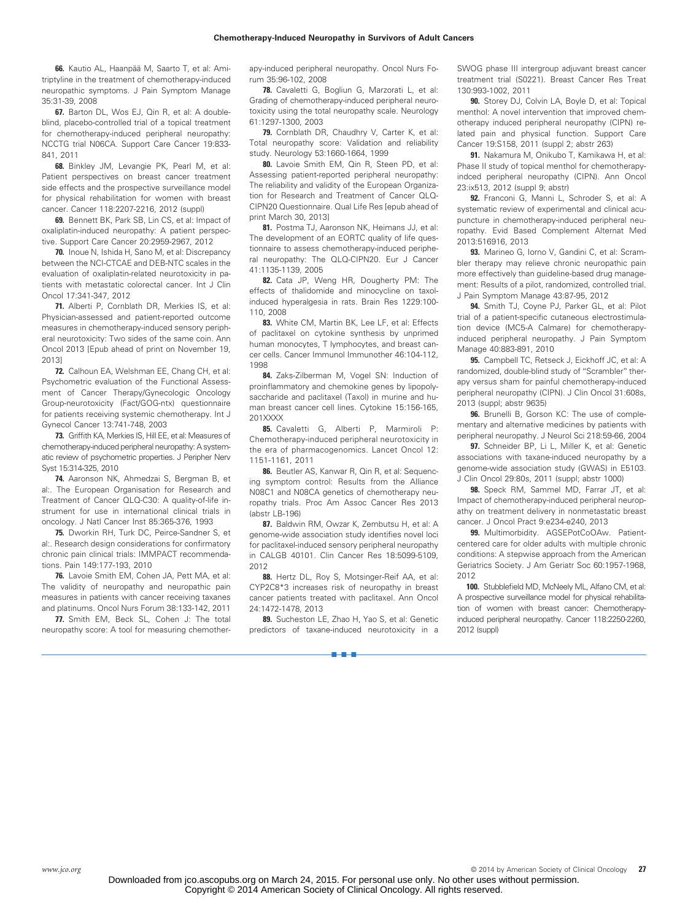**66.** Kautio AL, Haanpää M, Saarto T, et al: Amitriptyline in the treatment of chemotherapy-induced neuropathic symptoms. J Pain Symptom Manage 35:31-39, 2008

**67.** Barton DL, Wos EJ, Qin R, et al: A doubleblind, placebo-controlled trial of a topical treatment for chemotherapy-induced peripheral neuropathy: NCCTG trial N06CA. Support Care Cancer 19:833- 841, 2011

**68.** Binkley JM, Levangie PK, Pearl M, et al: Patient perspectives on breast cancer treatment side effects and the prospective surveillance model for physical rehabilitation for women with breast cancer. Cancer 118:2207-2216, 2012 (suppl)

**69.** Bennett BK, Park SB, Lin CS, et al: Impact of oxaliplatin-induced neuropathy: A patient perspective. Support Care Cancer 20:2959-2967, 2012

**70.** Inoue N, Ishida H, Sano M, et al: Discrepancy between the NCI-CTCAE and DEB-NTC scales in the evaluation of oxaliplatin-related neurotoxicity in patients with metastatic colorectal cancer. Int J Clin Oncol 17:341-347, 2012

**71.** Alberti P, Cornblath DR, Merkies IS, et al: Physician-assessed and patient-reported outcome measures in chemotherapy-induced sensory peripheral neurotoxicity: Two sides of the same coin. Ann Oncol 2013 [Epub ahead of print on November 19, 2013]

**72.** Calhoun EA, Welshman EE, Chang CH, et al: Psychometric evaluation of the Functional Assessment of Cancer Therapy/Gynecologic Oncology Group-neurotoxicity (Fact/GOG-ntx) questionnaire for patients receiving systemic chemotherapy. Int J Gynecol Cancer 13:741-748, 2003

**73.** Griffith KA, Merkies IS, Hill EE, et al: Measures of chemotherapy-induced peripheral neuropathy: A systematic review of psychometric properties. J Peripher Nerv Syst 15:314-325, 2010

**74.** Aaronson NK, Ahmedzai S, Bergman B, et al:. The European Organisation for Research and Treatment of Cancer QLQ-C30: A quality-of-life instrument for use in international clinical trials in oncology. J Natl Cancer Inst 85:365-376, 1993

**75.** Dworkin RH, Turk DC, Peirce-Sandner S, et al:. Research design considerations for confirmatory chronic pain clinical trials: IMMPACT recommendations. Pain 149:177-193, 2010

**76.** Lavoie Smith EM, Cohen JA, Pett MA, et al: The validity of neuropathy and neuropathic pain measures in patients with cancer receiving taxanes and platinums. Oncol Nurs Forum 38:133-142, 2011

**77.** Smith EM, Beck SL, Cohen J: The total neuropathy score: A tool for measuring chemother-

apy-induced peripheral neuropathy. Oncol Nurs Forum 35:96-102, 2008

**78.** Cavaletti G, Bogliun G, Marzorati L, et al: Grading of chemotherapy-induced peripheral neurotoxicity using the total neuropathy scale. Neurology 61:1297-1300, 2003

**79.** Cornblath DR, Chaudhry V, Carter K, et al: Total neuropathy score: Validation and reliability study. Neurology 53:1660-1664, 1999

**80.** Lavoie Smith EM, Qin R, Steen PD, et al: Assessing patient-reported peripheral neuropathy: The reliability and validity of the European Organization for Research and Treatment of Cancer QLQ-CIPN20 Questionnaire. Qual Life Res [epub ahead of print March 30, 2013]

**81.** Postma TJ, Aaronson NK, Heimans JJ, et al: The development of an EORTC quality of life questionnaire to assess chemotherapy-induced peripheral neuropathy: The QLQ-CIPN20. Eur J Cancer 41:1135-1139, 2005

**82.** Cata JP, Weng HR, Dougherty PM: The effects of thalidomide and minocycline on taxolinduced hyperalgesia in rats. Brain Res 1229:100- 110, 2008

**83.** White CM, Martin BK, Lee LF, et al: Effects of paclitaxel on cytokine synthesis by unprimed human monocytes, T lymphocytes, and breast cancer cells. Cancer Immunol Immunother 46:104-112, 1998

**84.** Zaks-Zilberman M, Vogel SN: Induction of proinflammatory and chemokine genes by lipopolysaccharide and paclitaxel (Taxol) in murine and human breast cancer cell lines. Cytokine 15:156-165, 201XXXX

**85.** Cavaletti G, Alberti P, Marmiroli P: Chemotherapy-induced peripheral neurotoxicity in the era of pharmacogenomics. Lancet Oncol 12: 1151-1161, 2011

**86.** Beutler AS, Kanwar R, Qin R, et al: Sequencing symptom control: Results from the Alliance N08C1 and N08CA genetics of chemotherapy neuropathy trials. Proc Am Assoc Cancer Res 2013 (abstr | R-196)

**87.** Baldwin RM, Owzar K, Zembutsu H, et al: A genome-wide association study identifies novel loci for paclitaxel-induced sensory peripheral neuropathy in CALGB 40101. Clin Cancer Res 18:5099-5109, 2012

**88.** Hertz DL, Roy S, Motsinger-Reif AA, et al: CYP2C8\*3 increases risk of neuropathy in breast cancer patients treated with paclitaxel. Ann Oncol 24:1472-1478, 2013

**89.** Sucheston LE, Zhao H, Yao S, et al: Genetic predictors of taxane-induced neurotoxicity in a

■■■

SWOG phase III intergroup adjuvant breast cancer treatment trial (S0221). Breast Cancer Res Treat 130:993-1002, 2011

**90.** Storey DJ, Colvin LA, Boyle D, et al: Topical menthol: A novel intervention that improved chemotherapy induced peripheral neuropathy (CIPN) related pain and physical function. Support Care Cancer 19:S158, 2011 (suppl 2; abstr 263)

**91.** Nakamura M, Onikubo T, Kamikawa H, et al: Phase II study of topical menthol for chemotherapyindced peripheral neuropathy (CIPN). Ann Oncol 23:ix513, 2012 (suppl 9; abstr)

**92.** Franconi G, Manni L, Schroder S, et al: A systematic review of experimental and clinical acupuncture in chemotherapy-induced peripheral neuropathy. Evid Based Complement Alternat Med 2013:516916, 2013

**93.** Marineo G, Iorno V, Gandini C, et al: Scrambler therapy may relieve chronic neuropathic pain more effectively than guideline-based drug management: Results of a pilot, randomized, controlled trial. J Pain Symptom Manage 43:87-95, 2012

**94.** Smith TJ, Coyne PJ, Parker GL, et al: Pilot trial of a patient-specific cutaneous electrostimulation device (MC5-A Calmare) for chemotherapyinduced peripheral neuropathy. J Pain Symptom Manage 40:883-891, 2010

**95.** Campbell TC, Retseck J, Eickhoff JC, et al: A randomized, double-blind study of "Scrambler" therapy versus sham for painful chemotherapy-induced peripheral neuropathy (CIPN). J Clin Oncol 31:608s, 2013 (suppl; abstr 9635)

**96.** Brunelli B, Gorson KC: The use of complementary and alternative medicines by patients with peripheral neuropathy. J Neurol Sci 218:59-66, 2004

**97.** Schneider BP, Li L, Miller K, et al: Genetic associations with taxane-induced neuropathy by a genome-wide association study (GWAS) in E5103. J Clin Oncol 29:80s, 2011 (suppl; abstr 1000)

**98.** Speck RM, Sammel MD, Farrar JT, et al: Impact of chemotherapy-induced peripheral neuropathy on treatment delivery in nonmetastatic breast cancer. J Oncol Pract 9:e234-e240, 2013

**99.** Multimorbidity. AGSEPotCoOAw. Patientcentered care for older adults with multiple chronic conditions: A stepwise approach from the American Geriatrics Society. J Am Geriatr Soc 60:1957-1968, 2012

**100.** Stubblefield MD, McNeely ML, Alfano CM, et al: A prospective surveillance model for physical rehabilitation of women with breast cancer: Chemotherapyinduced peripheral neuropathy. Cancer 118:2250-2260, 2012 (suppl)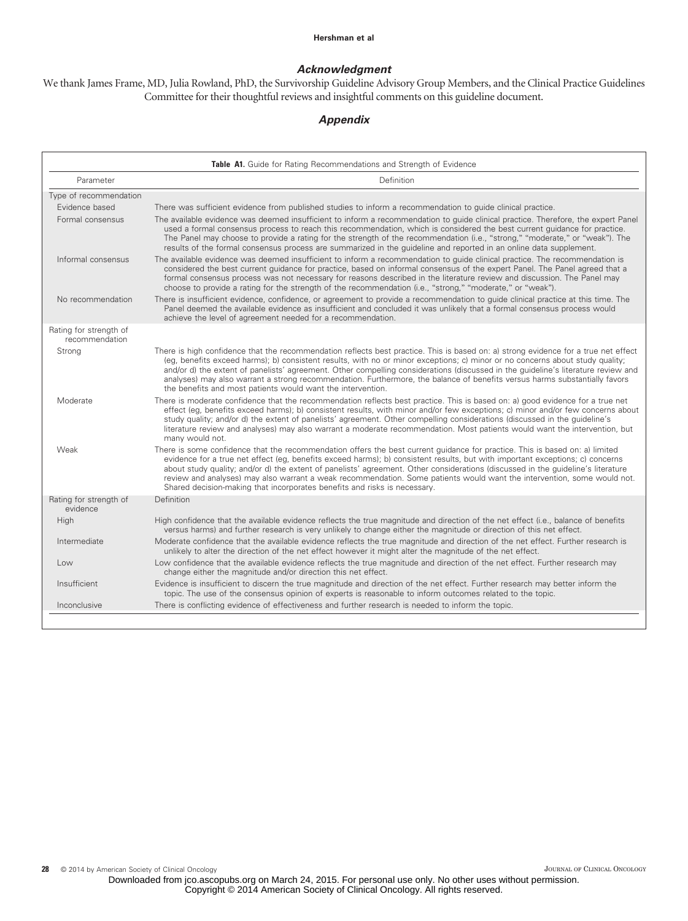### **Hershman et al**

### *Acknowledgment*

We thank James Frame, MD, Julia Rowland, PhD, the Survivorship Guideline Advisory Group Members, and the Clinical Practice Guidelines Committee for their thoughtful reviews and insightful comments on this guideline document.

### *Appendix*

|                                          | Table A1. Guide for Rating Recommendations and Strength of Evidence                                                                                                                                                                                                                                                                                                                                                                                                                                                                                                                                       |
|------------------------------------------|-----------------------------------------------------------------------------------------------------------------------------------------------------------------------------------------------------------------------------------------------------------------------------------------------------------------------------------------------------------------------------------------------------------------------------------------------------------------------------------------------------------------------------------------------------------------------------------------------------------|
| Parameter                                | Definition                                                                                                                                                                                                                                                                                                                                                                                                                                                                                                                                                                                                |
| Type of recommendation                   |                                                                                                                                                                                                                                                                                                                                                                                                                                                                                                                                                                                                           |
| Evidence based                           | There was sufficient evidence from published studies to inform a recommendation to quide clinical practice.                                                                                                                                                                                                                                                                                                                                                                                                                                                                                               |
| Formal consensus                         | The available evidence was deemed insufficient to inform a recommendation to quide clinical practice. Therefore, the expert Panel<br>used a formal consensus process to reach this recommendation, which is considered the best current quidance for practice.<br>The Panel may choose to provide a rating for the strength of the recommendation (i.e., "strong," "moderate," or "weak"). The<br>results of the formal consensus process are summarized in the quideline and reported in an online data supplement.                                                                                      |
| Informal consensus                       | The available evidence was deemed insufficient to inform a recommendation to quide clinical practice. The recommendation is<br>considered the best current quidance for practice, based on informal consensus of the expert Panel. The Panel agreed that a<br>formal consensus process was not necessary for reasons described in the literature review and discussion. The Panel may<br>choose to provide a rating for the strength of the recommendation (i.e., "strong," "moderate," or "weak").                                                                                                       |
| No recommendation                        | There is insufficient evidence, confidence, or agreement to provide a recommendation to guide clinical practice at this time. The<br>Panel deemed the available evidence as insufficient and concluded it was unlikely that a formal consensus process would<br>achieve the level of agreement needed for a recommendation.                                                                                                                                                                                                                                                                               |
| Rating for strength of<br>recommendation |                                                                                                                                                                                                                                                                                                                                                                                                                                                                                                                                                                                                           |
| Strong                                   | There is high confidence that the recommendation reflects best practice. This is based on: a) strong evidence for a true net effect<br>(eq. benefits exceed harms); b) consistent results, with no or minor exceptions; c) minor or no concerns about study quality;<br>and/or d) the extent of panelists' agreement. Other compelling considerations (discussed in the quideline's literature review and<br>analyses) may also warrant a strong recommendation. Furthermore, the balance of benefits versus harms substantially favors<br>the benefits and most patients would want the intervention.    |
| Moderate                                 | There is moderate confidence that the recommendation reflects best practice. This is based on: a) good evidence for a true net<br>effect (eq, benefits exceed harms); b) consistent results, with minor and/or few exceptions; c) minor and/or few concerns about<br>study quality; and/or d) the extent of panelists' agreement. Other compelling considerations (discussed in the guideline's<br>literature review and analyses) may also warrant a moderate recommendation. Most patients would want the intervention, but<br>many would not.                                                          |
| Weak                                     | There is some confidence that the recommendation offers the best current quidance for practice. This is based on: a) limited<br>evidence for a true net effect (eq, benefits exceed harms); b) consistent results, but with important exceptions; c) concerns<br>about study quality; and/or d) the extent of panelists' agreement. Other considerations (discussed in the guideline's literature<br>review and analyses) may also warrant a weak recommendation. Some patients would want the intervention, some would not.<br>Shared decision-making that incorporates benefits and risks is necessary. |
| Rating for strength of<br>evidence       | <b>Definition</b>                                                                                                                                                                                                                                                                                                                                                                                                                                                                                                                                                                                         |
| High                                     | High confidence that the available evidence reflects the true magnitude and direction of the net effect (i.e., balance of benefits<br>versus harms) and further research is very unlikely to change either the magnitude or direction of this net effect.                                                                                                                                                                                                                                                                                                                                                 |
| Intermediate                             | Moderate confidence that the available evidence reflects the true magnitude and direction of the net effect. Further research is<br>unlikely to alter the direction of the net effect however it might alter the magnitude of the net effect.                                                                                                                                                                                                                                                                                                                                                             |
| Low                                      | Low confidence that the available evidence reflects the true magnitude and direction of the net effect. Further research may<br>change either the magnitude and/or direction this net effect.                                                                                                                                                                                                                                                                                                                                                                                                             |
| Insufficient                             | Evidence is insufficient to discern the true magnitude and direction of the net effect. Further research may better inform the<br>topic. The use of the consensus opinion of experts is reasonable to inform outcomes related to the topic.                                                                                                                                                                                                                                                                                                                                                               |
| Inconclusive                             | There is conflicting evidence of effectiveness and further research is needed to inform the topic.                                                                                                                                                                                                                                                                                                                                                                                                                                                                                                        |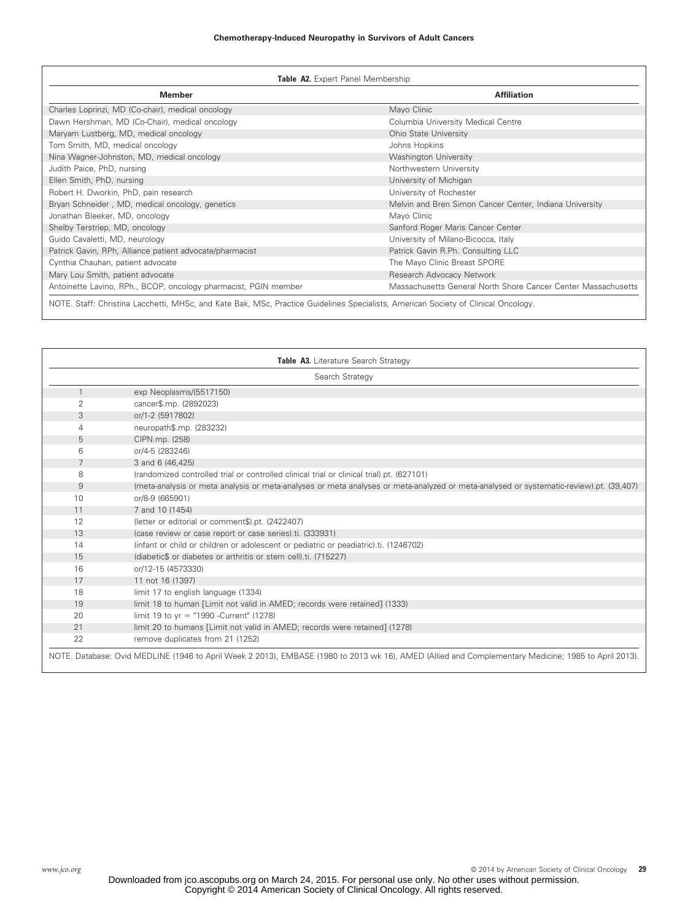| Member                                                          | <b>Affiliation</b>                                            |  |
|-----------------------------------------------------------------|---------------------------------------------------------------|--|
| Charles Loprinzi, MD (Co-chair), medical oncology               | Mayo Clinic                                                   |  |
| Dawn Hershman, MD (Co-Chair), medical oncology                  | Columbia University Medical Centre                            |  |
| Maryam Lustberg, MD, medical oncology                           | <b>Ohio State University</b>                                  |  |
| Tom Smith, MD, medical oncology                                 | Johns Hopkins                                                 |  |
| Nina Wagner-Johnston, MD, medical oncology                      | <b>Washington University</b>                                  |  |
| Judith Paice, PhD, nursing                                      | Northwestern University                                       |  |
| Ellen Smith, PhD, nursing                                       | University of Michigan                                        |  |
| Robert H. Dworkin, PhD, pain research                           | University of Rochester                                       |  |
| Bryan Schneider, MD, medical oncology, genetics                 | Melvin and Bren Simon Cancer Center, Indiana University       |  |
| Jonathan Bleeker, MD, oncology                                  | Mayo Clinic                                                   |  |
| Shelby Terstriep, MD, oncology                                  | Sanford Roger Maris Cancer Center                             |  |
| Guido Cavaletti, MD, neurology                                  | University of Milano-Bicocca, Italy                           |  |
| Patrick Gavin, RPh, Alliance patient advocate/pharmacist        | Patrick Gavin R.Ph. Consulting LLC                            |  |
| Cynthia Chauhan, patient advocate                               | The Mayo Clinic Breast SPORE                                  |  |
| Mary Lou Smith, patient advocate                                | Research Advocacy Network                                     |  |
| Antoinette Lavino, RPh., BCOP, oncology pharmacist, PGIN member | Massachusetts General North Shore Cancer Center Massachusetts |  |

| Search Strategy |                                                                                                                                        |  |  |  |
|-----------------|----------------------------------------------------------------------------------------------------------------------------------------|--|--|--|
|                 | exp Neoplasms/(5517150)                                                                                                                |  |  |  |
| $\overline{2}$  | cancer\$.mp. (2892023)                                                                                                                 |  |  |  |
| 3               | or/1-2 (5917802)                                                                                                                       |  |  |  |
| 4               | neuropath\$.mp. (283232)                                                                                                               |  |  |  |
| 5               | CIPN.mp. (258)                                                                                                                         |  |  |  |
| 6               | or/4-5 (283246)                                                                                                                        |  |  |  |
| 7               | 3 and 6 (46.425)                                                                                                                       |  |  |  |
| 8               | (randomized controlled trial or controlled clinical trial or clinical trial).pt. (627101)                                              |  |  |  |
| 9               | (meta-analysis or meta analysis or meta-analyses or meta analyses or meta-analyzed or meta-analysed or systematic-review).pt. (39,407) |  |  |  |
| 10              | or/8-9 (665901)                                                                                                                        |  |  |  |
| 11              | 7 and 10 (1454)                                                                                                                        |  |  |  |
| 12              | (letter or editorial or comment\$).pt. (2422407)                                                                                       |  |  |  |
| 13              | (case review or case report or case series).ti. (333931)                                                                               |  |  |  |
| 14              | (infant or child or children or adolescent or pediatric or peadiatric).ti. (1246702)                                                   |  |  |  |
| 15              | (diabetic\$ or diabetes or arthritis or stem cell).ti. (715227)                                                                        |  |  |  |
| 16              | or/12-15 (4573330)                                                                                                                     |  |  |  |
| 17              | 11 not 16 (1397)                                                                                                                       |  |  |  |
| 18              | limit 17 to english language (1334)                                                                                                    |  |  |  |
| 19              | limit 18 to human [Limit not valid in AMED; records were retained] (1333)                                                              |  |  |  |
| 20              | limit 19 to $yr = "1990 - Current" (1278)$                                                                                             |  |  |  |
| 21              | limit 20 to humans [Limit not valid in AMED; records were retained] (1278)                                                             |  |  |  |
| 22              | remove duplicates from 21 (1252)                                                                                                       |  |  |  |